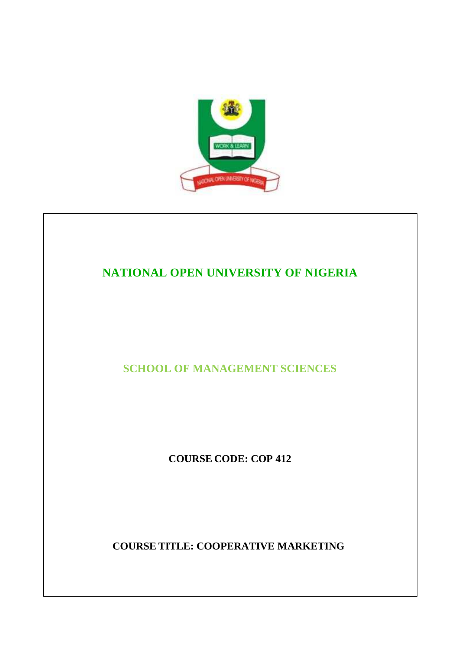

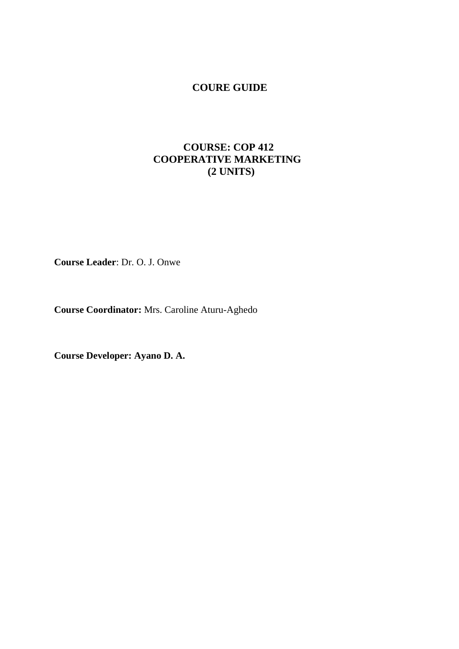#### **COURE GUIDE**

# **COURSE: COP 412 COOPERATIVE MARKETING (2 UNITS)**

**Course Leader**: Dr. O. J. Onwe

**Course Coordinator:** Mrs. Caroline Aturu-Aghedo

**Course Developer: Ayano D. A.**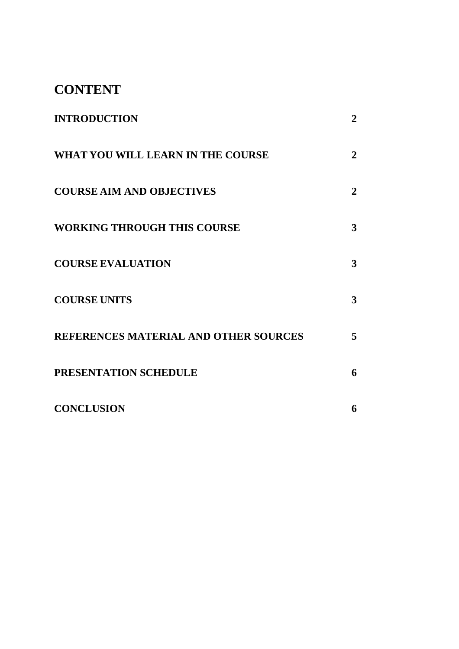# **CONTENT**

| <b>INTRODUCTION</b>                   | $\mathbf{2}$ |
|---------------------------------------|--------------|
| WHAT YOU WILL LEARN IN THE COURSE     | $\mathbf{2}$ |
| <b>COURSE AIM AND OBJECTIVES</b>      | $\mathbf{2}$ |
| <b>WORKING THROUGH THIS COURSE</b>    | 3            |
| <b>COURSE EVALUATION</b>              | 3            |
| <b>COURSE UNITS</b>                   | 3            |
| REFERENCES MATERIAL AND OTHER SOURCES | 5            |
| PRESENTATION SCHEDULE                 | 6            |
| <b>CONCLUSION</b>                     | 6            |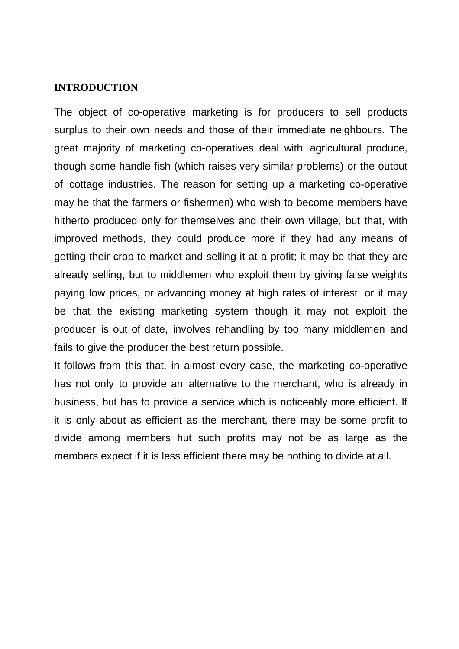#### **INTRODUCTION**

The object of co-operative marketing is for producers to sell products surplus to their own needs and those of their immediate neighbours. The great majority of marketing co-operatives deal with agricultural produce, though some handle fish (which raises very similar problems) or the output of cottage industries. The reason for setting up a marketing co-operative may he that the farmers or fishermen) who wish to become members have hitherto produced only for themselves and their own village, but that, with improved methods, they could produce more if they had any means of getting their crop to market and selling it at a profit; it may be that they are already selling, but to middlemen who exploit them by giving false weights paying low prices, or advancing money at high rates of interest; or it may be that the existing marketing system though it may not exploit the producer is out of date, involves rehandling by too many middlemen and fails to give the producer the best return possible.

It follows from this that, in almost every case, the marketing co-operative has not only to provide an alternative to the merchant, who is already in business, but has to provide a service which is noticeably more efficient. If it is only about as efficient as the merchant, there may be some profit to divide among members hut such profits may not be as large as the members expect if it is less efficient there may be nothing to divide at all.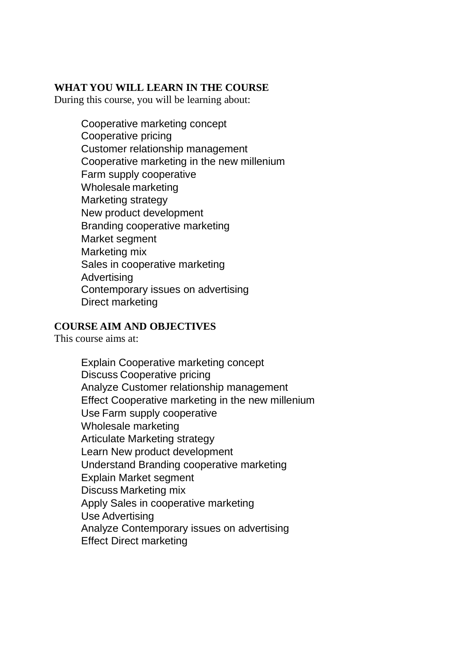#### **WHAT YOU WILL LEARN IN THE COURSE**

During this course, you will be learning about:

Cooperative marketing concept Cooperative pricing Customer relationship management Cooperative marketing in the new millenium Farm supply cooperative Wholesale marketing Marketing strategy New product development Branding cooperative marketing Market segment Marketing mix Sales in cooperative marketing Advertising Contemporary issues on advertising Direct marketing

#### **COURSE AIM AND OBJECTIVES**

This course aims at:

Explain Cooperative marketing concept Discuss Cooperative pricing Analyze Customer relationship management Effect Cooperative marketing in the new millenium Use Farm supply cooperative Wholesale marketing Articulate Marketing strategy Learn New product development Understand Branding cooperative marketing Explain Market segment Discuss Marketing mix Apply Sales in cooperative marketing Use Advertising Analyze Contemporary issues on advertising Effect Direct marketing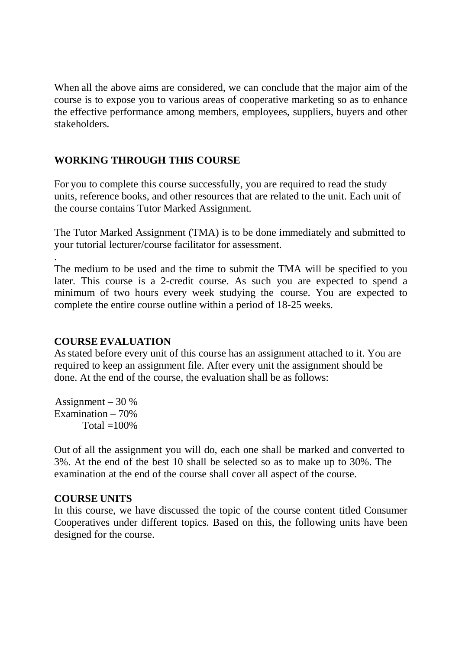When all the above aims are considered, we can conclude that the major aim of the course is to expose you to various areas of cooperative marketing so as to enhance the effective performance among members, employees, suppliers, buyers and other stakeholders.

# **WORKING THROUGH THIS COURSE**

For you to complete this course successfully, you are required to read the study units, reference books, and other resources that are related to the unit. Each unit of the course contains Tutor Marked Assignment.

The Tutor Marked Assignment (TMA) is to be done immediately and submitted to your tutorial lecturer/course facilitator for assessment.

. The medium to be used and the time to submit the TMA will be specified to you later. This course is a 2-credit course. As such you are expected to spend a minimum of two hours every week studying the course. You are expected to complete the entire course outline within a period of 18-25 weeks.

#### **COURSE EVALUATION**

As stated before every unit of this course has an assignment attached to it. You are required to keep an assignment file. After every unit the assignment should be done. At the end of the course, the evaluation shall be as follows:

Assignment – 30  $%$ Examination – 70% Total  $=100\%$ 

Out of all the assignment you will do, each one shall be marked and converted to 3%. At the end of the best 10 shall be selected so as to make up to 30%. The examination at the end of the course shall cover all aspect of the course.

#### **COURSE UNITS**

In this course, we have discussed the topic of the course content titled Consumer Cooperatives under different topics. Based on this, the following units have been designed for the course.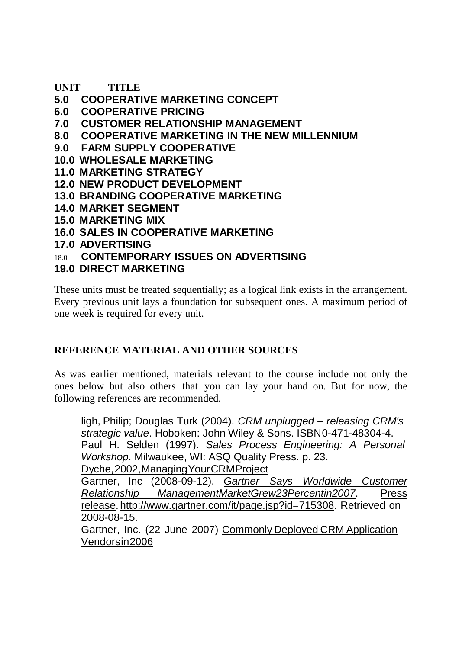**UNIT TITLE 5.0 COOPERATIVE MARKETING CONCEPT**

- **6.0 COOPERATIVE PRICING**
- **7.0 CUSTOMER RELATIONSHIP MANAGEMENT**
- **8.0 COOPERATIVE MARKETING IN THE NEW MILLENNIUM**
- **9.0 FARM SUPPLY COOPERATIVE**
- **10.0 WHOLESALE MARKETING**
- **11.0 MARKETING STRATEGY**
- **12.0 NEW PRODUCT DEVELOPMENT**
- **13.0 BRANDING COOPERATIVE MARKETING**
- **14.0 MARKET SEGMENT**
- **15.0 MARKETING MIX**
- **16.0 SALES IN COOPERATIVE MARKETING**
- **17.0 ADVERTISING**
- 18.0 **CONTEMPORARY ISSUES ON ADVERTISING**
- **19.0 DIRECT MARKETING**

These units must be treated sequentially; as a logical link exists in the arrangement. Every previous unit lays a foundation for subsequent ones. A maximum period of one week is required for every unit.

# **REFERENCE MATERIAL AND OTHER SOURCES**

As was earlier mentioned, materials relevant to the course include not only the ones below but also others that you can lay your hand on. But for now, the following references are recommended.

ligh, Philip; Douglas Turk (2004). CRM unplugged – releasing CRM's strategic value. Hoboken: John Wiley & Sons. ISBN 0-471-48304-4. Paul H. Selden (1997). Sales Process Engineering: A Personal Workshop. Milwaukee, WI: ASQ Quality Press. p. 23. Dyche, 2002, Managing Your CRM Project

Gartner, Inc (2008-09-12). Gartner Says Worldwide Customer Relationship ManagementMarketGrew23Percentin2007. Press release. http://www.gartner.com/it/page.jsp?id=715308. Retrieved on 2008-08-15.

Gartner, Inc. (22 June 2007) Commonly Deployed CRM Application Vendors in 2006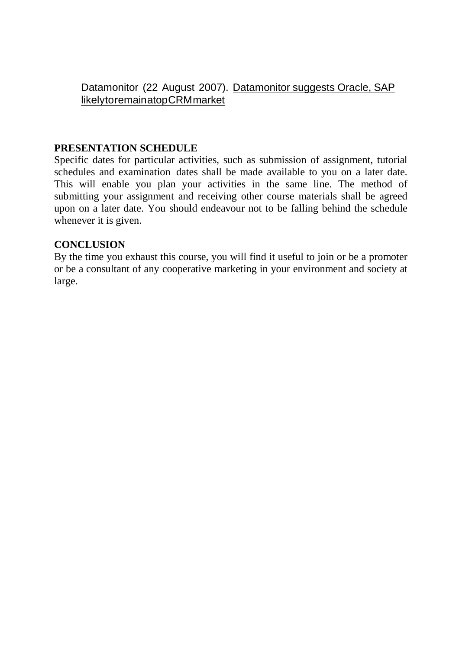Datamonitor (22 August 2007). Datamonitor suggests Oracle, SAP likely to remain atop CRM market

#### **PRESENTATION SCHEDULE**

Specific dates for particular activities, such as submission of assignment, tutorial schedules and examination dates shall be made available to you on a later date. This will enable you plan your activities in the same line. The method of submitting your assignment and receiving other course materials shall be agreed upon on a later date. You should endeavour not to be falling behind the schedule whenever it is given.

#### **CONCLUSION**

By the time you exhaust this course, you will find it useful to join or be a promoter or be a consultant of any cooperative marketing in your environment and society at large.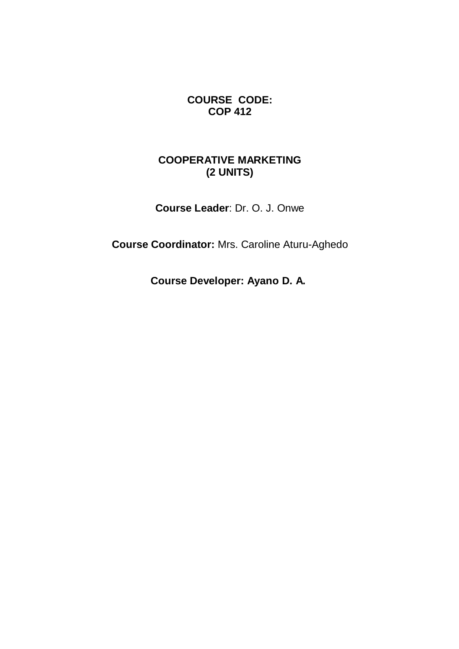**COURSE CODE: COP 412**

# **COOPERATIVE MARKETING (2 UNITS)**

**Course Leader**: Dr. O. J. Onwe

**Course Coordinator:** Mrs. Caroline Aturu-Aghedo

**Course Developer: Ayano D. A.**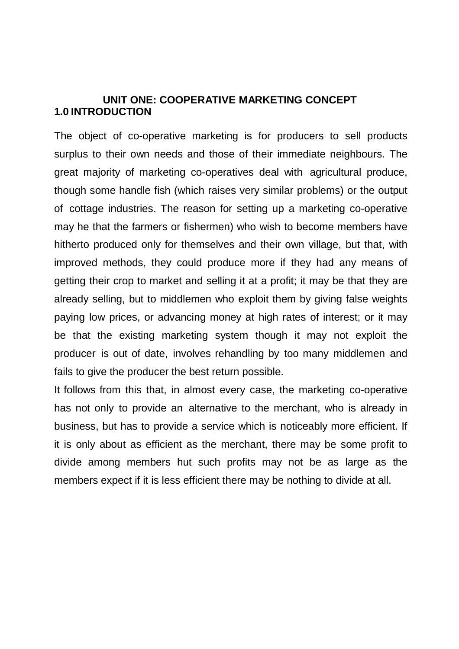# **UNIT ONE: COOPERATIVE MARKETING CONCEPT 1.0 INTRODUCTION**

The object of co-operative marketing is for producers to sell products surplus to their own needs and those of their immediate neighbours. The great majority of marketing co-operatives deal with agricultural produce, though some handle fish (which raises very similar problems) or the output of cottage industries. The reason for setting up a marketing co-operative may he that the farmers or fishermen) who wish to become members have hitherto produced only for themselves and their own village, but that, with improved methods, they could produce more if they had any means of getting their crop to market and selling it at a profit; it may be that they are already selling, but to middlemen who exploit them by giving false weights paying low prices, or advancing money at high rates of interest; or it may be that the existing marketing system though it may not exploit the producer is out of date, involves rehandling by too many middlemen and fails to give the producer the best return possible.

It follows from this that, in almost every case, the marketing co-operative has not only to provide an alternative to the merchant, who is already in business, but has to provide a service which is noticeably more efficient. If it is only about as efficient as the merchant, there may be some profit to divide among members hut such profits may not be as large as the members expect if it is less efficient there may be nothing to divide at all.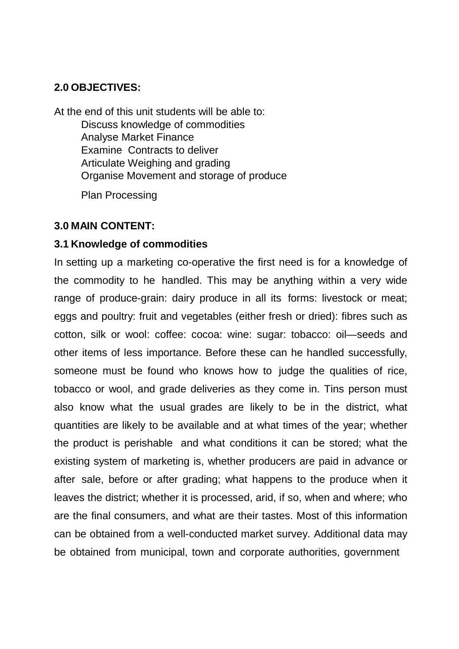# **2.0 OBJECTIVES:**

At the end of this unit students will be able to: Discuss knowledge of commodities Analyse Market Finance Examine Contracts to deliver Articulate Weighing and grading Organise Movement and storage of produce

Plan Processing

# **3.0 MAIN CONTENT:**

#### **3.1 Knowledge of commodities**

In setting up a marketing co-operative the first need is for a knowledge of the commodity to he handled. This may be anything within a very wide range of produce-grain: dairy produce in all its forms: livestock or meat; eggs and poultry: fruit and vegetables (either fresh or dried): fibres such as cotton, silk or wool: coffee: cocoa: wine: sugar: tobacco: oil—seeds and other items of less importance. Before these can he handled successfully, someone must be found who knows how to judge the qualities of rice, tobacco or wool, and grade deliveries as they come in. Tins person must also know what the usual grades are likely to be in the district, what quantities are likely to be available and at what times of the year; whether the product is perishable and what conditions it can be stored; what the existing system of marketing is, whether producers are paid in advance or after sale, before or after grading; what happens to the produce when it leaves the district; whether it is processed, arid, if so, when and where; who are the final consumers, and what are their tastes. Most of this information can be obtained from a well-conducted market survey. Additional data may be obtained from municipal, town and corporate authorities, government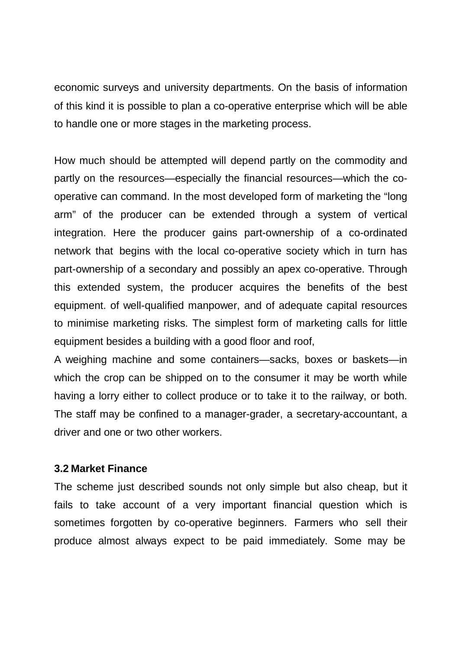economic surveys and university departments. On the basis of information of this kind it is possible to plan a co-operative enterprise which will be able to handle one or more stages in the marketing process.

How much should be attempted will depend partly on the commodity and partly on the resources—especially the financial resources—which the cooperative can command. In the most developed form of marketing the "long arm" of the producer can be extended through a system of vertical integration. Here the producer gains part-ownership of a co-ordinated network that begins with the local co-operative society which in turn has part-ownership of a secondary and possibly an apex co-operative. Through this extended system, the producer acquires the benefits of the best equipment. of well-qualified manpower, and of adequate capital resources to minimise marketing risks. The simplest form of marketing calls for little equipment besides a building with a good floor and roof,

A weighing machine and some containers—sacks, boxes or baskets—in which the crop can be shipped on to the consumer it may be worth while having a lorry either to collect produce or to take it to the railway, or both. The staff may be confined to a manager-grader, a secretary-accountant, a driver and one or two other workers.

# **3.2 Market Finance**

The scheme just described sounds not only simple but also cheap, but it fails to take account of a very important financial question which is sometimes forgotten by co-operative beginners. Farmers who sell their produce almost always expect to be paid immediately. Some may be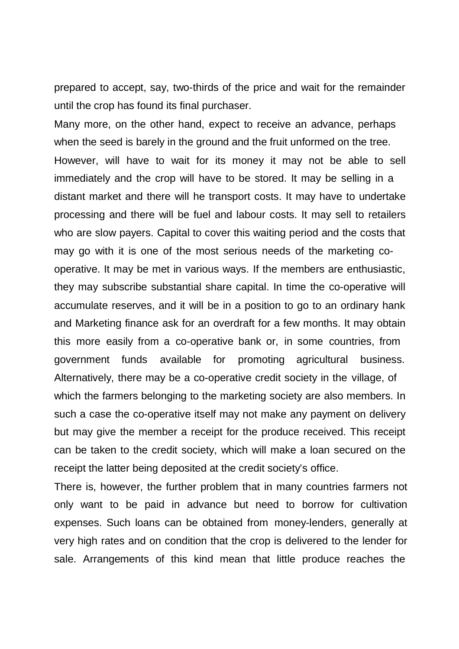prepared to accept, say, two-thirds of the price and wait for the remainder until the crop has found its final purchaser.

Many more, on the other hand, expect to receive an advance, perhaps when the seed is barely in the ground and the fruit unformed on the tree. However, will have to wait for its money it may not be able to sell immediately and the crop will have to be stored. It may be selling in a distant market and there will he transport costs. It may have to undertake processing and there will be fuel and labour costs. It may sell to retailers who are slow payers. Capital to cover this waiting period and the costs that may go with it is one of the most serious needs of the marketing cooperative. It may be met in various ways. If the members are enthusiastic, they may subscribe substantial share capital. In time the co-operative will accumulate reserves, and it will be in a position to go to an ordinary hank and Marketing finance ask for an overdraft for a few months. It may obtain this more easily from a co-operative bank or, in some countries, from government funds available for promoting agricultural business. Alternatively, there may be a co-operative credit society in the village, of which the farmers belonging to the marketing society are also members. In such a case the co-operative itself may not make any payment on delivery but may give the member a receipt for the produce received. This receipt can be taken to the credit society, which will make a loan secured on the receipt the latter being deposited at the credit society's office.

There is, however, the further problem that in many countries farmers not only want to be paid in advance but need to borrow for cultivation expenses. Such loans can be obtained from money-lenders, generally at very high rates and on condition that the crop is delivered to the lender for sale. Arrangements of this kind mean that little produce reaches the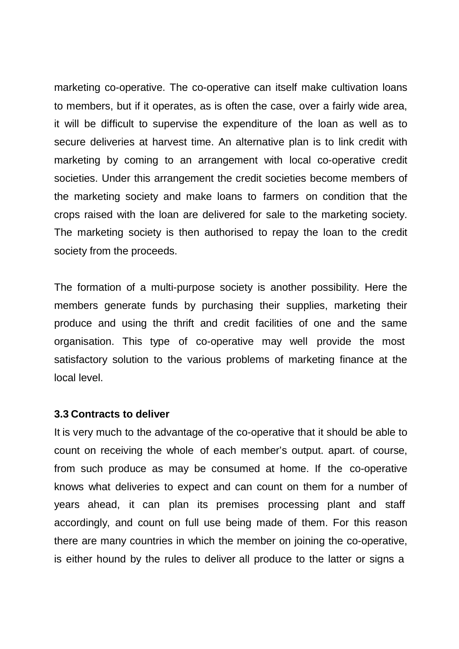marketing co-operative. The co-operative can itself make cultivation loans to members, but if it operates, as is often the case, over a fairly wide area, it will be difficult to supervise the expenditure of the loan as well as to secure deliveries at harvest time. An alternative plan is to link credit with marketing by coming to an arrangement with local co-operative credit societies. Under this arrangement the credit societies become members of the marketing society and make loans to farmers on condition that the crops raised with the loan are delivered for sale to the marketing society. The marketing society is then authorised to repay the loan to the credit society from the proceeds.

The formation of a multi-purpose society is another possibility. Here the members generate funds by purchasing their supplies, marketing their produce and using the thrift and credit facilities of one and the same organisation. This type of co-operative may well provide the most satisfactory solution to the various problems of marketing finance at the local level.

#### **3.3 Contracts to deliver**

It is very much to the advantage of the co-operative that it should be able to count on receiving the whole of each member's output. apart. of course, from such produce as may be consumed at home. If the co-operative knows what deliveries to expect and can count on them for a number of years ahead, it can plan its premises processing plant and staff accordingly, and count on full use being made of them. For this reason there are many countries in which the member on joining the co-operative, is either hound by the rules to deliver all produce to the latter or signs a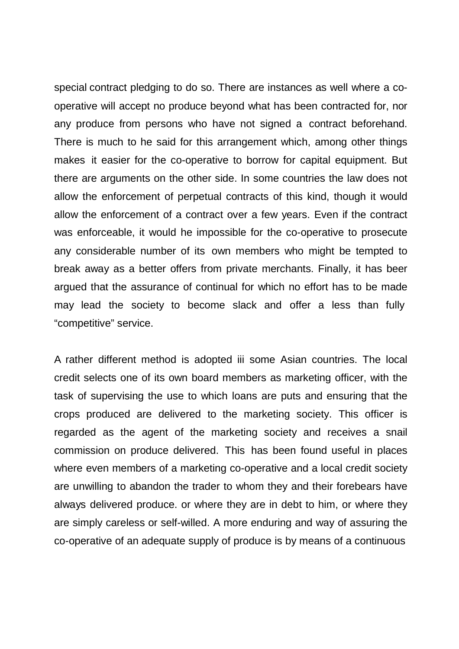special contract pledging to do so. There are instances as well where a cooperative will accept no produce beyond what has been contracted for, nor any produce from persons who have not signed a contract beforehand. There is much to he said for this arrangement which, among other things makes it easier for the co-operative to borrow for capital equipment. But there are arguments on the other side. In some countries the law does not allow the enforcement of perpetual contracts of this kind, though it would allow the enforcement of a contract over a few years. Even if the contract was enforceable, it would he impossible for the co-operative to prosecute any considerable number of its own members who might be tempted to break away as a better offers from private merchants. Finally, it has beer argued that the assurance of continual for which no effort has to be made may lead the society to become slack and offer a less than fully "competitive" service.

A rather different method is adopted iii some Asian countries. The local credit selects one of its own board members as marketing officer, with the task of supervising the use to which loans are puts and ensuring that the crops produced are delivered to the marketing society. This officer is regarded as the agent of the marketing society and receives a snail commission on produce delivered. This has been found useful in places where even members of a marketing co-operative and a local credit society are unwilling to abandon the trader to whom they and their forebears have always delivered produce. or where they are in debt to him, or where they are simply careless or self-willed. A more enduring and way of assuring the co-operative of an adequate supply of produce is by means of a continuous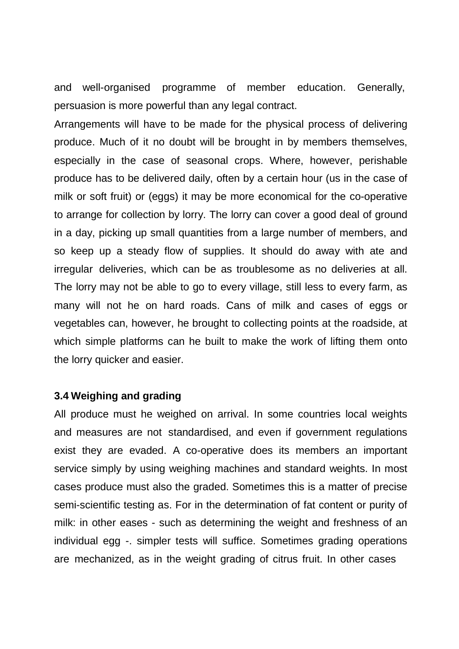and well-organised programme of member education. Generally, persuasion is more powerful than any legal contract.

Arrangements will have to be made for the physical process of delivering produce. Much of it no doubt will be brought in by members themselves, especially in the case of seasonal crops. Where, however, perishable produce has to be delivered daily, often by a certain hour (us in the case of milk or soft fruit) or (eggs) it may be more economical for the co-operative to arrange for collection by lorry. The lorry can cover a good deal of ground in a day, picking up small quantities from a large number of members, and so keep up a steady flow of supplies. It should do away with ate and irregular deliveries, which can be as troublesome as no deliveries at all. The lorry may not be able to go to every village, still less to every farm, as many will not he on hard roads. Cans of milk and cases of eggs or vegetables can, however, he brought to collecting points at the roadside, at which simple platforms can he built to make the work of lifting them onto the lorry quicker and easier.

#### **3.4 Weighing and grading**

All produce must he weighed on arrival. In some countries local weights and measures are not standardised, and even if government regulations exist they are evaded. A co-operative does its members an important service simply by using weighing machines and standard weights. In most cases produce must also the graded. Sometimes this is a matter of precise semi-scientific testing as. For in the determination of fat content or purity of milk: in other eases - such as determining the weight and freshness of an individual egg -. simpler tests will suffice. Sometimes grading operations are mechanized, as in the weight grading of citrus fruit. In other cases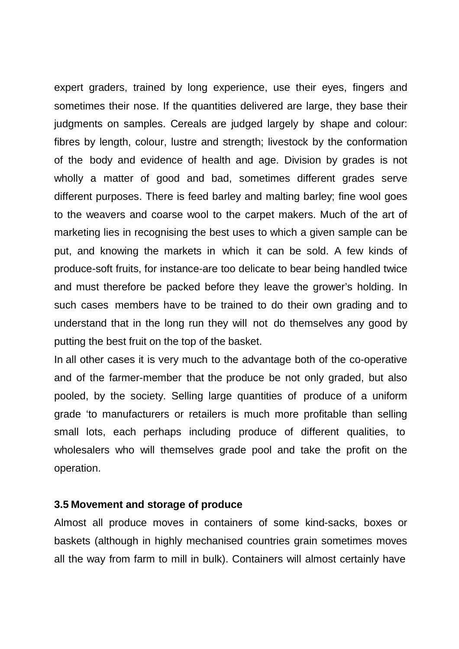expert graders, trained by long experience, use their eyes, fingers and sometimes their nose. If the quantities delivered are large, they base their judgments on samples. Cereals are judged largely by shape and colour: fibres by length, colour, lustre and strength; livestock by the conformation of the body and evidence of health and age. Division by grades is not wholly a matter of good and bad, sometimes different grades serve different purposes. There is feed barley and malting barley; fine wool goes to the weavers and coarse wool to the carpet makers. Much of the art of marketing lies in recognising the best uses to which a given sample can be put, and knowing the markets in which it can be sold. A few kinds of produce-soft fruits, for instance-are too delicate to bear being handled twice and must therefore be packed before they leave the grower's holding. In such cases members have to be trained to do their own grading and to understand that in the long run they will not do themselves any good by putting the best fruit on the top of the basket.

In all other cases it is very much to the advantage both of the co-operative and of the farmer-member that the produce be not only graded, but also pooled, by the society. Selling large quantities of produce of a uniform grade 'to manufacturers or retailers is much more profitable than selling small lots, each perhaps including produce of different qualities, to wholesalers who will themselves grade pool and take the profit on the operation.

#### **3.5 Movement and storage of produce**

Almost all produce moves in containers of some kind-sacks, boxes or baskets (although in highly mechanised countries grain sometimes moves all the way from farm to mill in bulk). Containers will almost certainly have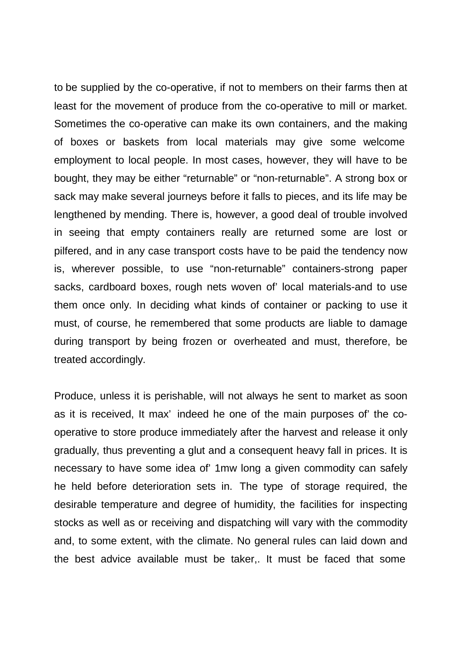to be supplied by the co-operative, if not to members on their farms then at least for the movement of produce from the co-operative to mill or market. Sometimes the co-operative can make its own containers, and the making of boxes or baskets from local materials may give some welcome employment to local people. In most cases, however, they will have to be bought, they may be either "returnable" or "non-returnable". A strong box or sack may make several journeys before it falls to pieces, and its life may be lengthened by mending. There is, however, a good deal of trouble involved in seeing that empty containers really are returned some are lost or pilfered, and in any case transport costs have to be paid the tendency now is, wherever possible, to use "non-returnable" containers-strong paper sacks, cardboard boxes, rough nets woven of' local materials-and to use them once only. In deciding what kinds of container or packing to use it must, of course, he remembered that some products are liable to damage during transport by being frozen or overheated and must, therefore, be treated accordingly.

Produce, unless it is perishable, will not always he sent to market as soon as it is received, It max' indeed he one of the main purposes of' the cooperative to store produce immediately after the harvest and release it only gradually, thus preventing a glut and a consequent heavy fall in prices. It is necessary to have some idea of' 1mw long a given commodity can safely he held before deterioration sets in. The type of storage required, the desirable temperature and degree of humidity, the facilities for inspecting stocks as well as or receiving and dispatching will vary with the commodity and, to some extent, with the climate. No general rules can laid down and the best advice available must be taker,. It must be faced that some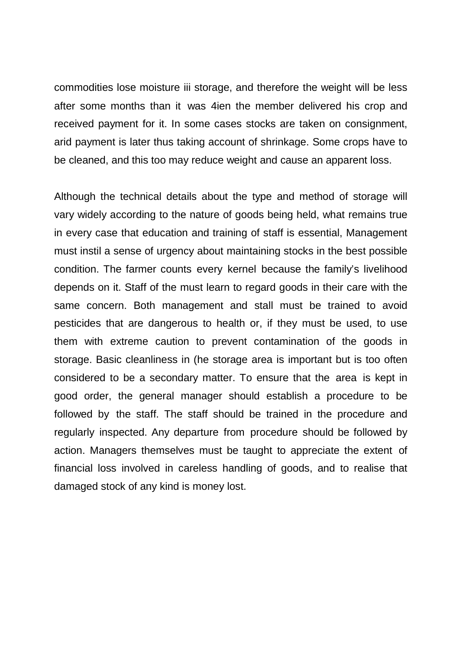commodities lose moisture iii storage, and therefore the weight will be less after some months than it was 4ien the member delivered his crop and received payment for it. In some cases stocks are taken on consignment, arid payment is later thus taking account of shrinkage. Some crops have to be cleaned, and this too may reduce weight and cause an apparent loss.

Although the technical details about the type and method of storage will vary widely according to the nature of goods being held, what remains true in every case that education and training of staff is essential, Management must instil a sense of urgency about maintaining stocks in the best possible condition. The farmer counts every kernel because the family's livelihood depends on it. Staff of the must learn to regard goods in their care with the same concern. Both management and stall must be trained to avoid pesticides that are dangerous to health or, if they must be used, to use them with extreme caution to prevent contamination of the goods in storage. Basic cleanliness in (he storage area is important but is too often considered to be a secondary matter. To ensure that the area is kept in good order, the general manager should establish a procedure to be followed by the staff. The staff should be trained in the procedure and regularly inspected. Any departure from procedure should be followed by action. Managers themselves must be taught to appreciate the extent of financial loss involved in careless handling of goods, and to realise that damaged stock of any kind is money lost.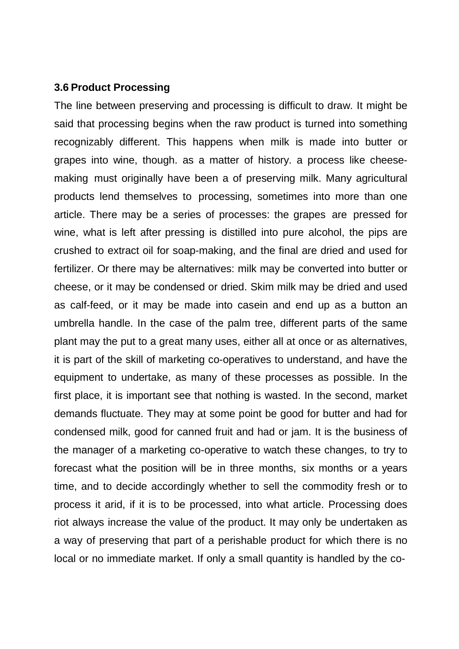#### **3.6 Product Processing**

The line between preserving and processing is difficult to draw. It might be said that processing begins when the raw product is turned into something recognizably different. This happens when milk is made into butter or grapes into wine, though. as a matter of history. a process like cheesemaking must originally have been a of preserving milk. Many agricultural products lend themselves to processing, sometimes into more than one article. There may be a series of processes: the grapes are pressed for wine, what is left after pressing is distilled into pure alcohol, the pips are crushed to extract oil for soap-making, and the final are dried and used for fertilizer. Or there may be alternatives: milk may be converted into butter or cheese, or it may be condensed or dried. Skim milk may be dried and used as calf-feed, or it may be made into casein and end up as a button an umbrella handle. In the case of the palm tree, different parts of the same plant may the put to a great many uses, either all at once or as alternatives, it is part of the skill of marketing co-operatives to understand, and have the equipment to undertake, as many of these processes as possible. In the first place, it is important see that nothing is wasted. In the second, market demands fluctuate. They may at some point be good for butter and had for condensed milk, good for canned fruit and had or jam. It is the business of the manager of a marketing co-operative to watch these changes, to try to forecast what the position will be in three months, six months or a years time, and to decide accordingly whether to sell the commodity fresh or to process it arid, if it is to be processed, into what article. Processing does riot always increase the value of the product. It may only be undertaken as a way of preserving that part of a perishable product for which there is no local or no immediate market. If only a small quantity is handled by the co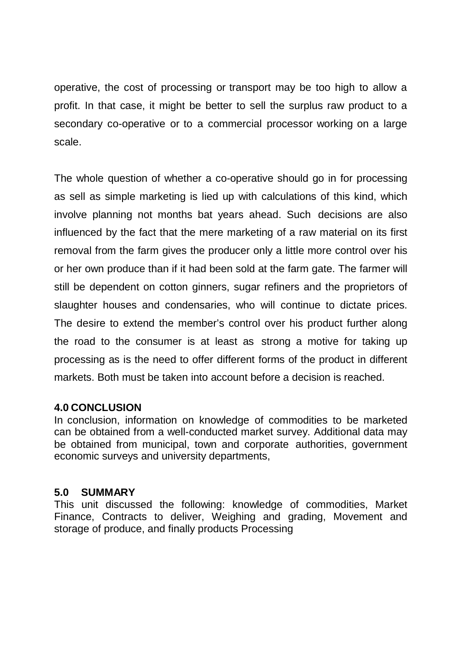operative, the cost of processing or transport may be too high to allow a profit. In that case, it might be better to sell the surplus raw product to a secondary co-operative or to a commercial processor working on a large scale.

The whole question of whether a co-operative should go in for processing as sell as simple marketing is lied up with calculations of this kind, which involve planning not months bat years ahead. Such decisions are also influenced by the fact that the mere marketing of a raw material on its first removal from the farm gives the producer only a little more control over his or her own produce than if it had been sold at the farm gate. The farmer will still be dependent on cotton ginners, sugar refiners and the proprietors of slaughter houses and condensaries, who will continue to dictate prices. The desire to extend the member's control over his product further along the road to the consumer is at least as strong a motive for taking up processing as is the need to offer different forms of the product in different markets. Both must be taken into account before a decision is reached.

# **4.0 CONCLUSION**

In conclusion, information on knowledge of commodities to be marketed can be obtained from a well-conducted market survey. Additional data may be obtained from municipal, town and corporate authorities, government economic surveys and university departments,

# **5.0 SUMMARY**

This unit discussed the following: knowledge of commodities, Market Finance, Contracts to deliver, Weighing and grading, Movement and storage of produce, and finally products Processing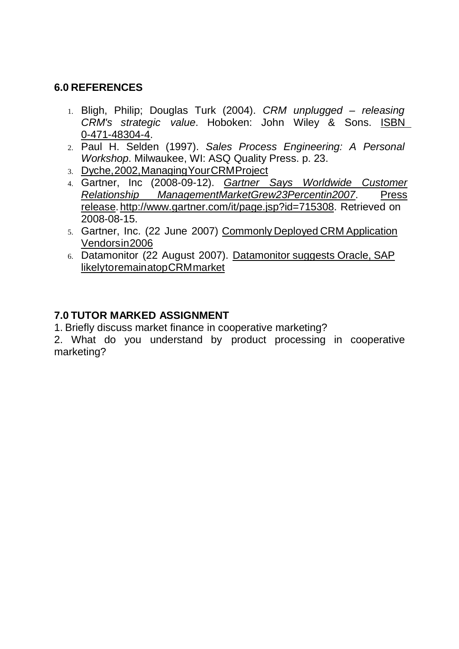# **6.0 REFERENCES**

- 1. Bligh, Philip; Douglas Turk (2004). CRM unplugged  $-$  releasing CRM's strategic value. Hoboken: John Wiley & Sons. ISBN 0-471-48304-4.
- 2. Paul H. Selden (1997). Sales Process Engineering: A Personal Workshop. Milwaukee, WI: ASQ Quality Press. p. 23.
- 3. Dyche, 2002, Managing Your CRM Project
- 4. Gartner, Inc (2008-09-12). Gartner Says Worldwide Customer Relationship ManagementMarketGrew23Percentin2007. Press release. http://www.gartner.com/it/page.jsp?id=715308. Retrieved on 2008-08-15.
- 5. Gartner, Inc. (22 June 2007) Commonly Deployed CRM Application Vendors in 2006
- 6. Datamonitor (22 August 2007). Datamonitor suggests Oracle, SAP likely to remain atop CRM market

# **7.0 TUTOR MARKED ASSIGNMENT**

1. Briefly discuss market finance in cooperative marketing?

2. What do you understand by product processing in cooperative marketing?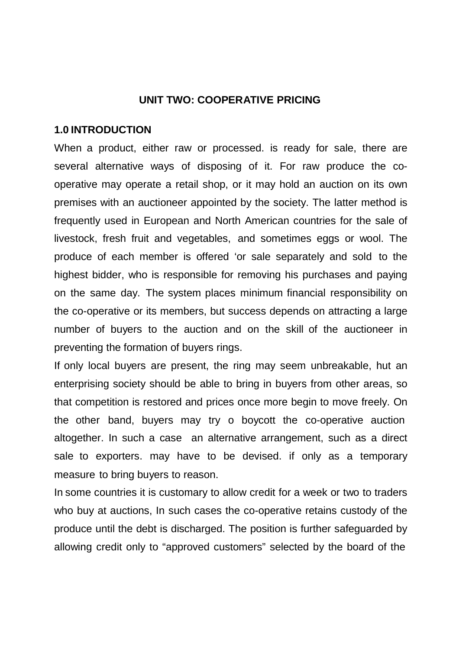#### **UNIT TWO: COOPERATIVE PRICING**

#### **1.0 INTRODUCTION**

When a product, either raw or processed. is ready for sale, there are several alternative ways of disposing of it. For raw produce the cooperative may operate a retail shop, or it may hold an auction on its own premises with an auctioneer appointed by the society. The latter method is frequently used in European and North American countries for the sale of livestock, fresh fruit and vegetables, and sometimes eggs or wool. The produce of each member is offered 'or sale separately and sold to the highest bidder, who is responsible for removing his purchases and paying on the same day. The system places minimum financial responsibility on the co-operative or its members, but success depends on attracting a large number of buyers to the auction and on the skill of the auctioneer in preventing the formation of buyers rings.

If only local buyers are present, the ring may seem unbreakable, hut an enterprising society should be able to bring in buyers from other areas, so that competition is restored and prices once more begin to move freely. On the other band, buyers may try o boycott the co-operative auction altogether. In such a case an alternative arrangement, such as a direct sale to exporters. may have to be devised. if only as a temporary measure to bring buyers to reason.

In some countries it is customary to allow credit for a week or two to traders who buy at auctions, In such cases the co-operative retains custody of the produce until the debt is discharged. The position is further safeguarded by allowing credit only to "approved customers" selected by the board of the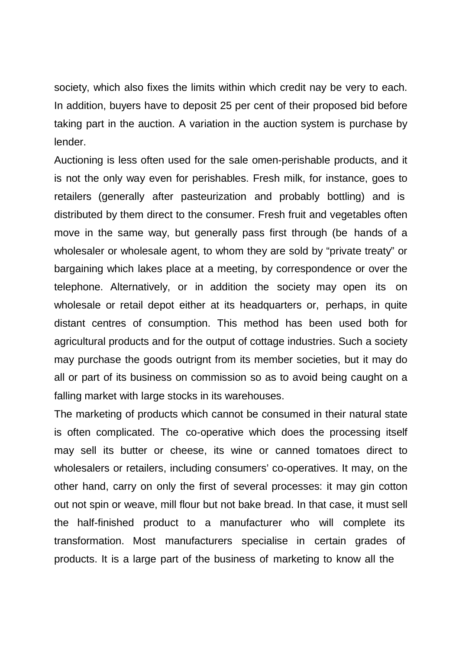society, which also fixes the limits within which credit nay be very to each. In addition, buyers have to deposit 25 per cent of their proposed bid before taking part in the auction. A variation in the auction system is purchase by lender.

Auctioning is less often used for the sale omen-perishable products, and it is not the only way even for perishables. Fresh milk, for instance, goes to retailers (generally after pasteurization and probably bottling) and is distributed by them direct to the consumer. Fresh fruit and vegetables often move in the same way, but generally pass first through (be hands of a wholesaler or wholesale agent, to whom they are sold by "private treaty" or bargaining which lakes place at a meeting, by correspondence or over the telephone. Alternatively, or in addition the society may open its on wholesale or retail depot either at its headquarters or, perhaps, in quite distant centres of consumption. This method has been used both for agricultural products and for the output of cottage industries. Such a society may purchase the goods outrignt from its member societies, but it may do all or part of its business on commission so as to avoid being caught on a falling market with large stocks in its warehouses.

The marketing of products which cannot be consumed in their natural state is often complicated. The co-operative which does the processing itself may sell its butter or cheese, its wine or canned tomatoes direct to wholesalers or retailers, including consumers' co-operatives. It may, on the other hand, carry on only the first of several processes: it may gin cotton out not spin or weave, mill flour but not bake bread. In that case, it must sell the half-finished product to a manufacturer who will complete its transformation. Most manufacturers specialise in certain grades of products. It is a large part of the business of marketing to know all the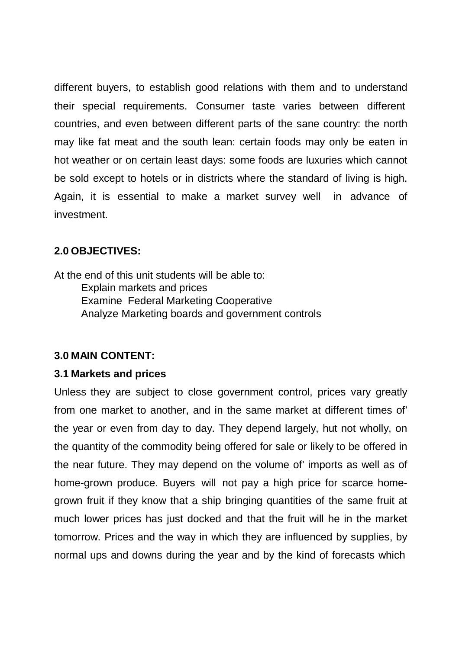different buyers, to establish good relations with them and to understand their special requirements. Consumer taste varies between different countries, and even between different parts of the sane country: the north may like fat meat and the south lean: certain foods may only be eaten in hot weather or on certain least days: some foods are luxuries which cannot be sold except to hotels or in districts where the standard of living is high. Again, it is essential to make a market survey well in advance of investment.

# **2.0 OBJECTIVES:**

At the end of this unit students will be able to: Explain markets and prices Examine Federal Marketing Cooperative Analyze Marketing boards and government controls

# **3.0 MAIN CONTENT:**

# **3.1 Markets and prices**

Unless they are subject to close government control, prices vary greatly from one market to another, and in the same market at different times of' the year or even from day to day. They depend largely, hut not wholly, on the quantity of the commodity being offered for sale or likely to be offered in the near future. They may depend on the volume of' imports as well as of home-grown produce. Buyers will not pay a high price for scarce homegrown fruit if they know that a ship bringing quantities of the same fruit at much lower prices has just docked and that the fruit will he in the market tomorrow. Prices and the way in which they are influenced by supplies, by normal ups and downs during the year and by the kind of forecasts which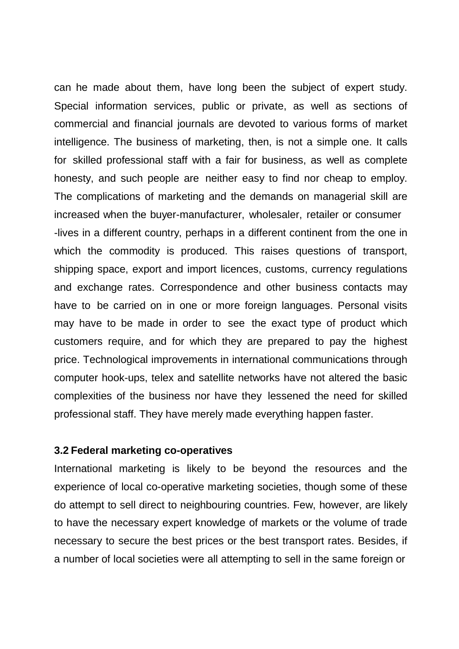can he made about them, have long been the subject of expert study. Special information services, public or private, as well as sections of commercial and financial journals are devoted to various forms of market intelligence. The business of marketing, then, is not a simple one. It calls for skilled professional staff with a fair for business, as well as complete honesty, and such people are neither easy to find nor cheap to employ. The complications of marketing and the demands on managerial skill are increased when the buyer-manufacturer, wholesaler, retailer or consumer -lives in a different country, perhaps in a different continent from the one in which the commodity is produced. This raises questions of transport, shipping space, export and import licences, customs, currency regulations and exchange rates. Correspondence and other business contacts may have to be carried on in one or more foreign languages. Personal visits may have to be made in order to see the exact type of product which customers require, and for which they are prepared to pay the highest price. Technological improvements in international communications through computer hook-ups, telex and satellite networks have not altered the basic complexities of the business nor have they lessened the need for skilled professional staff. They have merely made everything happen faster.

#### **3.2 Federal marketing co-operatives**

International marketing is likely to be beyond the resources and the experience of local co-operative marketing societies, though some of these do attempt to sell direct to neighbouring countries. Few, however, are likely to have the necessary expert knowledge of markets or the volume of trade necessary to secure the best prices or the best transport rates. Besides, if a number of local societies were all attempting to sell in the same foreign or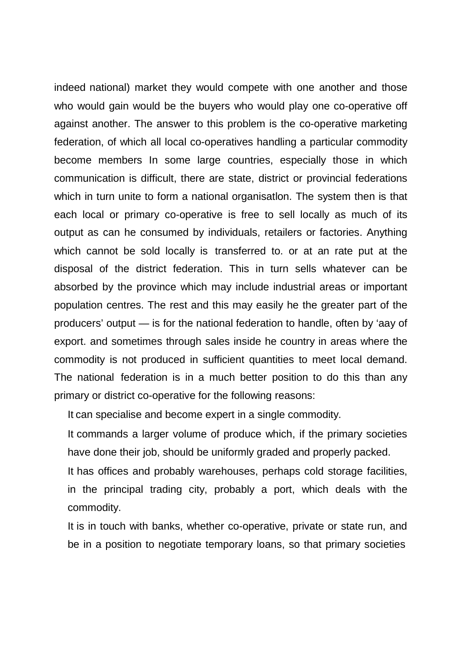indeed national) market they would compete with one another and those who would gain would be the buyers who would play one co-operative off against another. The answer to this problem is the co-operative marketing federation, of which all local co-operatives handling a particular commodity become members In some large countries, especially those in which communication is difficult, there are state, district or provincial federations which in turn unite to form a national organisation. The system then is that each local or primary co-operative is free to sell locally as much of its output as can he consumed by individuals, retailers or factories. Anything which cannot be sold locally is transferred to. or at an rate put at the disposal of the district federation. This in turn sells whatever can be absorbed by the province which may include industrial areas or important population centres. The rest and this may easily he the greater part of the producers' output — is for the national federation to handle, often by 'aay of export. and sometimes through sales inside he country in areas where the commodity is not produced in sufficient quantities to meet local demand. The national federation is in a much better position to do this than any primary or district co-operative for the following reasons:

It can specialise and become expert in a single commodity.

It commands a larger volume of produce which, if the primary societies have done their job, should be uniformly graded and properly packed.

It has offices and probably warehouses, perhaps cold storage facilities, in the principal trading city, probably a port, which deals with the commodity.

It is in touch with banks, whether co-operative, private or state run, and be in a position to negotiate temporary loans, so that primary societies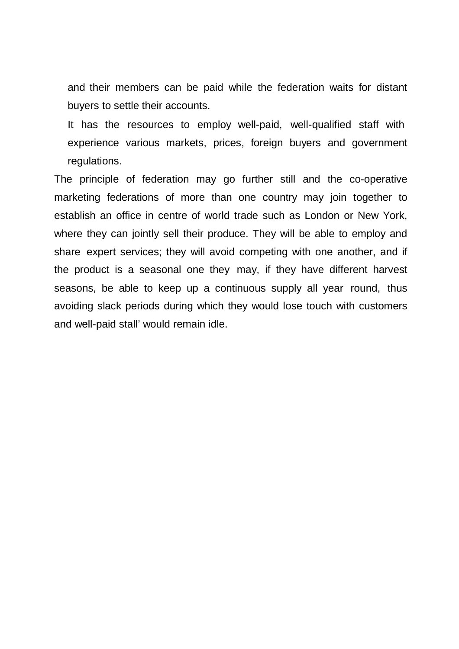and their members can be paid while the federation waits for distant buyers to settle their accounts.

It has the resources to employ well-paid, well-qualified staff with experience various markets, prices, foreign buyers and government regulations.

The principle of federation may go further still and the co-operative marketing federations of more than one country may join together to establish an office in centre of world trade such as London or New York, where they can jointly sell their produce. They will be able to employ and share expert services; they will avoid competing with one another, and if the product is a seasonal one they may, if they have different harvest seasons, be able to keep up a continuous supply all year round, thus avoiding slack periods during which they would lose touch with customers and well-paid stall' would remain idle.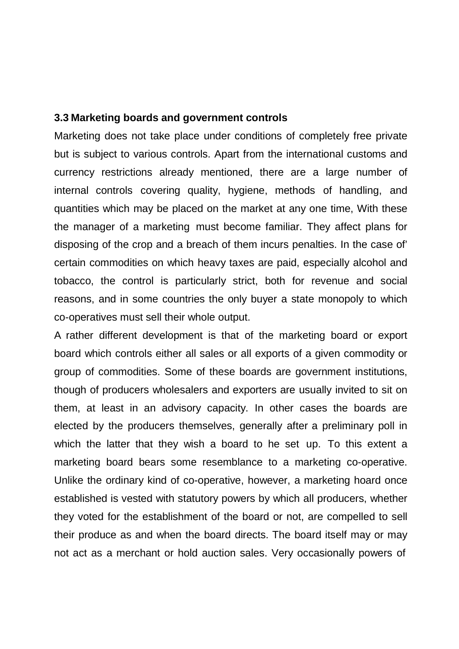#### **3.3 Marketing boards and government controls**

Marketing does not take place under conditions of completely free private but is subject to various controls. Apart from the international customs and currency restrictions already mentioned, there are a large number of internal controls covering quality, hygiene, methods of handling, and quantities which may be placed on the market at any one time, With these the manager of a marketing must become familiar. They affect plans for disposing of the crop and a breach of them incurs penalties. In the case of' certain commodities on which heavy taxes are paid, especially alcohol and tobacco, the control is particularly strict, both for revenue and social reasons, and in some countries the only buyer a state monopoly to which co-operatives must sell their whole output.

A rather different development is that of the marketing board or export board which controls either all sales or all exports of a given commodity or group of commodities. Some of these boards are government institutions, though of producers wholesalers and exporters are usually invited to sit on them, at least in an advisory capacity. In other cases the boards are elected by the producers themselves, generally after a preliminary poll in which the latter that they wish a board to he set up. To this extent a marketing board bears some resemblance to a marketing co-operative. Unlike the ordinary kind of co-operative, however, a marketing hoard once established is vested with statutory powers by which all producers, whether they voted for the establishment of the board or not, are compelled to sell their produce as and when the board directs. The board itself may or may not act as a merchant or hold auction sales. Very occasionally powers of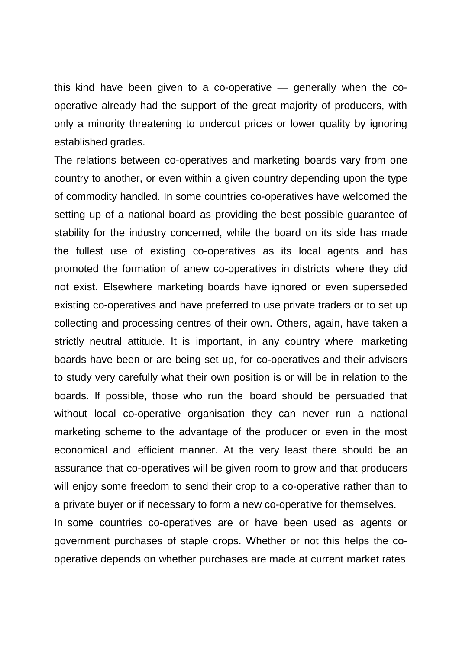this kind have been given to a co-operative — generally when the cooperative already had the support of the great majority of producers, with only a minority threatening to undercut prices or lower quality by ignoring established grades.

The relations between co-operatives and marketing boards vary from one country to another, or even within a given country depending upon the type of commodity handled. In some countries co-operatives have welcomed the setting up of a national board as providing the best possible guarantee of stability for the industry concerned, while the board on its side has made the fullest use of existing co-operatives as its local agents and has promoted the formation of anew co-operatives in districts where they did not exist. Elsewhere marketing boards have ignored or even superseded existing co-operatives and have preferred to use private traders or to set up collecting and processing centres of their own. Others, again, have taken a strictly neutral attitude. It is important, in any country where marketing boards have been or are being set up, for co-operatives and their advisers to study very carefully what their own position is or will be in relation to the boards. If possible, those who run the board should be persuaded that without local co-operative organisation they can never run a national marketing scheme to the advantage of the producer or even in the most economical and efficient manner. At the very least there should be an assurance that co-operatives will be given room to grow and that producers will enjoy some freedom to send their crop to a co-operative rather than to a private buyer or if necessary to form a new co-operative for themselves.

In some countries co-operatives are or have been used as agents or government purchases of staple crops. Whether or not this helps the cooperative depends on whether purchases are made at current market rates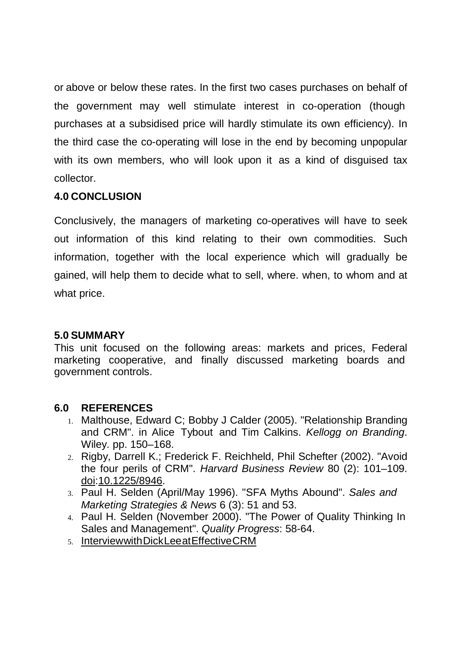or above or below these rates. In the first two cases purchases on behalf of the government may well stimulate interest in co-operation (though purchases at a subsidised price will hardly stimulate its own efficiency). In the third case the co-operating will lose in the end by becoming unpopular with its own members, who will look upon it as a kind of disguised tax collector.

# **4.0 CONCLUSION**

Conclusively, the managers of marketing co-operatives will have to seek out information of this kind relating to their own commodities. Such information, together with the local experience which will gradually be gained, will help them to decide what to sell, where. when, to whom and at what price.

# **5.0 SUMMARY**

This unit focused on the following areas: markets and prices, Federal marketing cooperative, and finally discussed marketing boards and government controls.

# **6.0 REFERENCES**

- 1. Malthouse, Edward C; Bobby J Calder (2005). "Relationship Branding and CRM". in Alice Tybout and Tim Calkins. Kellogg on Branding. Wiley. pp. 150–168.
- 2. Rigby, Darrell K.; Frederick F. Reichheld, Phil Schefter (2002). "Avoid the four perils of CRM". Harvard Business Review 80 (2): 101–109. doi:10.1225/8946.
- 3. Paul H. Selden (April/May 1996). "SFA Myths Abound". Sales and Marketing Strategies & News 6 (3): 51 and 53.
- 4. Paul H. Selden (November 2000). "The Power of Quality Thinking In Sales and Management". Quality Progress: 58-64.
- 5. Interview with Dick Lee at Effective CRM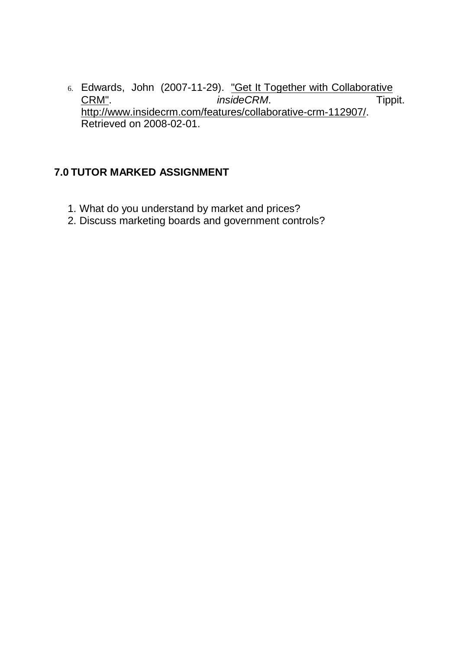6. Edwards, John (2007-11-29). "Get It Together with Collaborative<br>CRM". *insideCRM*. Tipp insideCRM. Tippit. http://www.insidecrm.com/features/collaborative-crm-112907/. Retrieved on 2008-02-01.

# **7.0 TUTOR MARKED ASSIGNMENT**

- 1. What do you understand by market and prices?
- 2. Discuss marketing boards and government controls?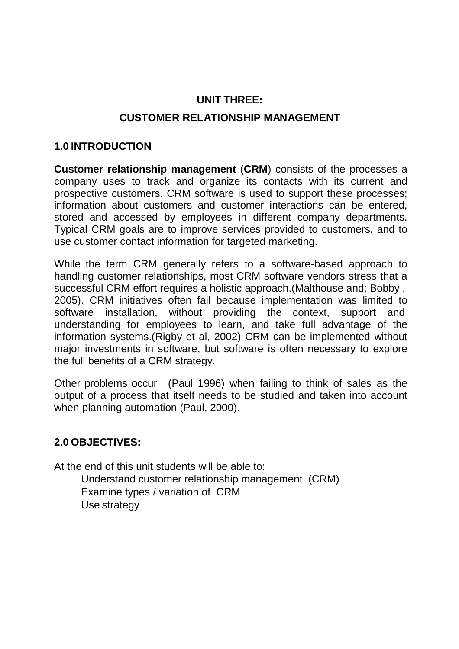# **UNIT THREE: CUSTOMER RELATIONSHIP MANAGEMENT**

# **1.0 INTRODUCTION**

**Customer relationship management** (**CRM**) consists of the processes a company uses to track and organize its contacts with its current and prospective customers. CRM software is used to support these processes; information about customers and customer interactions can be entered, stored and accessed by employees in different company departments. Typical CRM goals are to improve services provided to customers, and to use customer contact information for targeted marketing.

While the term CRM generally refers to a software-based approach to handling customer relationships, most CRM software vendors stress that a successful CRM effort requires a holistic approach.(Malthouse and; Bobby , 2005). CRM initiatives often fail because implementation was limited to software installation, without providing the context, support and understanding for employees to learn, and take full advantage of the information systems.(Rigby et al, 2002) CRM can be implemented without major investments in software, but software is often necessary to explore the full benefits of a CRM strategy.

Other problems occur (Paul 1996) when failing to think of sales as the output of a process that itself needs to be studied and taken into account when planning automation (Paul, 2000).

# **2.0 OBJECTIVES:**

At the end of this unit students will be able to: Understand customer relationship management (CRM) Examine types / variation of CRM Use strategy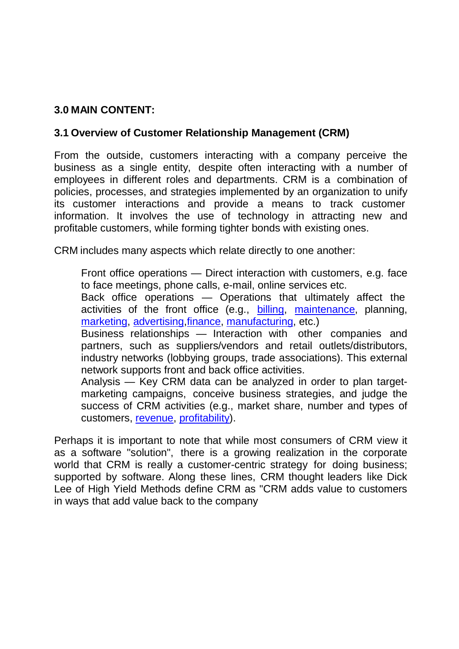# **3.0 MAIN CONTENT:**

# **3.1 Overview of Customer Relationship Management (CRM)**

From the outside, customers interacting with a company perceive the business as a single entity, despite often interacting with a number of employees in different roles and departments. CRM is a combination of policies, processes, and strategies implemented by an organization to unify its customer interactions and provide a means to track customer information. It involves the use of technology in attracting new and profitable customers, while forming tighter bonds with existing ones.

CRM includes many aspects which relate directly to one another:

Front office operations — Direct interaction with customers, e.g. face to face meetings, phone calls, e-mail, online services etc.

Back office operations — Operations that ultimately affect the activities of the front office (e.g., billing, maintenance, planning, marketing, advertising,finance, manufacturing, etc.)

Business relationships — Interaction with other companies and partners, such as suppliers/vendors and retail outlets/distributors, industry networks (lobbying groups, trade associations). This external network supports front and back office activities.

Analysis — Key CRM data can be analyzed in order to plan targetmarketing campaigns, conceive business strategies, and judge the success of CRM activities (e.g., market share, number and types of customers, revenue, profitability).

Perhaps it is important to note that while most consumers of CRM view it as a software "solution", there is a growing realization in the corporate world that CRM is really a customer-centric strategy for doing business; supported by software. Along these lines, CRM thought leaders like Dick Lee of High Yield Methods define CRM as "CRM adds value to customers in ways that add value back to the company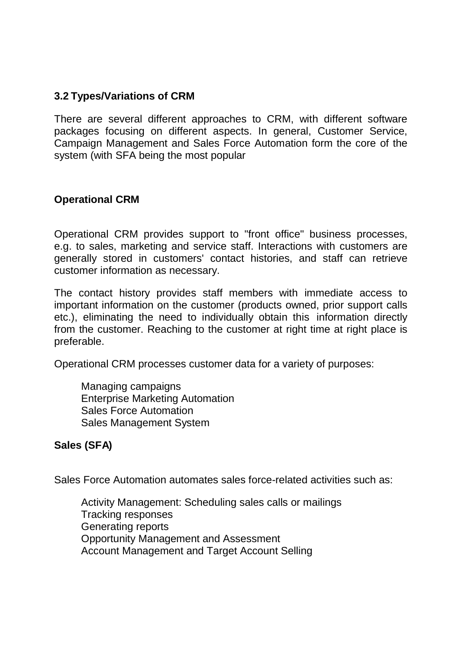# **3.2 Types/Variations of CRM**

There are several different approaches to CRM, with different software packages focusing on different aspects. In general, Customer Service, Campaign Management and Sales Force Automation form the core of the system (with SFA being the most popular

# **Operational CRM**

Operational CRM provides support to "front office" business processes, e.g. to sales, marketing and service staff. Interactions with customers are generally stored in customers' contact histories, and staff can retrieve customer information as necessary.

The contact history provides staff members with immediate access to important information on the customer (products owned, prior support calls etc.), eliminating the need to individually obtain this information directly from the customer. Reaching to the customer at right time at right place is preferable.

Operational CRM processes customer data for a variety of purposes:

Managing campaigns Enterprise Marketing Automation Sales Force Automation Sales Management System

# **Sales (SFA)**

Sales Force Automation automates sales force-related activities such as:

Activity Management: Scheduling sales calls or mailings Tracking responses Generating reports Opportunity Management and Assessment Account Management and Target Account Selling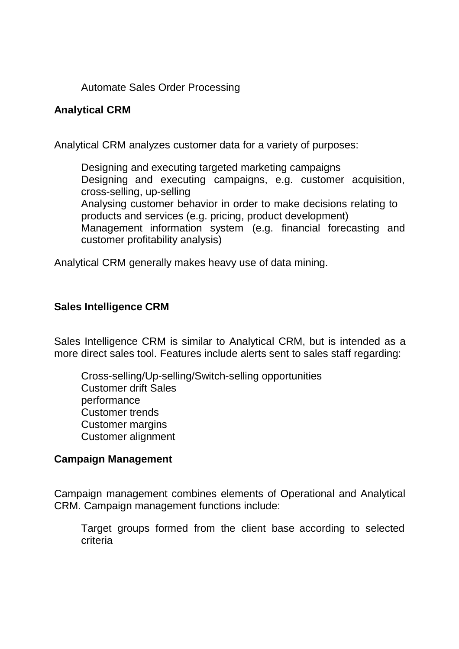Automate Sales Order Processing

# **Analytical CRM**

Analytical CRM analyzes customer data for a variety of purposes:

Designing and executing targeted marketing campaigns Designing and executing campaigns, e.g. customer acquisition, cross-selling, up-selling Analysing customer behavior in order to make decisions relating to products and services (e.g. pricing, product development) Management information system (e.g. financial forecasting and customer profitability analysis)

Analytical CRM generally makes heavy use of data mining.

# **Sales Intelligence CRM**

Sales Intelligence CRM is similar to Analytical CRM, but is intended as a more direct sales tool. Features include alerts sent to sales staff regarding:

Cross-selling/Up-selling/Switch-selling opportunities Customer drift Sales performance Customer trends Customer margins Customer alignment

# **Campaign Management**

Campaign management combines elements of Operational and Analytical CRM. Campaign management functions include:

Target groups formed from the client base according to selected criteria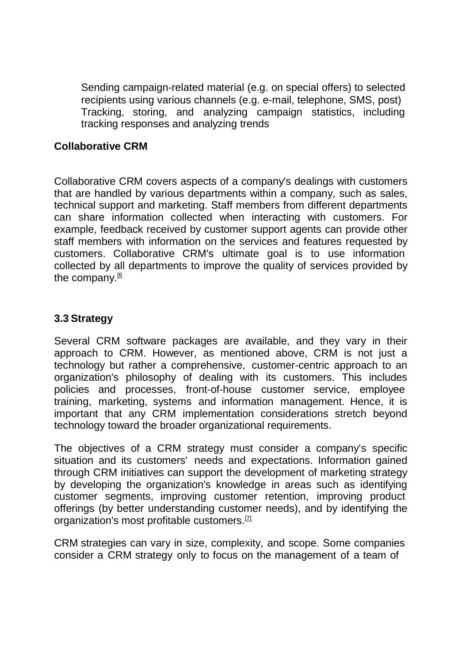Sending campaign-related material (e.g. on special offers) to selected recipients using various channels (e.g. e-mail, telephone, SMS, post) Tracking, storing, and analyzing campaign statistics, including tracking responses and analyzing trends

## **Collaborative CRM**

Collaborative CRM covers aspects of a company's dealings with customers that are handled by various departments within a company, such as sales, technical support and marketing. Staff members from different departments can share information collected when interacting with customers. For example, feedback received by customer support agents can provide other staff members with information on the services and features requested by customers. Collaborative CRM's ultimate goal is to use information collected by all departments to improve the quality of services provided by the company. $6$ 

## **3.3 Strategy**

Several CRM software packages are available, and they vary in their approach to CRM. However, as mentioned above, CRM is not just a technology but rather a comprehensive, customer-centric approach to an organization's philosophy of dealing with its customers. This includes policies and processes, front-of-house customer service, employee training, marketing, systems and information management. Hence, it is important that any CRM implementation considerations stretch beyond technology toward the broader organizational requirements.

The objectives of a CRM strategy must consider a company's specific situation and its customers' needs and expectations. Information gained through CRM initiatives can support the development of marketing strategy by developing the organization's knowledge in areas such as identifying customer segments, improving customer retention, improving product offerings (by better understanding customer needs), and by identifying the organization's most profitable customers. $[7]$ 

CRM strategies can vary in size, complexity, and scope. Some companies consider a CRM strategy only to focus on the management of a team of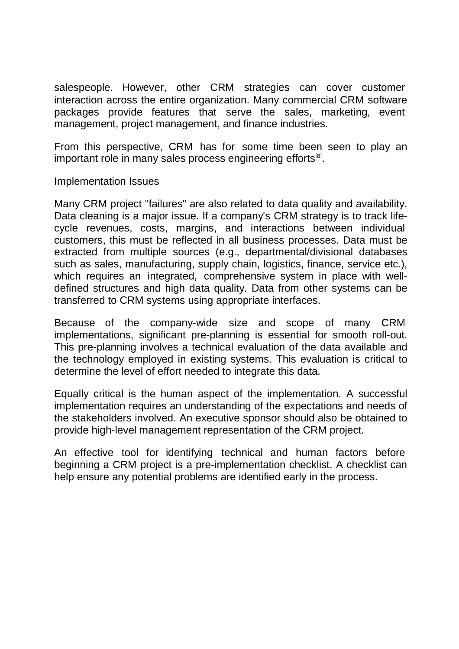salespeople. However, other CRM strategies can cover customer interaction across the entire organization. Many commercial CRM software packages provide features that serve the sales, marketing, event management, project management, and finance industries.

From this perspective, CRM has for some time been seen to play an important role in many sales process engineering efforts<sup>®</sup>.

Implementation Issues

Many CRM project "failures" are also related to data quality and availability. Data cleaning is a major issue. If a company's CRM strategy is to track lifecycle revenues, costs, margins, and interactions between individual customers, this must be reflected in all business processes. Data must be extracted from multiple sources (e.g., departmental/divisional databases such as sales, manufacturing, supply chain, logistics, finance, service etc.), which requires an integrated, comprehensive system in place with welldefined structures and high data quality. Data from other systems can be transferred to CRM systems using appropriate interfaces.

Because of the company-wide size and scope of many CRM implementations, significant pre-planning is essential for smooth roll-out. This pre-planning involves a technical evaluation of the data available and the technology employed in existing systems. This evaluation is critical to determine the level of effort needed to integrate this data.

Equally critical is the human aspect of the implementation. A successful implementation requires an understanding of the expectations and needs of the stakeholders involved. An executive sponsor should also be obtained to provide high-level management representation of the CRM project.

An effective tool for identifying technical and human factors before beginning a CRM project is a pre-implementation checklist. A checklist can help ensure any potential problems are identified early in the process.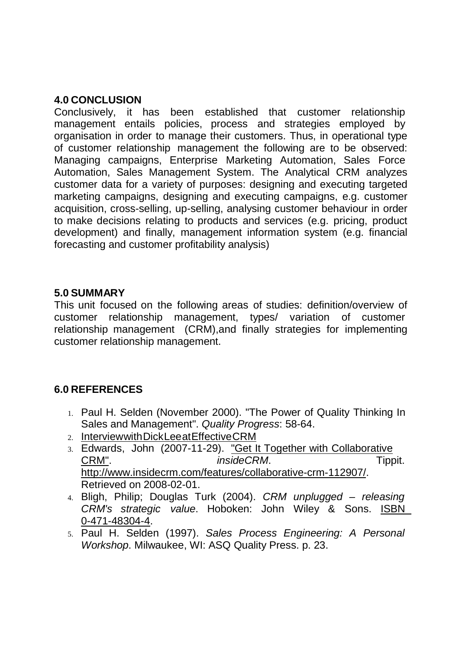# **4.0 CONCLUSION**

Conclusively, it has been established that customer relationship management entails policies, process and strategies employed by organisation in order to manage their customers. Thus, in operational type of customer relationship management the following are to be observed: Managing campaigns, Enterprise Marketing Automation, Sales Force Automation, Sales Management System. The Analytical CRM analyzes customer data for a variety of purposes: designing and executing targeted marketing campaigns, designing and executing campaigns, e.g. customer acquisition, cross-selling, up-selling, analysing customer behaviour in order to make decisions relating to products and services (e.g. pricing, product development) and finally, management information system (e.g. financial forecasting and customer profitability analysis)

## **5.0 SUMMARY**

This unit focused on the following areas of studies: definition/overview of customer relationship management, types/ variation of customer relationship management (CRM),and finally strategies for implementing customer relationship management.

## **6.0 REFERENCES**

- 1. Paul H. Selden (November 2000). "The Power of Quality Thinking In Sales and Management". Quality Progress: 58-64.
- 2. Interview with Dick Lee at Effective CRM
- 3. Edwards, John (2007-11-29). "Get It Together with Collaborative CRM". CRM". CRM: insideCRM. Tippit. http://www.insidecrm.com/features/collaborative-crm-112907/. Retrieved on 2008-02-01.
- 4. Bligh, Philip; Douglas Turk (2004). CRM unplugged releasing CRM's strategic value. Hoboken: John Wiley & Sons. ISBN 0-471-48304-4.
- 5. Paul H. Selden (1997). Sales Process Engineering: A Personal Workshop. Milwaukee, WI: ASQ Quality Press. p. 23.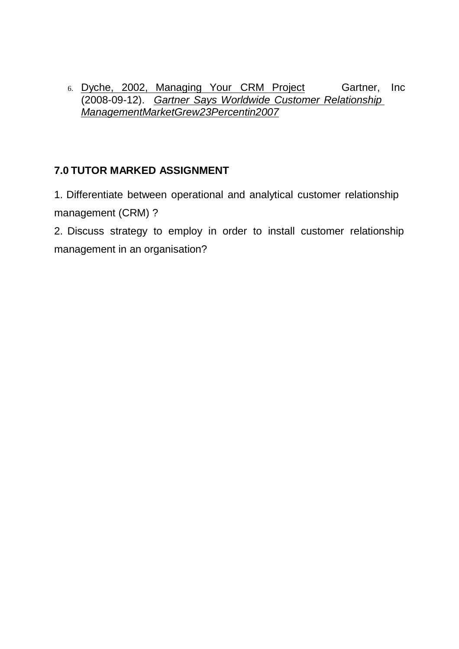6. Dyche, 2002, Managing Your CRM Project Gartner, Inc (2008-09-12). Gartner Says Worldwide Customer Relationship ManagementMarketGrew23Percentin2007

# **7.0 TUTOR MARKED ASSIGNMENT**

1. Differentiate between operational and analytical customer relationship management (CRM) ?

2. Discuss strategy to employ in order to install customer relationship management in an organisation?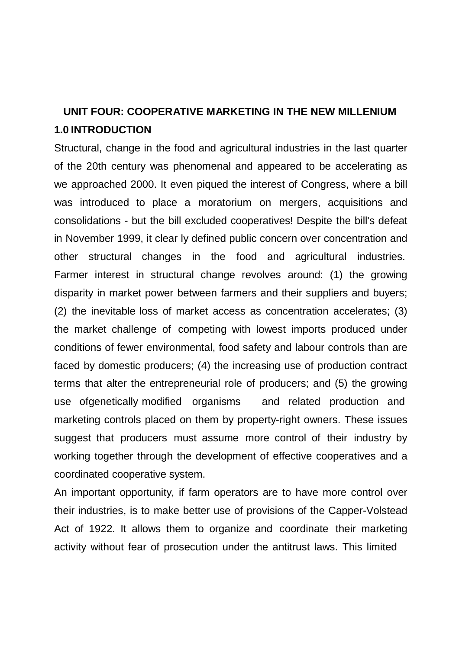# **UNIT FOUR: COOPERATIVE MARKETING IN THE NEW MILLENIUM 1.0 INTRODUCTION**

Structural, change in the food and agricultural industries in the last quarter of the 20th century was phenomenal and appeared to be accelerating as we approached 2000. It even piqued the interest of Congress, where a bill was introduced to place a moratorium on mergers, acquisitions and consolidations - but the bill excluded cooperatives! Despite the bill's defeat in November 1999, it clear ly defined public concern over concentration and other structural changes in the food and agricultural industries. Farmer interest in structural change revolves around: (1) the growing disparity in market power between farmers and their suppliers and buyers; (2) the inevitable loss of market access as concentration accelerates; (3) the market challenge of competing with lowest imports produced under conditions of fewer environmental, food safety and labour controls than are faced by domestic producers; (4) the increasing use of production contract terms that alter the entrepreneurial role of producers; and (5) the growing use of genetically modified organisms and related production and marketing controls placed on them by property-right owners. These issues suggest that producers must assume more control of their industry by working together through the development of effective cooperatives and a coordinated cooperative system.

An important opportunity, if farm operators are to have more control over their industries, is to make better use of provisions of the Capper-Volstead Act of 1922. It allows them to organize and coordinate their marketing activity without fear of prosecution under the antitrust laws. This limited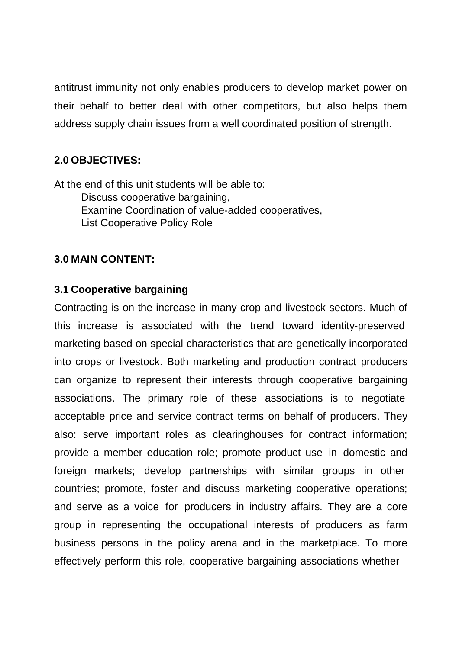antitrust immunity not only enables producers to develop market power on their behalf to better deal with other competitors, but also helps them address supply chain issues from a well coordinated position of strength.

## **2.0 OBJECTIVES:**

At the end of this unit students will be able to: Discuss cooperative bargaining, Examine Coordination of value-added cooperatives, List Cooperative Policy Role

## **3.0 MAIN CONTENT:**

## **3.1 Cooperative bargaining**

Contracting is on the increase in many crop and livestock sectors. Much of this increase is associated with the trend toward identity-preserved marketing based on special characteristics that are genetically incorporated into crops or livestock. Both marketing and production contract producers can organize to represent their interests through cooperative bargaining associations. The primary role of these associations is to negotiate acceptable price and service contract terms on behalf of producers. They also: serve important roles as clearinghouses for contract information; provide a member education role; promote product use in domestic and foreign markets; develop partnerships with similar groups in other countries; promote, foster and discuss marketing cooperative operations; and serve as a voice for producers in industry affairs. They are a core group in representing the occupational interests of producers as farm business persons in the policy arena and in the marketplace. To more effectively perform this role, cooperative bargaining associations whether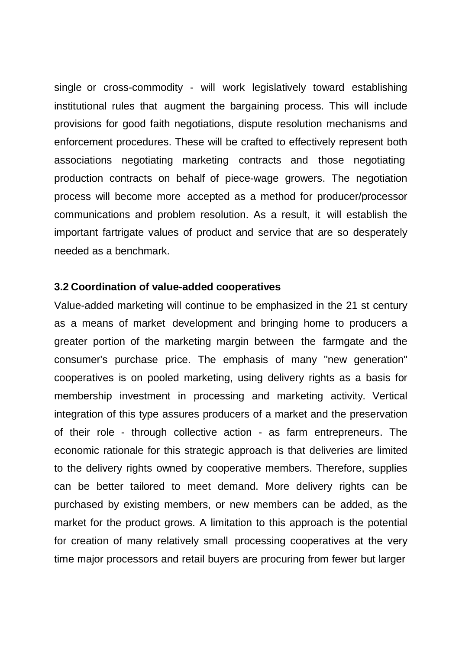single or cross-commodity - will work legislatively toward establishing institutional rules that augment the bargaining process. This will include provisions for good faith negotiations, dispute resolution mechanisms and enforcement procedures. These will be crafted to effectively represent both associations negotiating marketing contracts and those negotiating production contracts on behalf of piece-wage growers. The negotiation process will become more accepted as a method for producer/processor communications and problem resolution. As a result, it will establish the important fartrigate values of product and service that are so desperately needed as a benchmark.

#### **3.2 Coordination of value-added cooperatives**

Value-added marketing will continue to be emphasized in the 21 st century as a means of market development and bringing home to producers a greater portion of the marketing margin between the farmgate and the consumer's purchase price. The emphasis of many "new generation" cooperatives is on pooled marketing, using delivery rights as a basis for membership investment in processing and marketing activity. Vertical integration of this type assures producers of a market and the preservation of their role - through collective action - as farm entrepreneurs. The economic rationale for this strategic approach is that deliveries are limited to the delivery rights owned by cooperative members. Therefore, supplies can be better tailored to meet demand. More delivery rights can be purchased by existing members, or new members can be added, as the market for the product grows. A limitation to this approach is the potential for creation of many relatively small processing cooperatives at the very time major processors and retail buyers are procuring from fewer but larger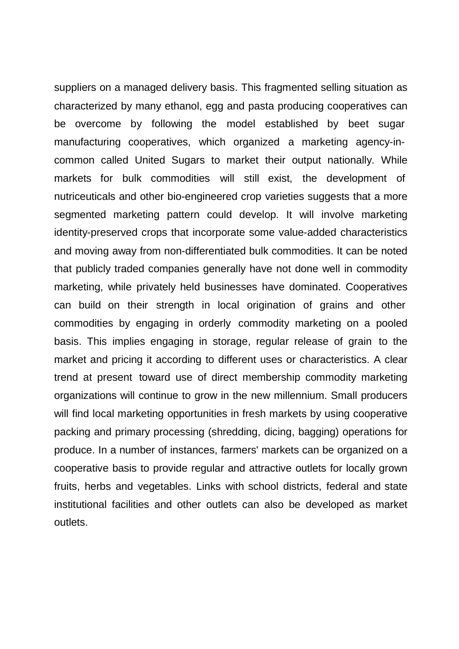suppliers on a managed delivery basis. This fragmented selling situation as characterized by many ethanol, egg and pasta producing cooperatives can be overcome by following the model established by beet sugar manufacturing cooperatives, which organized a marketing agency-incommon called United Sugars to market their output nationally. While markets for bulk commodities will still exist, the development of nutriceuticals and other bio-engineered crop varieties suggests that a more segmented marketing pattern could develop. It will involve marketing identity-preserved crops that incorporate some value-added characteristics and moving away from non-differentiated bulk commodities. It can be noted that publicly traded companies generally have not done well in commodity marketing, while privately held businesses have dominated. Cooperatives can build on their strength in local origination of grains and other commodities by engaging in orderly commodity marketing on a pooled basis. This implies engaging in storage, regular release of grain to the market and pricing it according to different uses or characteristics. A clear trend at present toward use of direct membership commodity marketing organizations will continue to grow in the new millennium. Small producers will find local marketing opportunities in fresh markets by using cooperative packing and primary processing (shredding, dicing, bagging) operations for produce. In a number of instances, farmers' markets can be organized on a cooperative basis to provide regular and attractive outlets for locally grown fruits, herbs and vegetables. Links with school districts, federal and state institutional facilities and other outlets can also be developed as market outlets.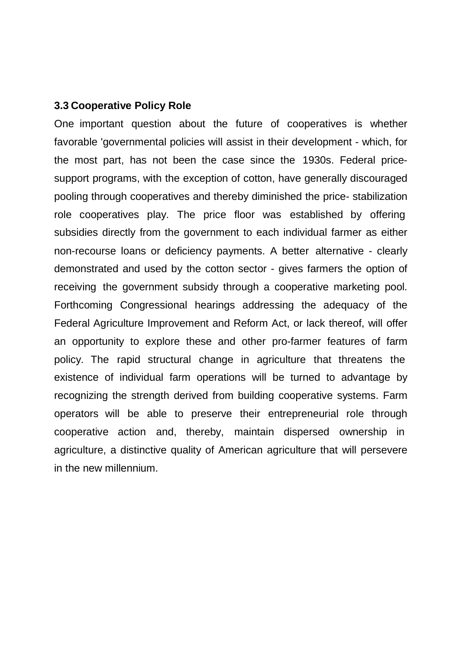#### **3.3 Cooperative Policy Role**

One important question about the future of cooperatives is whether favorable 'governmental policies will assist in their development - which, for the most part, has not been the case since the 1930s. Federal pricesupport programs, with the exception of cotton, have generally discouraged pooling through cooperatives and thereby diminished the price- stabilization role cooperatives play. The price floor was established by offering subsidies directly from the government to each individual farmer as either non-recourse loans or deficiency payments. A better alternative - clearly demonstrated and used by the cotton sector - gives farmers the option of receiving the government subsidy through a cooperative marketing pool. Forthcoming Congressional hearings addressing the adequacy of the Federal Agriculture Improvement and Reform Act, or lack thereof, will offer an opportunity to explore these and other pro-farmer features of farm policy. The rapid structural change in agriculture that threatens the existence of individual farm operations will be turned to advantage by recognizing the strength derived from building cooperative systems. Farm operators will be able to preserve their entrepreneurial role through cooperative action and, thereby, maintain dispersed ownership in agriculture, a distinctive quality of American agriculture that will persevere in the new millennium.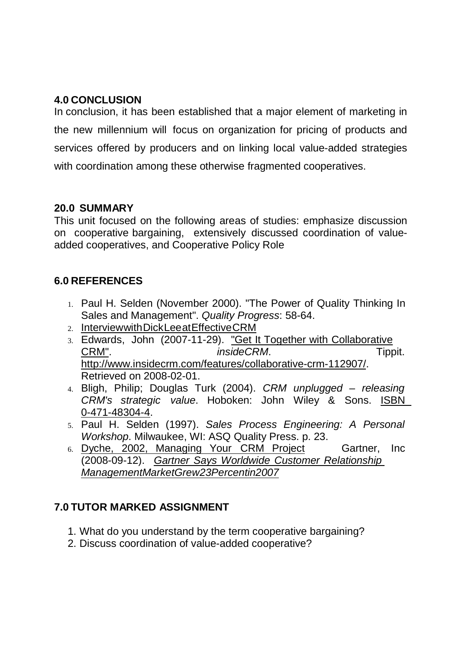# **4.0 CONCLUSION**

In conclusion, it has been established that a major element of marketing in the new millennium will focus on organization for pricing of products and services offered by producers and on linking local value-added strategies with coordination among these otherwise fragmented cooperatives.

## **20.0 SUMMARY**

This unit focused on the following areas of studies: emphasize discussion on cooperative bargaining, extensively discussed coordination of valueadded cooperatives, and Cooperative Policy Role

# **6.0 REFERENCES**

- 1. Paul H. Selden (November 2000). "The Power of Quality Thinking In Sales and Management". Quality Progress: 58-64.
- 2. Interview with Dick Lee at Effective CRM
- 3. Edwards, John (2007-11-29). "Get It Together with Collaborative CRM". CRM". CRM. Tippit. http://www.insidecrm.com/features/collaborative-crm-112907/. Retrieved on 2008-02-01.
- 4. Bligh, Philip; Douglas Turk (2004). CRM unplugged releasing CRM's strategic value. Hoboken: John Wiley & Sons. ISBN 0-471-48304-4.
- 5. Paul H. Selden (1997). Sales Process Engineering: A Personal Workshop. Milwaukee, WI: ASQ Quality Press. p. 23.
- 6. Dyche, 2002, Managing Your CRM Project Gartner, Inc (2008-09-12). Gartner Says Worldwide Customer Relationship ManagementMarketGrew23Percentin2007

## **7.0 TUTOR MARKED ASSIGNMENT**

- 1. What do you understand by the term cooperative bargaining?
- 2. Discuss coordination of value-added cooperative?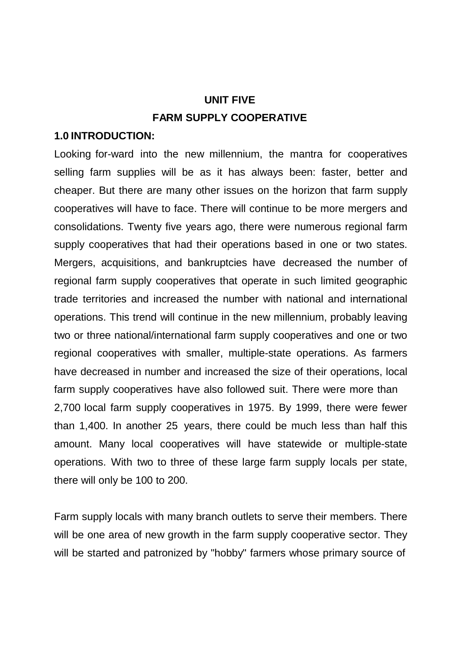# **UNIT FIVE FARM SUPPLY COOPERATIVE**

#### **1.0 INTRODUCTION:**

Looking for-ward into the new millennium, the mantra for cooperatives selling farm supplies will be as it has always been: faster, better and cheaper. But there are many other issues on the horizon that farm supply cooperatives will have to face. There will continue to be more mergers and consolidations. Twenty five years ago, there were numerous regional farm supply cooperatives that had their operations based in one or two states. Mergers, acquisitions, and bankruptcies have decreased the number of regional farm supply cooperatives that operate in such limited geographic trade territories and increased the number with national and international operations. This trend will continue in the new millennium, probably leaving two or three national/international farm supply cooperatives and one or two regional cooperatives with smaller, multiple-state operations. As farmers have decreased in number and increased the size of their operations, local farm supply cooperatives have also followed suit. There were more than 2,700 local farm supply cooperatives in 1975. By 1999, there were fewer than 1,400. In another 25 years, there could be much less than half this amount. Many local cooperatives will have statewide or multiple-state operations. With two to three of these large farm supply locals per state, there will only be 100 to 200.

Farm supply locals with many branch outlets to serve their members. There will be one area of new growth in the farm supply cooperative sector. They will be started and patronized by "hobby" farmers whose primary source of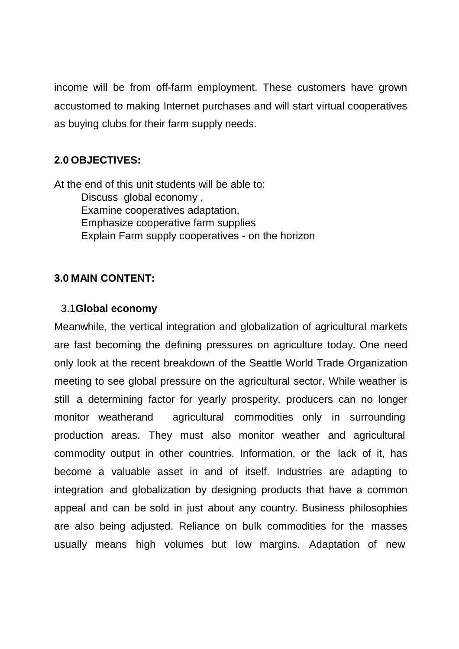income will be from off-farm employment. These customers have grown accustomed to making Internet purchases and will start virtual cooperatives as buying clubs for their farm supply needs.

# **2.0 OBJECTIVES:**

At the end of this unit students will be able to: Discuss global economy , Examine cooperatives adaptation, Emphasize cooperative farm supplies Explain Farm supply cooperatives - on the horizon

## **3.0 MAIN CONTENT:**

## 3.1**Global economy**

Meanwhile, the vertical integration and globalization of agricultural markets are fast becoming the defining pressures on agriculture today. One need only look at the recent breakdown of the Seattle World Trade Organization meeting to see global pressure on the agricultural sector. While weather is still a determining factor for yearly prosperity, producers can no longer monitor weather and agricultural commodities only in surrounding production areas. They must also monitor weather and agricultural commodity output in other countries. Information, or the lack of it, has become a valuable asset in and of itself. Industries are adapting to integration and globalization by designing products that have a common appeal and can be sold in just about any country. Business philosophies are also being adjusted. Reliance on bulk commodities for the masses usually means high volumes but low margins. Adaptation of new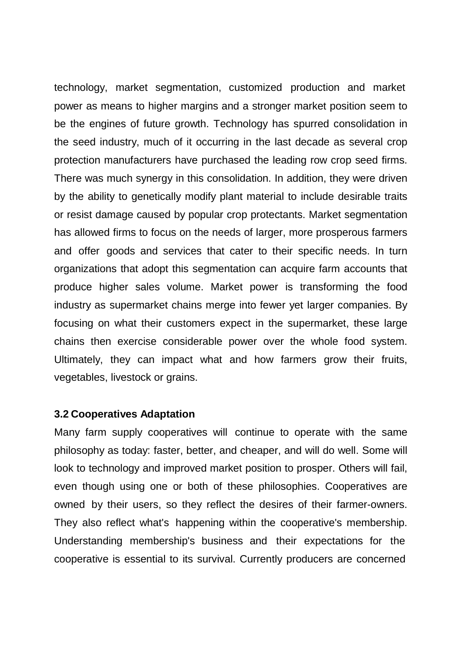technology, market segmentation, customized production and market power as means to higher margins and a stronger market position seem to be the engines of future growth. Technology has spurred consolidation in the seed industry, much of it occurring in the last decade as several crop protection manufacturers have purchased the leading row crop seed firms. There was much synergy in this consolidation. In addition, they were driven by the ability to genetically modify plant material to include desirable traits or resist damage caused by popular crop protectants. Market segmentation has allowed firms to focus on the needs of larger, more prosperous farmers and offer goods and services that cater to their specific needs. In turn organizations that adopt this segmentation can acquire farm accounts that produce higher sales volume. Market power is transforming the food industry as supermarket chains merge into fewer yet larger companies. By focusing on what their customers expect in the supermarket, these large chains then exercise considerable power over the whole food system. Ultimately, they can impact what and how farmers grow their fruits, vegetables, livestock or grains.

#### **3.2 Cooperatives Adaptation**

Many farm supply cooperatives will continue to operate with the same philosophy as today: faster, better, and cheaper, and will do well. Some will look to technology and improved market position to prosper. Others will fail, even though using one or both of these philosophies. Cooperatives are owned by their users, so they reflect the desires of their farmer-owners. They also reflect what's happening within the cooperative's membership. Understanding membership's business and their expectations for the cooperative is essential to its survival. Currently producers are concerned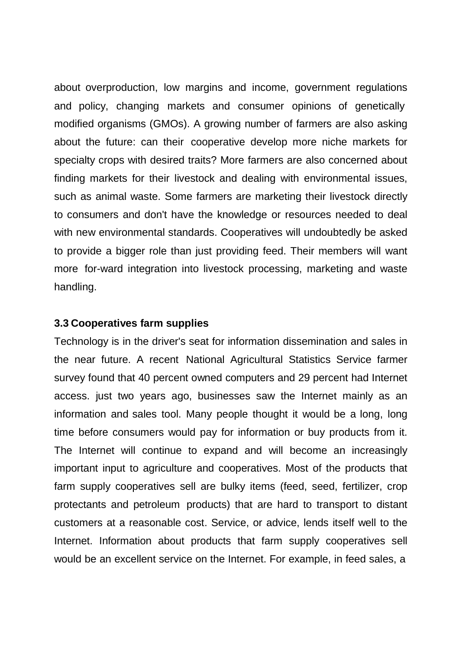about overproduction, low margins and income, government regulations and policy, changing markets and consumer opinions of genetically modified organisms (GMOs). A growing number of farmers are also asking about the future: can their cooperative develop more niche markets for specialty crops with desired traits? More farmers are also concerned about finding markets for their livestock and dealing with environmental issues, such as animal waste. Some farmers are marketing their livestock directly to consumers and don't have the knowledge or resources needed to deal with new environmental standards. Cooperatives will undoubtedly be asked to provide a bigger role than just providing feed. Their members will want more for-ward integration into livestock processing, marketing and waste handling.

#### **3.3 Cooperatives farm supplies**

Technology is in the driver's seat for information dissemination and sales in the near future. A recent National Agricultural Statistics Service farmer survey found that 40 percent owned computers and 29 percent had Internet access. just two years ago, businesses saw the Internet mainly as an information and sales tool. Many people thought it would be a long, long time before consumers would pay for information or buy products from it. The Internet will continue to expand and will become an increasingly important input to agriculture and cooperatives. Most of the products that farm supply cooperatives sell are bulky items (feed, seed, fertilizer, crop protectants and petroleum products) that are hard to transport to distant customers at a reasonable cost. Service, or advice, lends itself well to the Internet. Information about products that farm supply cooperatives sell would be an excellent service on the Internet. For example, in feed sales, a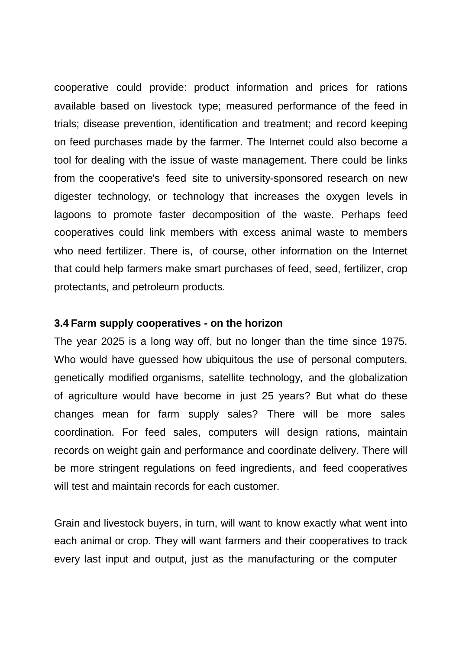cooperative could provide: product information and prices for rations available based on livestock type; measured performance of the feed in trials; disease prevention, identification and treatment; and record keeping on feed purchases made by the farmer. The Internet could also become a tool for dealing with the issue of waste management. There could be links from the cooperative's feed site to university-sponsored research on new digester technology, or technology that increases the oxygen levels in lagoons to promote faster decomposition of the waste. Perhaps feed cooperatives could link members with excess animal waste to members who need fertilizer. There is, of course, other information on the Internet that could help farmers make smart purchases of feed, seed, fertilizer, crop protectants, and petroleum products.

#### **3.4 Farm supply cooperatives - on the horizon**

The year 2025 is a long way off, but no longer than the time since 1975. Who would have guessed how ubiquitous the use of personal computers, genetically modified organisms, satellite technology, and the globalization of agriculture would have become in just 25 years? But what do these changes mean for farm supply sales? There will be more sales coordination. For feed sales, computers will design rations, maintain records on weight gain and performance and coordinate delivery. There will be more stringent regulations on feed ingredients, and feed cooperatives will test and maintain records for each customer.

Grain and livestock buyers, in turn, will want to know exactly what went into each animal or crop. They will want farmers and their cooperatives to track every last input and output, just as the manufacturing or the computer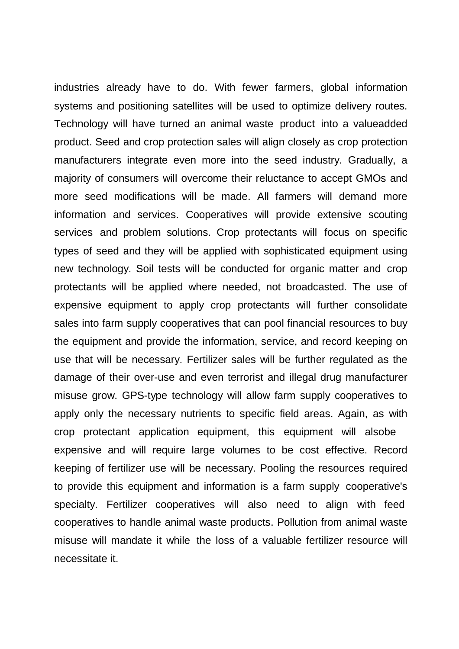industries already have to do. With fewer farmers, global information systems and positioning satellites will be used to optimize delivery routes. Technology will have turned an animal waste product into a valueadded product. Seed and crop protection sales will align closely as crop protection manufacturers integrate even more into the seed industry. Gradually, a majority of consumers will overcome their reluctance to accept GMOs and more seed modifications will be made. All farmers will demand more information and services. Cooperatives will provide extensive scouting services and problem solutions. Crop protectants will focus on specific types of seed and they will be applied with sophisticated equipment using new technology. Soil tests will be conducted for organic matter and crop protectants will be applied where needed, not broadcasted. The use of expensive equipment to apply crop protectants will further consolidate sales into farm supply cooperatives that can pool financial resources to buy the equipment and provide the information, service, and record keeping on use that will be necessary. Fertilizer sales will be further regulated as the damage of their over-use and even terrorist and illegal drug manufacturer misuse grow. GPS-type technology will allow farm supply cooperatives to apply only the necessary nutrients to specific field areas. Again, as with crop protectant application equipment, this equipment will alsobe expensive and will require large volumes to be cost effective. Record keeping of fertilizer use will be necessary. Pooling the resources required to provide this equipment and information is a farm supply cooperative's specialty. Fertilizer cooperatives will also need to align with feed cooperatives to handle animal waste products. Pollution from animal waste misuse will mandate it while the loss of a valuable fertilizer resource will necessitate it.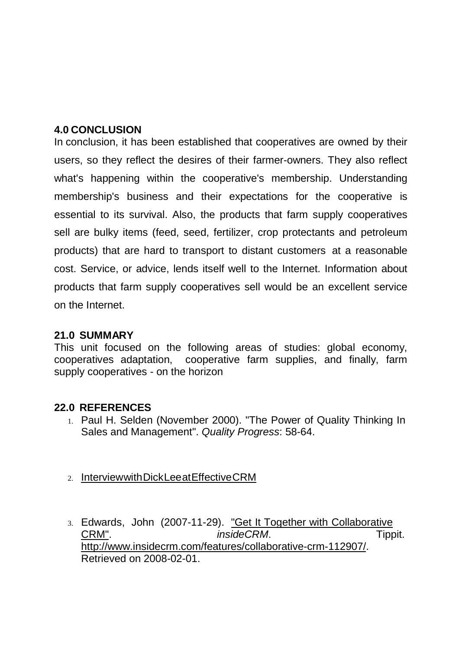## **4.0 CONCLUSION**

In conclusion, it has been established that cooperatives are owned by their users, so they reflect the desires of their farmer-owners. They also reflect what's happening within the cooperative's membership. Understanding membership's business and their expectations for the cooperative is essential to its survival. Also, the products that farm supply cooperatives sell are bulky items (feed, seed, fertilizer, crop protectants and petroleum products) that are hard to transport to distant customers at a reasonable cost. Service, or advice, lends itself well to the Internet. Information about products that farm supply cooperatives sell would be an excellent service on the Internet.

## **21.0 SUMMARY**

This unit focused on the following areas of studies: global economy, cooperatives adaptation, cooperative farm supplies, and finally, farm supply cooperatives - on the horizon

## **22.0 REFERENCES**

1. Paul H. Selden (November 2000). "The Power of Quality Thinking In Sales and Management". Quality Progress: 58-64.

## 2. Interview with Dick Lee at Effective CRM

3. Edwards, John (2007-11-29). "Get It Together with Collaborative CRM". CRM". insideCRM. Tippit. http://www.insidecrm.com/features/collaborative-crm-112907/. Retrieved on 2008-02-01.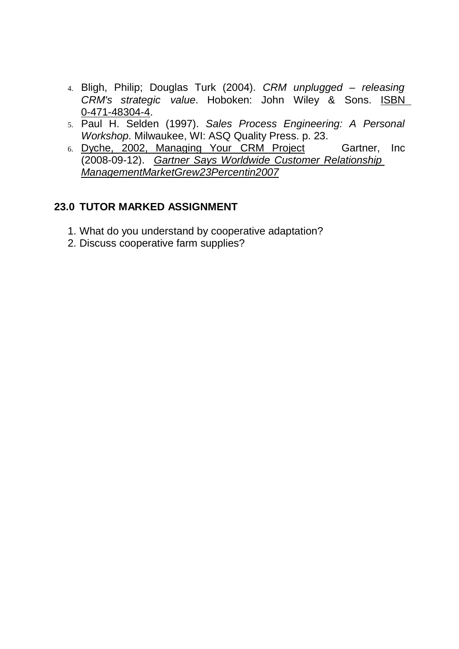- 4. Bligh, Philip; Douglas Turk (2004). CRM unplugged releasing CRM's strategic value. Hoboken: John Wiley & Sons. ISBN 0-471-48304-4.
- 5. Paul H. Selden (1997). Sales Process Engineering: A Personal Workshop. Milwaukee, WI: ASQ Quality Press. p. 23.
- 6. Dyche, 2002, Managing Your CRM Project Gartner, Inc (2008-09-12). Gartner Says Worldwide Customer Relationship ManagementMarketGrew23Percentin2007

## **23.0 TUTOR MARKED ASSIGNMENT**

- 1. What do you understand by cooperative adaptation?
- 2. Discuss cooperative farm supplies?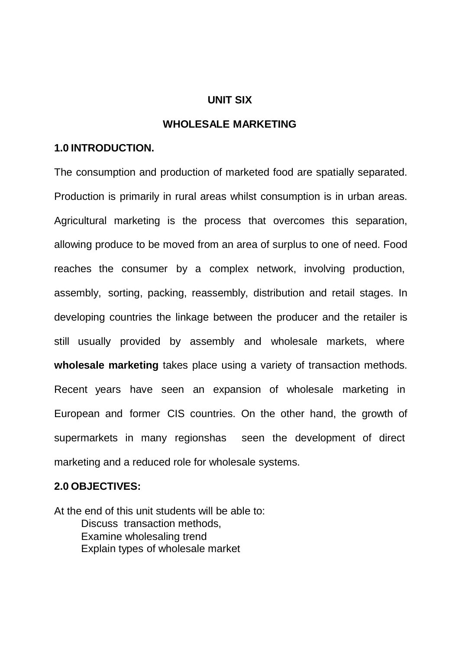#### **UNIT SIX**

#### **WHOLESALE MARKETING**

#### **1.0 INTRODUCTION.**

The consumption and production of marketed food are spatially separated. Production is primarily in rural areas whilst consumption is in urban areas. Agricultural marketing is the process that overcomes this separation, allowing produce to be moved from an area of surplus to one of need. Food reaches the consumer by a complex network, involving production, assembly, sorting, packing, reassembly, distribution and retail stages. In developing countries the linkage between the producer and the retailer is still usually provided by assembly and wholesale markets, where **wholesale marketing** takes place using a variety of transaction methods. Recent years have seen an expansion of wholesale marketing in European and former CIS countries. On the other hand, the growth of supermarkets in many regionshas seen the development of direct marketing and a reduced role for wholesale systems.

#### **2.0 OBJECTIVES:**

At the end of this unit students will be able to: Discuss transaction methods, Examine wholesaling trend Explain types of wholesale market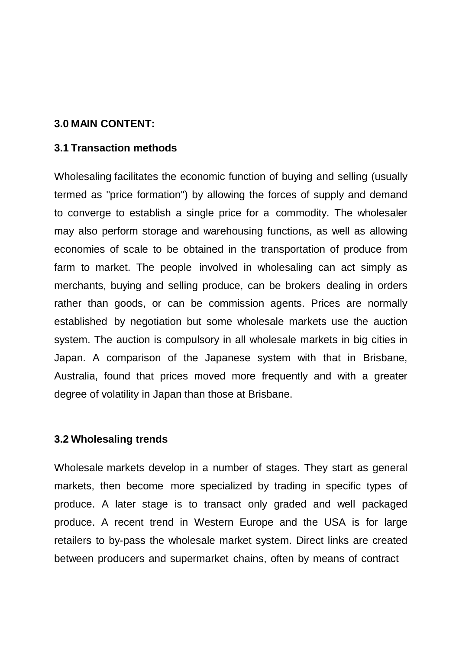#### **3.0 MAIN CONTENT:**

#### **3.1 Transaction methods**

Wholesaling facilitates the economic function of buying and selling (usually termed as "price formation") by allowing the forces of supply and demand to converge to establish a single price for a commodity. The wholesaler may also perform storage and warehousing functions, as well as allowing economies of scale to be obtained in the transportation of produce from farm to market. The people involved in wholesaling can act simply as merchants, buying and selling produce, can be brokers dealing in orders rather than goods, or can be commission agents. Prices are normally established by negotiation but some wholesale markets use the auction system. The auction is compulsory in all wholesale markets in big cities in Japan. A comparison of the Japanese system with that in Brisbane, Australia, found that prices moved more frequently and with a greater degree of volatility in Japan than those at Brisbane.

## **3.2 Wholesaling trends**

Wholesale markets develop in a number of stages. They start as general markets, then become more specialized by trading in specific types of produce. A later stage is to transact only graded and well packaged produce. A recent trend in Western Europe and the USA is for large retailers to by-pass the wholesale market system. Direct links are created between producers and supermarket chains, often by means of contract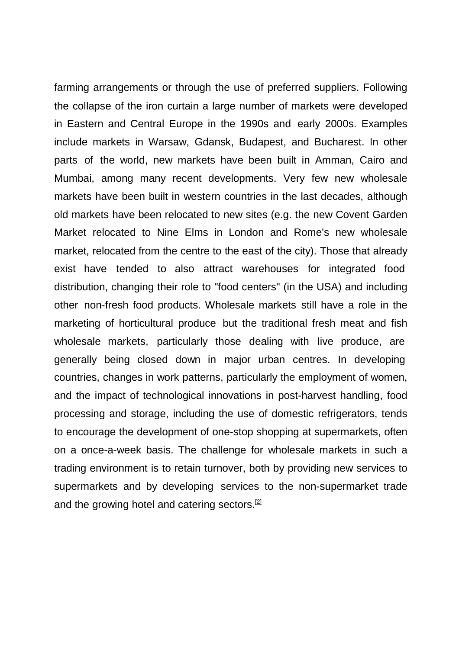farming arrangements or through the use of preferred suppliers. Following the collapse of the iron curtain a large number of markets were developed in Eastern and Central Europe in the 1990s and early 2000s. Examples include markets in Warsaw, Gdansk, Budapest, and Bucharest. In other parts of the world, new markets have been built in Amman, Cairo and Mumbai, among many recent developments. Very few new wholesale markets have been built in western countries in the last decades, although old markets have been relocated to new sites (e.g. the new Covent Garden Market relocated to Nine Elms in London and Rome's new wholesale market, relocated from the centre to the east of the city). Those that already exist have tended to also attract warehouses for integrated food distribution, changing their role to "food centers" (in the USA) and including other non-fresh food products. Wholesale markets still have a role in the marketing of horticultural produce but the traditional fresh meat and fish wholesale markets, particularly those dealing with live produce, are generally being closed down in major urban centres. In developing countries, changes in work patterns, particularly the employment of women, and the impact of technological innovations in post-harvest handling, food processing and storage, including the use of domestic refrigerators, tends to encourage the development of one-stop shopping at supermarkets, often on a once-a-week basis. The challenge for wholesale markets in such a trading environment is to retain turnover, both by providing new services to supermarkets and by developing services to the non-supermarket trade and the growing hotel and catering sectors.<sup>[2]</sup>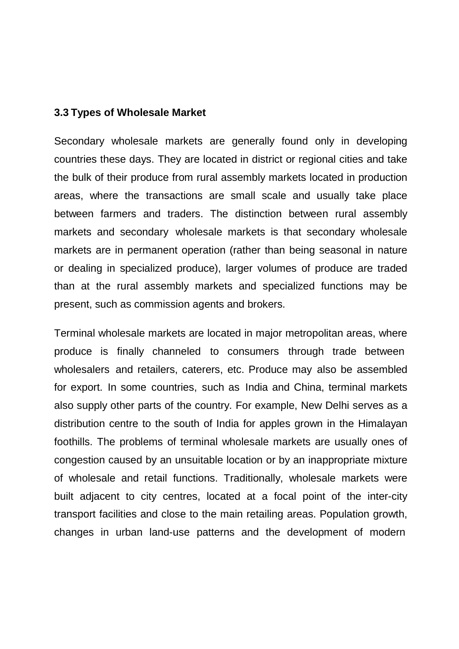#### **3.3 Types of Wholesale Market**

Secondary wholesale markets are generally found only in developing countries these days. They are located in district or regional cities and take the bulk of their produce from rural assembly markets located in production areas, where the transactions are small scale and usually take place between farmers and traders. The distinction between rural assembly markets and secondary wholesale markets is that secondary wholesale markets are in permanent operation (rather than being seasonal in nature or dealing in specialized produce), larger volumes of produce are traded than at the rural assembly markets and specialized functions may be present, such as commission agents and brokers.

Terminal wholesale markets are located in major metropolitan areas, where produce is finally channeled to consumers through trade between wholesalers and retailers, caterers, etc. Produce may also be assembled for export. In some countries, such as India and China, terminal markets also supply other parts of the country. For example, New Delhi serves as a distribution centre to the south of India for apples grown in the Himalayan foothills. The problems of terminal wholesale markets are usually ones of congestion caused by an unsuitable location or by an inappropriate mixture of wholesale and retail functions. Traditionally, wholesale markets were built adjacent to city centres, located at a focal point of the inter-city transport facilities and close to the main retailing areas. Population growth, changes in urban land-use patterns and the development of modern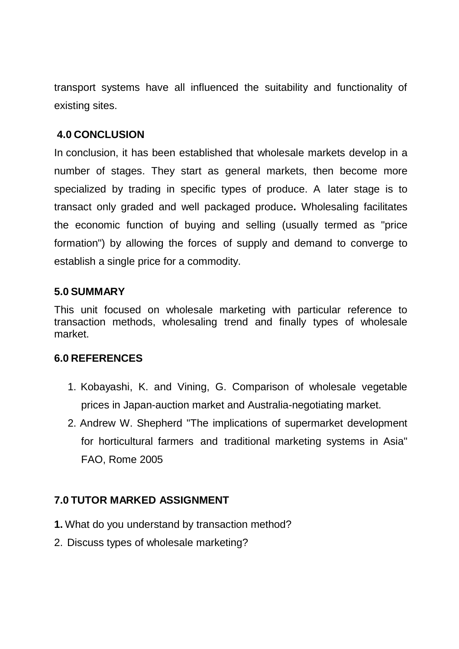transport systems have all influenced the suitability and functionality of existing sites.

## **4.0 CONCLUSION**

In conclusion, it has been established that wholesale markets develop in a number of stages. They start as general markets, then become more specialized by trading in specific types of produce. A later stage is to transact only graded and well packaged produce**.** Wholesaling facilitates the economic function of buying and selling (usually termed as "price formation") by allowing the forces of supply and demand to converge to establish a single price for a commodity.

## **5.0 SUMMARY**

This unit focused on wholesale marketing with particular reference to transaction methods, wholesaling trend and finally types of wholesale market.

## **6.0 REFERENCES**

- 1. Kobayashi, K. and Vining, G. Comparison of wholesale vegetable prices in Japan-auction market and Australia-negotiating market.
- 2. Andrew W. Shepherd "The implications of supermarket development for horticultural farmers and traditional marketing systems in Asia" FAO, Rome 2005

## **7.0 TUTOR MARKED ASSIGNMENT**

- **1.** What do you understand by transaction method?
- 2. Discuss types of wholesale marketing?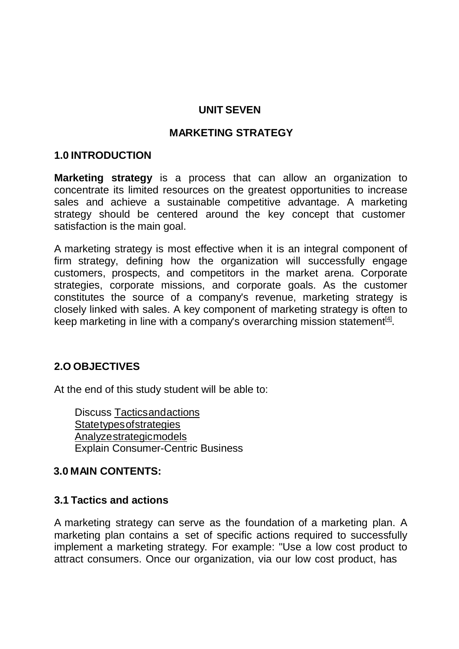## **UNIT SEVEN**

## **MARKETING STRATEGY**

#### **1.0 INTRODUCTION**

**Marketing strategy** is a process that can allow an organization to concentrate its limited resources on the greatest opportunities to increase sales and achieve a sustainable competitive advantage. A marketing strategy should be centered around the key concept that customer satisfaction is the main goal.

A marketing strategy is most effective when it is an integral component of firm strategy, defining how the organization will successfully engage customers, prospects, and competitors in the market arena. Corporate strategies, corporate missions, and corporate goals. As the customer constitutes the source of a company's revenue, marketing strategy is closely linked with sales. A key component of marketing strategy is often to keep marketing in line with a company's overarching mission statement $^{[4]}$ .

## **2.O OBJECTIVES**

At the end of this study student will be able to:

Discuss Tactics and actions **State types of strategies** Analyze strategic models Explain Consumer-Centric Business

#### **3.0 MAIN CONTENTS:**

## **3.1 Tactics and actions**

A marketing strategy can serve as the foundation of a marketing plan. A marketing plan contains a set of specific actions required to successfully implement a marketing strategy. For example: "Use a low cost product to attract consumers. Once our organization, via our low cost product, has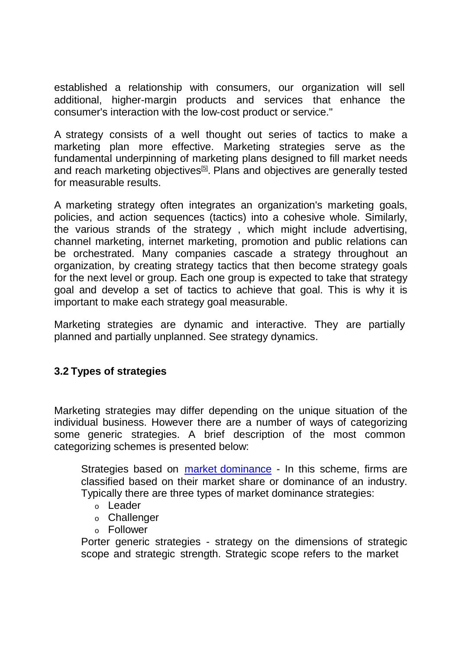established a relationship with consumers, our organization will sell additional, higher-margin products and services that enhance the consumer's interaction with the low-cost product or service."

A strategy consists of a well thought out series of tactics to make a marketing plan more effective. Marketing strategies serve as the fundamental underpinning of marketing plans designed to fill market needs and reach marketing objectives<sup>[5]</sup>. Plans and objectives are generally tested for measurable results.

A marketing strategy often integrates an organization's marketing goals, policies, and action sequences (tactics) into a cohesive whole. Similarly, the various strands of the strategy , which might include advertising, channel marketing, internet marketing, promotion and public relations can be orchestrated. Many companies cascade a strategy throughout an organization, by creating strategy tactics that then become strategy goals for the next level or group. Each one group is expected to take that strategy goal and develop a set of tactics to achieve that goal. This is why it is important to make each strategy goal measurable.

Marketing strategies are dynamic and interactive. They are partially planned and partially unplanned. See strategy dynamics.

## **3.2 Types of strategies**

Marketing strategies may differ depending on the unique situation of the individual business. However there are a number of ways of categorizing some generic strategies. A brief description of the most common categorizing schemes is presented below:

Strategies based on market dominance - In this scheme, firms are classified based on their market share or dominance of an industry. Typically there are three types of market dominance strategies:

- o Leader
- o Challenger
- o Follower

Porter generic strategies - strategy on the dimensions of strategic scope and strategic strength. Strategic scope refers to the market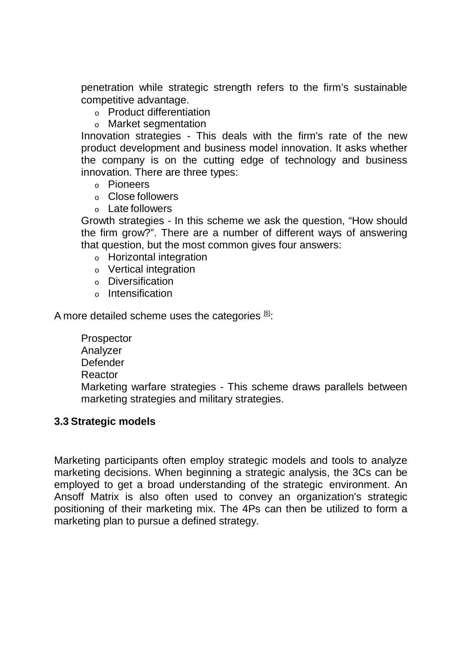penetration while strategic strength refers to the firm's sustainable competitive advantage.

- o Product differentiation
- o Market segmentation

Innovation strategies - This deals with the firm's rate of the new product development and business model innovation. It asks whether the company is on the cutting edge of technology and business innovation. There are three types:

- o Pioneers
- o Close followers
- o Late followers

Growth strategies - In this scheme we ask the question, "How should the firm grow?". There are a number of different ways of answering that question, but the most common gives four answers:

- o Horizontal integration
- o Vertical integration
- o Diversification
- o Intensification

A more detailed scheme uses the categories  $66$ :

**Prospector** Analyzer Defender Reactor Marketing warfare strategies - This scheme draws parallels between marketing strategies and military strategies.

## **3.3 Strategic models**

Marketing participants often employ strategic models and tools to analyze marketing decisions. When beginning a strategic analysis, the 3Cs can be employed to get a broad understanding of the strategic environment. An Ansoff Matrix is also often used to convey an organization's strategic positioning of their marketing mix. The 4Ps can then be utilized to form a marketing plan to pursue a defined strategy.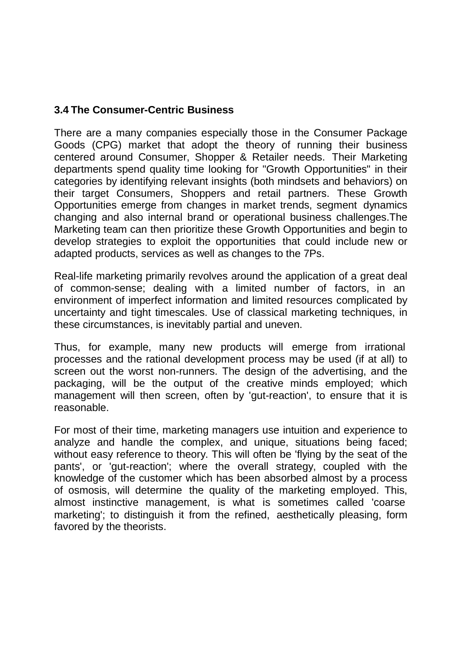## **3.4 The Consumer-Centric Business**

There are a many companies especially those in the Consumer Package Goods (CPG) market that adopt the theory of running their business centered around Consumer, Shopper & Retailer needs. Their Marketing departments spend quality time looking for "Growth Opportunities" in their categories by identifying relevant insights (both mindsets and behaviors) on their target Consumers, Shoppers and retail partners. These Growth Opportunities emerge from changes in market trends, segment dynamics changing and also internal brand or operational business challenges.The Marketing team can then prioritize these Growth Opportunities and begin to develop strategies to exploit the opportunities that could include new or adapted products, services as well as changes to the 7Ps.

Real-life marketing primarily revolves around the application of a great deal of common-sense; dealing with a limited number of factors, in an environment of imperfect information and limited resources complicated by uncertainty and tight timescales. Use of classical marketing techniques, in these circumstances, is inevitably partial and uneven.

Thus, for example, many new products will emerge from irrational processes and the rational development process may be used (if at all) to screen out the worst non-runners. The design of the advertising, and the packaging, will be the output of the creative minds employed; which management will then screen, often by 'gut-reaction', to ensure that it is reasonable.

For most of their time, marketing managers use intuition and experience to analyze and handle the complex, and unique, situations being faced; without easy reference to theory. This will often be 'flying by the seat of the pants', or 'gut-reaction'; where the overall strategy, coupled with the knowledge of the customer which has been absorbed almost by a process of osmosis, will determine the quality of the marketing employed. This, almost instinctive management, is what is sometimes called 'coarse marketing'; to distinguish it from the refined, aesthetically pleasing, form favored by the theorists.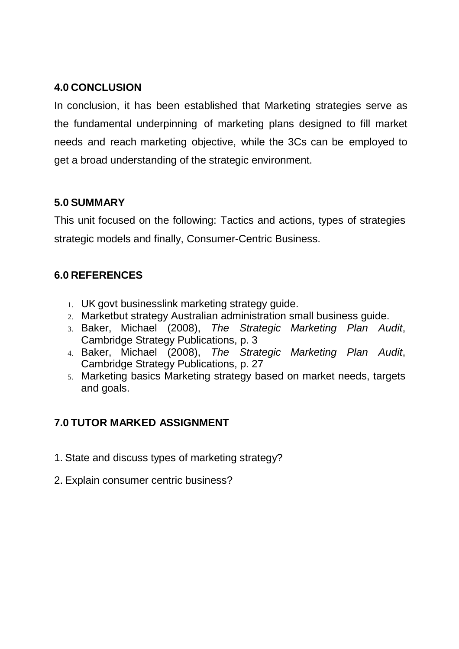# **4.0 CONCLUSION**

In conclusion, it has been established that Marketing strategies serve as the fundamental underpinning of marketing plans designed to fill market needs and reach marketing objective, while the 3Cs can be employed to get a broad understanding of the strategic environment.

## **5.0 SUMMARY**

This unit focused on the following: Tactics and actions, types of strategies strategic models and finally, Consumer-Centric Business.

# **6.0 REFERENCES**

- 1. UK govt businesslink marketing strategy guide.
- 2. Marketbut strategy Australian administration small business guide.
- 3. Baker, Michael (2008), The Strategic Marketing Plan Audit, Cambridge Strategy Publications, p. 3
- 4. Baker, Michael (2008), The Strategic Marketing Plan Audit, Cambridge Strategy Publications, p. 27
- 5. Marketing basics Marketing strategy based on market needs, targets and goals.

# **7.0 TUTOR MARKED ASSIGNMENT**

- 1. State and discuss types of marketing strategy?
- 2. Explain consumer centric business?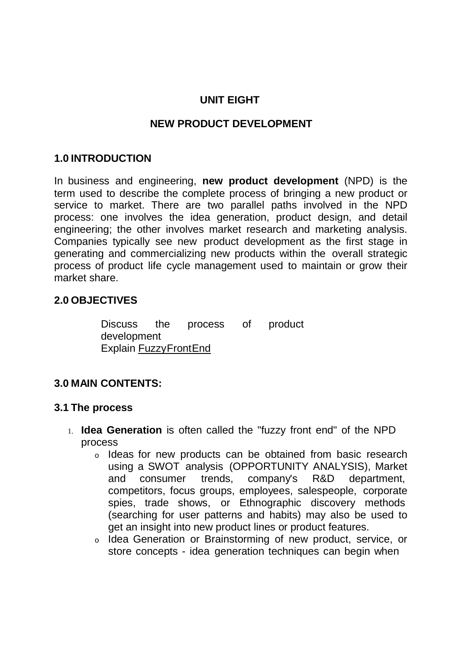# **UNIT EIGHT**

## **NEW PRODUCT DEVELOPMENT**

## **1.0 INTRODUCTION**

In business and engineering, **new product development** (NPD) is the term used to describe the complete process of bringing a new product or service to market. There are two parallel paths involved in the NPD process: one involves the idea generation, product design, and detail engineering; the other involves market research and marketing analysis. Companies typically see new product development as the first stage in generating and commercializing new products within the overall strategic process of product life cycle management used to maintain or grow their market share.

## **2.0 OBJECTIVES**

Discuss the process of product development Explain Fuzzy Front End

## **3.0 MAIN CONTENTS:**

## **3.1 The process**

- 1. **Idea Generation** is often called the "fuzzy front end" of the NPD process
	- o Ideas for new products can be obtained from basic research using a SWOT analysis (OPPORTUNITY ANALYSIS), Market and consumer trends, company's R&D department, competitors, focus groups, employees, salespeople, corporate spies, trade shows, or Ethnographic discovery methods (searching for user patterns and habits) may also be used to get an insight into new product lines or product features.
	- o Idea Generation or Brainstorming of new product, service, or store concepts - idea generation techniques can begin when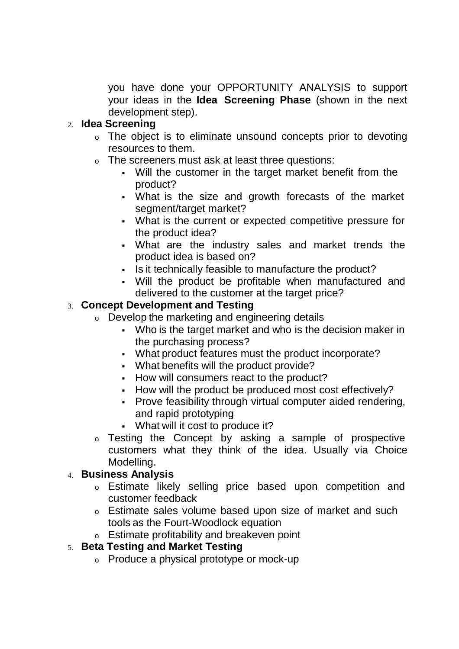you have done your OPPORTUNITY ANALYSIS to support your ideas in the **Idea Screening Phase** (shown in the next development step).

## 2. **Idea Screening**

- o The object is to eliminate unsound concepts prior to devoting resources to them.
- o The screeners must ask at least three questions:
	- Will the customer in the target market benefit from the product?
	- What is the size and growth forecasts of the market segment/target market?
	- What is the current or expected competitive pressure for the product idea?
	- What are the industry sales and market trends the product idea is based on?
	- Is it technically feasible to manufacture the product?
	- Will the product be profitable when manufactured and delivered to the customer at the target price?

## 3. **Concept Development and Testing**

- o Develop the marketing and engineering details
	- Who is the target market and who is the decision maker in the purchasing process?
	- What product features must the product incorporate?
	- What benefits will the product provide?
	- How will consumers react to the product?
	- How will the product be produced most cost effectively?
	- Prove feasibility through virtual computer aided rendering, and rapid prototyping
	- What will it cost to produce it?
- o Testing the Concept by asking a sample of prospective customers what they think of the idea. Usually via Choice Modelling.

## 4. **Business Analysis**

- o Estimate likely selling price based upon competition and customer feedback
- o Estimate sales volume based upon size of market and such tools as the Fourt-Woodlock equation
- o Estimate profitability and breakeven point

## 5. **Beta Testing and Market Testing**

o Produce a physical prototype or mock-up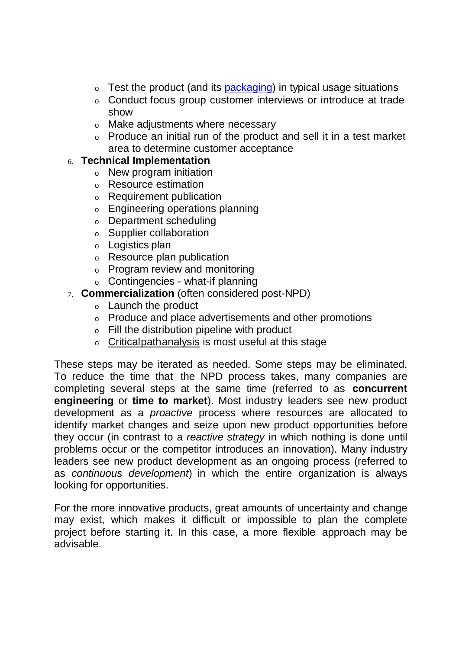- $\circ$  Test the product (and its packaging) in typical usage situations
- o Conduct focus group customer interviews or introduce at trade show
- o Make adjustments where necessary
- o Produce an initial run of the product and sell it in a test market area to determine customer acceptance

## 6. **Technical Implementation**

- o New program initiation
- o Resource estimation
- o Requirement publication
- o Engineering operations planning
- o Department scheduling
- o Supplier collaboration
- o Logistics plan
- o Resource plan publication
- o Program review and monitoring
- $\circ$  Contingencies what-if planning
- 7. **Commercialization** (often considered post-NPD)
	- o Launch the product
	- o Produce and place advertisements and other promotions
	- o Fill the distribution pipeline with product
	- $\circ$  Critical path analysis is most useful at this stage

These steps may be iterated as needed. Some steps may be eliminated. To reduce the time that the NPD process takes, many companies are completing several steps at the same time (referred to as **concurrent engineering** or **time to market**). Most industry leaders see new product development as a proactive process where resources are allocated to identify market changes and seize upon new product opportunities before they occur (in contrast to a reactive strategy in which nothing is done until problems occur or the competitor introduces an innovation). Many industry leaders see new product development as an ongoing process (referred to as continuous development) in which the entire organization is always looking for opportunities.

For the more innovative products, great amounts of uncertainty and change may exist, which makes it difficult or impossible to plan the complete project before starting it. In this case, a more flexible approach may be advisable.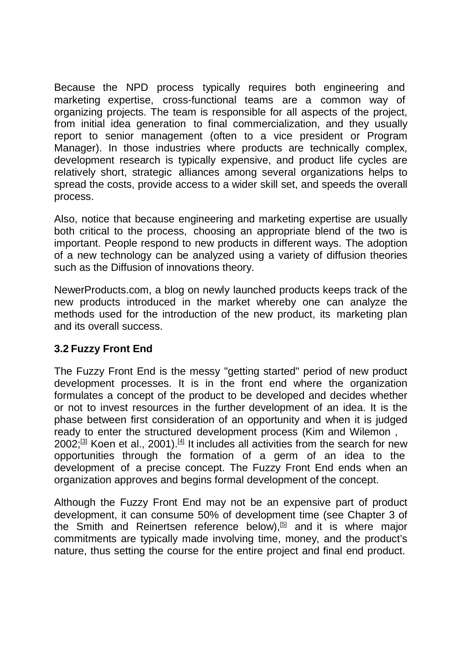Because the NPD process typically requires both engineering and marketing expertise, cross-functional teams are a common way of organizing projects. The team is responsible for all aspects of the project, from initial idea generation to final commercialization, and they usually report to senior management (often to a vice president or Program Manager). In those industries where products are technically complex, development research is typically expensive, and product life cycles are relatively short, strategic alliances among several organizations helps to spread the costs, provide access to a wider skill set, and speeds the overall process.

Also, notice that because engineering and marketing expertise are usually both critical to the process, choosing an appropriate blend of the two is important. People respond to new products in different ways. The adoption of a new technology can be analyzed using a variety of diffusion theories such as the Diffusion of innovations theory.

NewerProducts.com, a blog on newly launched products keeps track of the new products introduced in the market whereby one can analyze the methods used for the introduction of the new product, its marketing plan and its overall success.

## **3.2 Fuzzy Front End**

The Fuzzy Front End is the messy "getting started" period of new product development processes. It is in the front end where the organization formulates a concept of the product to be developed and decides whether or not to invest resources in the further development of an idea. It is the phase between first consideration of an opportunity and when it is judged ready to enter the structured development process (Kim and Wilemon ,  $2002$ ;<sup>[3]</sup> Koen et al., 2001).<sup>[4]</sup> It includes all activities from the search for new opportunities through the formation of a germ of an idea to the development of a precise concept. The Fuzzy Front End ends when an organization approves and begins formal development of the concept.

Although the Fuzzy Front End may not be an expensive part of product development, it can consume 50% of development time (see Chapter 3 of the Smith and Reinertsen reference below),  $5\overline{5}$  and it is where major commitments are typically made involving time, money, and the product's nature, thus setting the course for the entire project and final end product.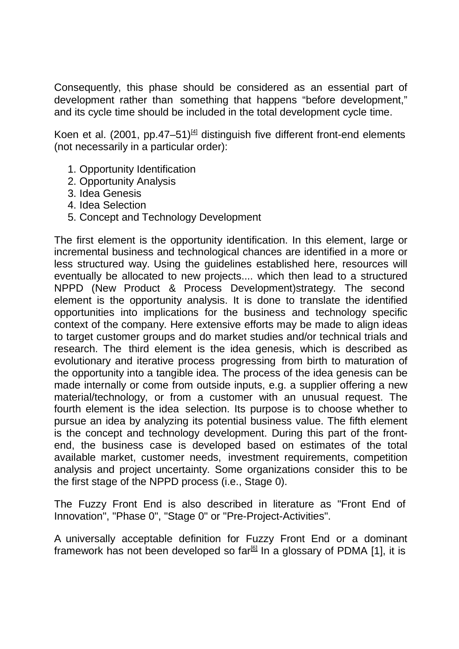Consequently, this phase should be considered as an essential part of development rather than something that happens "before development," and its cycle time should be included in the total development cycle time.

Koen et al. (2001, pp.47–51) $4$  distinguish five different front-end elements (not necessarily in a particular order):

- 1. Opportunity Identification
- 2. Opportunity Analysis
- 3. Idea Genesis
- 4. Idea Selection
- 5. Concept and Technology Development

The first element is the opportunity identification. In this element, large or incremental business and technological chances are identified in a more or less structured way. Using the guidelines established here, resources will eventually be allocated to new projects.... which then lead to a structured NPPD (New Product & Process Development)strategy. The second element is the opportunity analysis. It is done to translate the identified opportunities into implications for the business and technology specific context of the company. Here extensive efforts may be made to align ideas to target customer groups and do market studies and/or technical trials and research. The third element is the idea genesis, which is described as evolutionary and iterative process progressing from birth to maturation of the opportunity into a tangible idea. The process of the idea genesis can be made internally or come from outside inputs, e.g. a supplier offering a new material/technology, or from a customer with an unusual request. The fourth element is the idea selection. Its purpose is to choose whether to pursue an idea by analyzing its potential business value. The fifth element is the concept and technology development. During this part of the frontend, the business case is developed based on estimates of the total available market, customer needs, investment requirements, competition analysis and project uncertainty. Some organizations consider this to be the first stage of the NPPD process (i.e., Stage 0).

The Fuzzy Front End is also described in literature as "Front End of Innovation", "Phase 0", "Stage 0" or "Pre-Project-Activities".

A universally acceptable definition for Fuzzy Front End or a dominant framework has not been developed so far<sup> $6$ </sup> In a glossary of PDMA [1], it is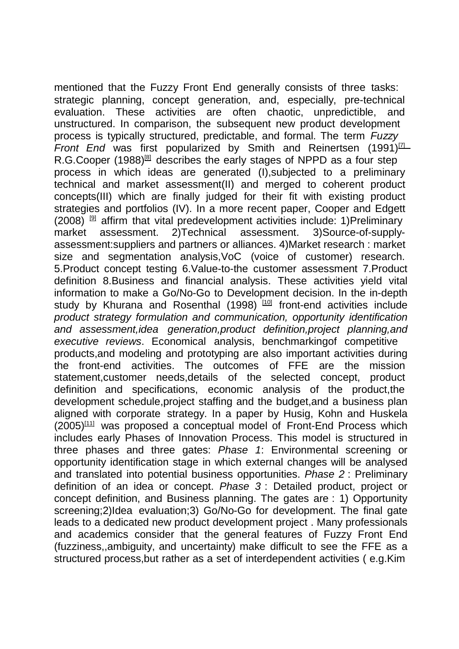mentioned that the Fuzzy Front End generally consists of three tasks: strategic planning, concept generation, and, especially, pre-technical evaluation. These activities are often chaotic, unpredictible, and unstructured. In comparison, the subsequent new product development process is typically structured, predictable, and formal. The term Fuzzy Front End was first popularized by Smith and Reinertsen  $(1991)^{17}$ R.G.Cooper  $(1988)^{[8]}$  describes the early stages of NPPD as a four step process in which ideas are generated (I),subjected to a preliminary technical and market assessment(II) and merged to coherent product concepts(III) which are finally judged for their fit with existing product strategies and portfolios (IV). In a more recent paper, Cooper and Edgett (2008)  $[9]$  affirm that vital predevelopment activities include: 1)Preliminary market assessment. 2)Technical assessment. 3)Source-of-supplyassessment:suppliers and partners or alliances. 4)Market research : market size and segmentation analysis,VoC (voice of customer) research. 5.Product concept testing 6.Value-to-the customer assessment 7.Product definition 8.Business and financial analysis. These activities yield vital information to make a Go/No-Go to Development decision. In the in-depth study by Khurana and Rosenthal (1998) [10] front-end activities include product strategy formulation and communication, opportunity identification and assessment,idea generation,product definition,project planning,and executive reviews. Economical analysis, benchmarking of competitive products,and modeling and prototyping are also important activities during the front-end activities. The outcomes of FFE are the mission statement,customer needs,details of the selected concept, product definition and specifications, economic analysis of the product,the development schedule,project staffing and the budget,and a business plan aligned with corporate strategy. In a paper by Husig, Kohn and Huskela  $(2005)^{[11]}$  was proposed a conceptual model of Front-End Process which includes early Phases of Innovation Process. This model is structured in three phases and three gates: Phase 1: Environmental screening or opportunity identification stage in which external changes will be analysed and translated into potential business opportunities. Phase 2 : Preliminary definition of an idea or concept. Phase 3 : Detailed product, project or concept definition, and Business planning. The gates are : 1) Opportunity screening;2)Idea evaluation;3) Go/No-Go for development. The final gate leads to a dedicated new product development project . Many professionals and academics consider that the general features of Fuzzy Front End (fuzziness,,ambiguity, and uncertainty) make difficult to see the FFE as a structured process,but rather as a set of interdependent activities ( e.g.Kim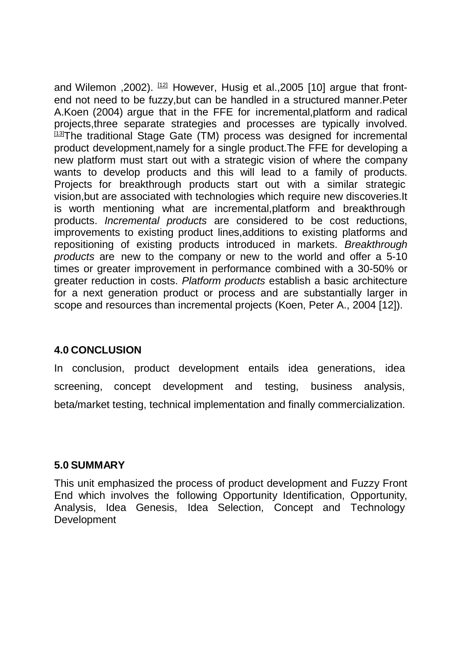and Wilemon , 2002).  $^{12}$  However, Husig et al., 2005 [10] argue that frontend not need to be fuzzy,but can be handled in a structured manner.Peter A.Koen (2004) argue that in the FFE for incremental,platform and radical projects,three separate strategies and processes are typically involved. [13]The traditional Stage Gate (TM) process was designed for incremental product development,namely for a single product.The FFE for developing a new platform must start out with a strategic vision of where the company wants to develop products and this will lead to a family of products. Projects for breakthrough products start out with a similar strategic vision,but are associated with technologies which require new discoveries.It is worth mentioning what are incremental,platform and breakthrough products. Incremental products are considered to be cost reductions, improvements to existing product lines,additions to existing platforms and repositioning of existing products introduced in markets. Breakthrough products are new to the company or new to the world and offer a 5-10 times or greater improvement in performance combined with a 30-50% or greater reduction in costs. Platform products establish a basic architecture for a next generation product or process and are substantially larger in scope and resources than incremental projects (Koen, Peter A., 2004 [12]).

## **4.0 CONCLUSION**

In conclusion, product development entails idea generations, idea screening, concept development and testing, business analysis, beta/market testing, technical implementation and finally commercialization.

## **5.0 SUMMARY**

This unit emphasized the process of product development and Fuzzy Front End which involves the following Opportunity Identification, Opportunity, Analysis, Idea Genesis, Idea Selection, Concept and Technology Development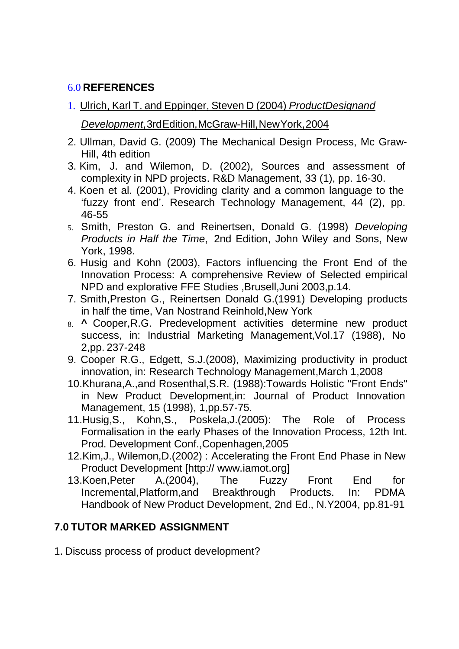# 6.0 **REFERENCES**

1. Ulrich, Karl T. and Eppinger, Steven D (2004) Product Designand

Development, 3rd Edition, McGraw-Hill, New York, 2004

- 2. Ullman, David G. (2009) The Mechanical Design Process, Mc Graw-Hill, 4th edition
- 3. Kim, J. and Wilemon, D. (2002), Sources and assessment of complexity in NPD projects. R&D Management, 33 (1), pp. 16-30.
- 4. Koen et al. (2001), Providing clarity and a common language to the 'fuzzy front end'. Research Technology Management, 44 (2), pp. 46-55
- 5. Smith, Preston G. and Reinertsen, Donald G. (1998) Developing Products in Half the Time, 2nd Edition, John Wiley and Sons, New York, 1998.
- 6. Husig and Kohn (2003), Factors influencing the Front End of the Innovation Process: A comprehensive Review of Selected empirical NPD and explorative FFE Studies ,Brusell,Juni 2003,p.14.
- 7. Smith,Preston G., Reinertsen Donald G.(1991) Developing products in half the time, Van Nostrand Reinhold,New York
- 8. **^** Cooper,R.G. Predevelopment activities determine new product success, in: Industrial Marketing Management,Vol.17 (1988), No 2,pp. 237-248
- 9. Cooper R.G., Edgett, S.J.(2008), Maximizing productivity in product innovation, in: Research Technology Management,March 1,2008
- 10.Khurana,A.,and Rosenthal,S.R. (1988):Towards Holistic "Front Ends" in New Product Development,in: Journal of Product Innovation Management, 15 (1998), 1,pp.57-75.
- 11.Husig,S., Kohn,S., Poskela,J.(2005): The Role of Process Formalisation in the early Phases of the Innovation Process, 12th Int. Prod. Development Conf.,Copenhagen,2005
- 12.Kim,J., Wilemon,D.(2002) : Accelerating the Front End Phase in New Product Development [http:// www.iamot.org]
- 13.Koen,Peter A.(2004), The Fuzzy Front End for Incremental,Platform,and Breakthrough Products. In: PDMA Handbook of New Product Development, 2nd Ed., N.Y2004, pp.81-91

# **7.0 TUTOR MARKED ASSIGNMENT**

1. Discuss process of product development?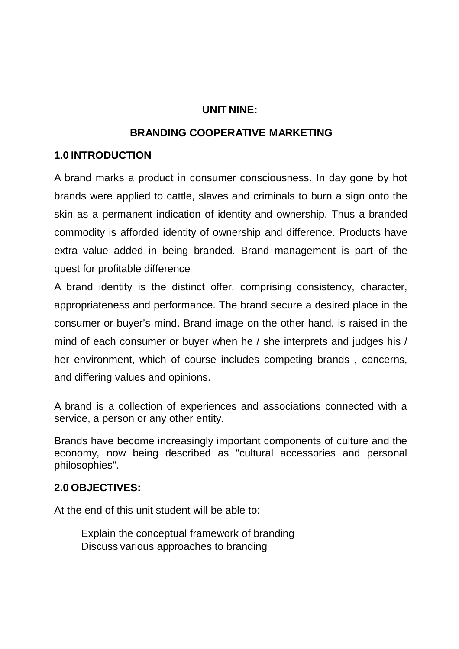## **UNIT NINE:**

## **BRANDING COOPERATIVE MARKETING**

## **1.0 INTRODUCTION**

A brand marks a product in consumer consciousness. In day gone by hot brands were applied to cattle, slaves and criminals to burn a sign onto the skin as a permanent indication of identity and ownership. Thus a branded commodity is afforded identity of ownership and difference. Products have extra value added in being branded. Brand management is part of the quest for profitable difference

A brand identity is the distinct offer, comprising consistency, character, appropriateness and performance. The brand secure a desired place in the consumer or buyer's mind. Brand image on the other hand, is raised in the mind of each consumer or buyer when he / she interprets and judges his / her environment, which of course includes competing brands , concerns, and differing values and opinions.

A brand is a collection of experiences and associations connected with a service, a person or any other entity.

Brands have become increasingly important components of culture and the economy, now being described as "cultural accessories and personal philosophies".

## **2.0 OBJECTIVES:**

At the end of this unit student will be able to:

Explain the conceptual framework of branding Discuss various approaches to branding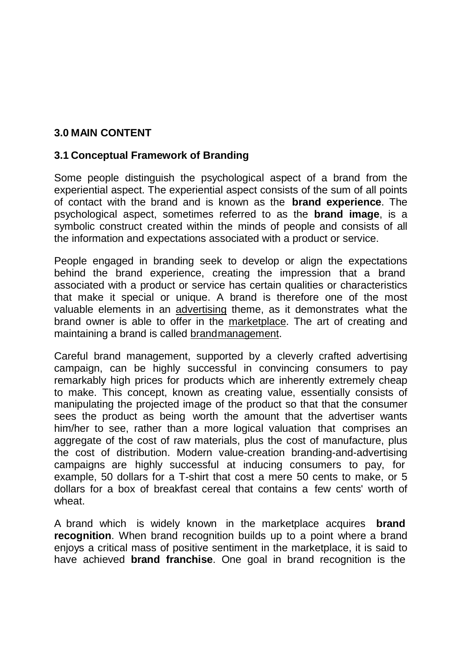## **3.0 MAIN CONTENT**

#### **3.1 Conceptual Framework of Branding**

Some people distinguish the psychological aspect of a brand from the experiential aspect. The experiential aspect consists of the sum of all points of contact with the brand and is known as the **brand experience**. The psychological aspect, sometimes referred to as the **brand image**, is a symbolic construct created within the minds of people and consists of all the information and expectations associated with a product or service.

People engaged in branding seek to develop or align the expectations behind the brand experience, creating the impression that a brand associated with a product or service has certain qualities or characteristics that make it special or unique. A brand is therefore one of the most valuable elements in an advertising theme, as it demonstrates what the brand owner is able to offer in the marketplace. The art of creating and maintaining a brand is called brand management.

Careful brand management, supported by a cleverly crafted advertising campaign, can be highly successful in convincing consumers to pay remarkably high prices for products which are inherently extremely cheap to make. This concept, known as creating value, essentially consists of manipulating the projected image of the product so that that the consumer sees the product as being worth the amount that the advertiser wants him/her to see, rather than a more logical valuation that comprises an aggregate of the cost of raw materials, plus the cost of manufacture, plus the cost of distribution. Modern value-creation branding-and-advertising campaigns are highly successful at inducing consumers to pay, for example, 50 dollars for a T-shirt that cost a mere 50 cents to make, or 5 dollars for a box of breakfast cereal that contains a few cents' worth of wheat.

A brand which is widely known in the marketplace acquires **brand recognition**. When brand recognition builds up to a point where a brand enjoys a critical mass of positive sentiment in the marketplace, it is said to have achieved **brand franchise**. One goal in brand recognition is the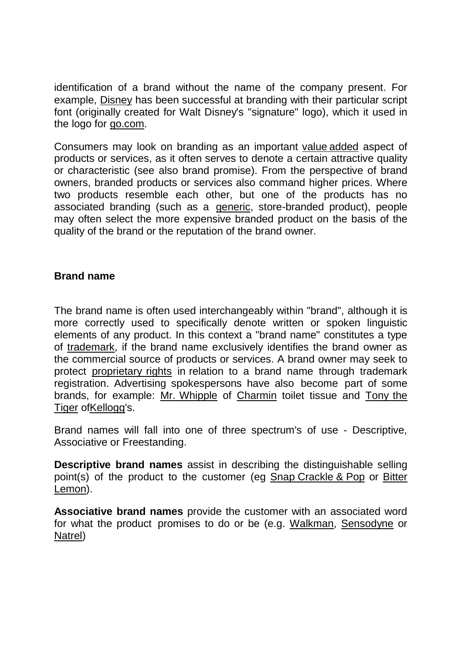identification of a brand without the name of the company present. For example, Disney has been successful at branding with their particular script font (originally created for Walt Disney's "signature" logo), which it used in the logo for go.com.

Consumers may look on branding as an important value added aspect of products or services, as it often serves to denote a certain attractive quality or characteristic (see also brand promise). From the perspective of brand owners, branded products or services also command higher prices. Where two products resemble each other, but one of the products has no associated branding (such as a generic, store-branded product), people may often select the more expensive branded product on the basis of the quality of the brand or the reputation of the brand owner.

#### **Brand name**

The brand name is often used interchangeably within "brand", although it is more correctly used to specifically denote written or spoken linguistic elements of any product. In this context a "brand name" constitutes a type of trademark, if the brand name exclusively identifies the brand owner as the commercial source of products or services. A brand owner may seek to protect proprietary rights in relation to a brand name through trademark registration. Advertising spokespersons have also become part of some brands, for example: Mr. Whipple of Charmin toilet tissue and Tony the Tiger ofKellogg's.

Brand names will fall into one of three spectrum's of use - Descriptive, Associative or Freestanding.

**Descriptive brand names** assist in describing the distinguishable selling point(s) of the product to the customer (eg Snap Crackle & Pop or Bitter Lemon).

**Associative brand names** provide the customer with an associated word for what the product promises to do or be (e.g. Walkman, Sensodyne or Natrel)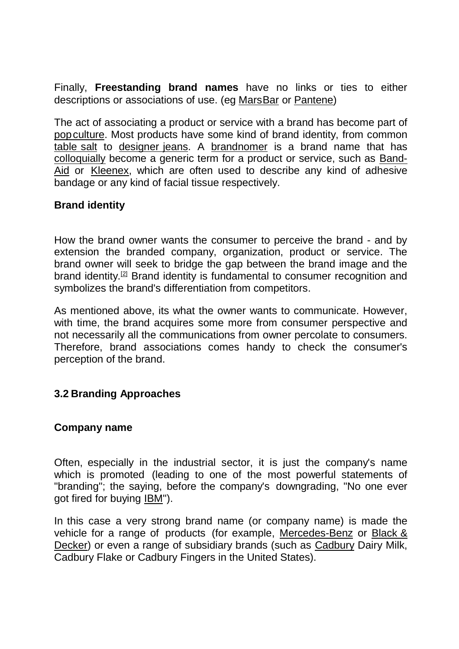Finally, **Freestanding brand names** have no links or ties to either descriptions or associations of use. (eg Mars Bar or Pantene)

The act of associating a product or service with a brand has become part of pop culture. Most products have some kind of brand identity, from common table salt to designer jeans. A brandnomer is a brand name that has colloquially become a generic term for a product or service, such as Band-Aid or Kleenex, which are often used to describe any kind of adhesive bandage or any kind of facial tissue respectively.

#### **Brand identity**

How the brand owner wants the consumer to perceive the brand - and by extension the branded company, organization, product or service. The brand owner will seek to bridge the gap between the brand image and the brand identity.<sup>[2]</sup> Brand identity is fundamental to consumer recognition and symbolizes the brand's differentiation from competitors.

As mentioned above, its what the owner wants to communicate. However, with time, the brand acquires some more from consumer perspective and not necessarily all the communications from owner percolate to consumers. Therefore, brand associations comes handy to check the consumer's perception of the brand.

## **3.2 Branding Approaches**

#### **Company name**

Often, especially in the industrial sector, it is just the company's name which is promoted (leading to one of the most powerful statements of "branding"; the saying, before the company's downgrading, "No one ever got fired for buying IBM").

In this case a very strong brand name (or company name) is made the vehicle for a range of products (for example, Mercedes-Benz or Black & Decker) or even a range of subsidiary brands (such as Cadbury Dairy Milk, Cadbury Flake or Cadbury Fingers in the United States).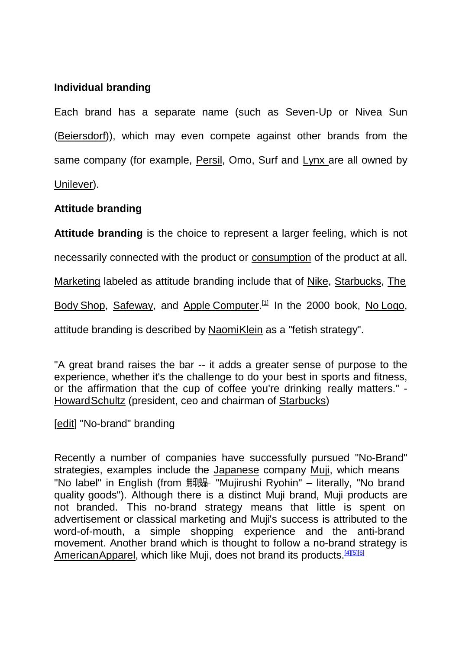#### **Individual branding**

Each brand has a separate name (such as Seven-Up or Nivea Sun (Beiersdorf)), which may even compete against other brands from the same company (for example, Persil, Omo, Surf and Lynx are all owned by Unilever).

#### **Attitude branding**

**Attitude branding** is the choice to represent a larger feeling, which is not

necessarily connected with the product or consumption of the product at all.

Marketing labeled as attitude branding include that of Nike, Starbucks, The

Body Shop, Safeway, and Apple Computer.<sup>[1]</sup> In the 2000 book, No Logo,

attitude branding is described by Naomi Klein as a "fetish strategy".

"A great brand raises the bar -- it adds a greater sense of purpose to the experience, whether it's the challenge to do your best in sports and fitness, or the affirmation that the cup of coffee you're drinking really matters." - Howard Schultz (president, ceo and chairman of Starbucks)

[edit] "No-brand" branding

Recently a number of companies have successfully pursued "No-Brand" strategies, examples include the Japanese company Muji, which means "No label" in English (from 無印品– "Mujirushi Ryohin" – literally, "No brand quality goods"). Although there is a distinct Muji brand, Muji products are not branded. This no-brand strategy means that little is spent on advertisement or classical marketing and Muji's success is attributed to the word-of-mouth, a simple shopping experience and the anti-brand movement. Another brand which is thought to follow a no-brand strategy is American Apparel, which like Muji, does not brand its products.<sup>[4][5][6]</sup>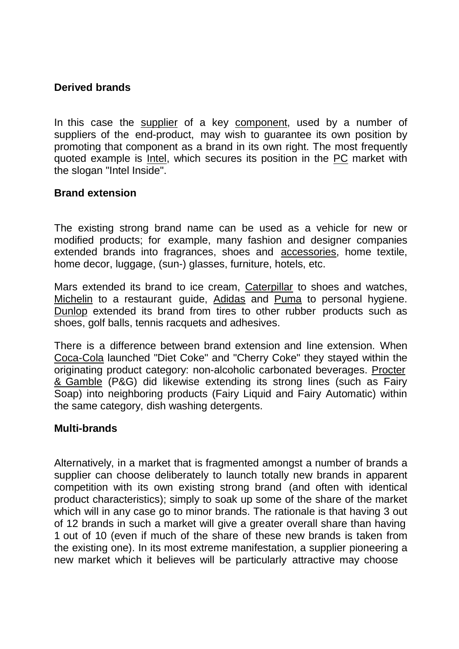#### **Derived brands**

In this case the supplier of a key component, used by a number of suppliers of the end-product, may wish to guarantee its own position by promoting that component as a brand in its own right. The most frequently quoted example is Intel, which secures its position in the PC market with the slogan "Intel Inside".

#### **Brand extension**

The existing strong brand name can be used as a vehicle for new or modified products; for example, many fashion and designer companies extended brands into fragrances, shoes and accessories, home textile, home decor, luggage, (sun-) glasses, furniture, hotels, etc.

Mars extended its brand to ice cream, Caterpillar to shoes and watches, Michelin to a restaurant guide, Adidas and Puma to personal hygiene. Dunlop extended its brand from tires to other rubber products such as shoes, golf balls, tennis racquets and adhesives.

There is a difference between brand extension and line extension. When Coca-Cola launched "Diet Coke" and "Cherry Coke" they stayed within the originating product category: non-alcoholic carbonated beverages. Procter & Gamble (P&G) did likewise extending its strong lines (such as Fairy Soap) into neighboring products (Fairy Liquid and Fairy Automatic) within the same category, dish washing detergents.

#### **Multi-brands**

Alternatively, in a market that is fragmented amongst a number of brands a supplier can choose deliberately to launch totally new brands in apparent competition with its own existing strong brand (and often with identical product characteristics); simply to soak up some of the share of the market which will in any case go to minor brands. The rationale is that having 3 out of 12 brands in such a market will give a greater overall share than having 1 out of 10 (even if much of the share of these new brands is taken from the existing one). In its most extreme manifestation, a supplier pioneering a new market which it believes will be particularly attractive may choose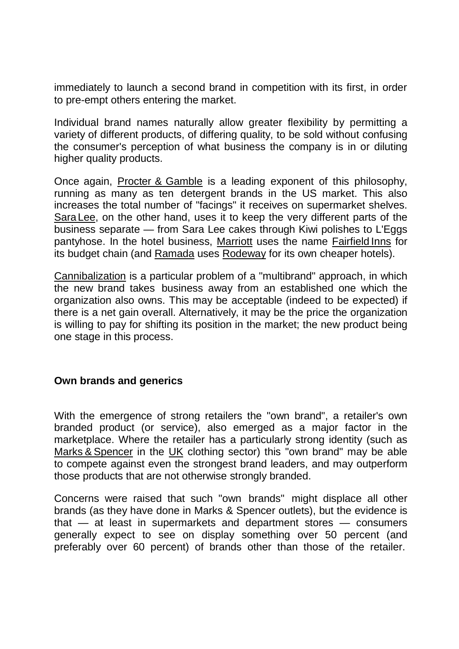immediately to launch a second brand in competition with its first, in order to pre-empt others entering the market.

Individual brand names naturally allow greater flexibility by permitting a variety of different products, of differing quality, to be sold without confusing the consumer's perception of what business the company is in or diluting higher quality products.

Once again, Procter & Gamble is a leading exponent of this philosophy, running as many as ten detergent brands in the US market. This also increases the total number of "facings" it receives on supermarket shelves. Sara Lee, on the other hand, uses it to keep the very different parts of the business separate — from Sara Lee cakes through Kiwi polishes to L'Eggs pantyhose. In the hotel business, Marriott uses the name Fairfield Inns for its budget chain (and Ramada uses Rodeway for its own cheaper hotels).

Cannibalization is a particular problem of a "multibrand" approach, in which the new brand takes business away from an established one which the organization also owns. This may be acceptable (indeed to be expected) if there is a net gain overall. Alternatively, it may be the price the organization is willing to pay for shifting its position in the market; the new product being one stage in this process.

#### **Own brands and generics**

With the emergence of strong retailers the "own brand", a retailer's own branded product (or service), also emerged as a major factor in the marketplace. Where the retailer has a particularly strong identity (such as Marks & Spencer in the UK clothing sector) this "own brand" may be able to compete against even the strongest brand leaders, and may outperform those products that are not otherwise strongly branded.

Concerns were raised that such "own brands" might displace all other brands (as they have done in Marks & Spencer outlets), but the evidence is that — at least in supermarkets and department stores — consumers generally expect to see on display something over 50 percent (and preferably over 60 percent) of brands other than those of the retailer.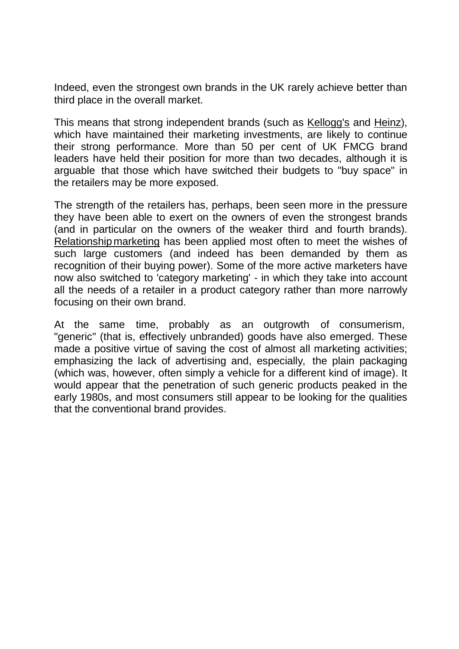Indeed, even the strongest own brands in the UK rarely achieve better than third place in the overall market.

This means that strong independent brands (such as Kellogg's and Heinz), which have maintained their marketing investments, are likely to continue their strong performance. More than 50 per cent of UK FMCG brand leaders have held their position for more than two decades, although it is arguable that those which have switched their budgets to "buy space" in the retailers may be more exposed.

The strength of the retailers has, perhaps, been seen more in the pressure they have been able to exert on the owners of even the strongest brands (and in particular on the owners of the weaker third and fourth brands). Relationship marketing has been applied most often to meet the wishes of such large customers (and indeed has been demanded by them as recognition of their buying power). Some of the more active marketers have now also switched to 'category marketing' - in which they take into account all the needs of a retailer in a product category rather than more narrowly focusing on their own brand.

At the same time, probably as an outgrowth of consumerism, "generic" (that is, effectively unbranded) goods have also emerged. These made a positive virtue of saving the cost of almost all marketing activities; emphasizing the lack of advertising and, especially, the plain packaging (which was, however, often simply a vehicle for a different kind of image). It would appear that the penetration of such generic products peaked in the early 1980s, and most consumers still appear to be looking for the qualities that the conventional brand provides.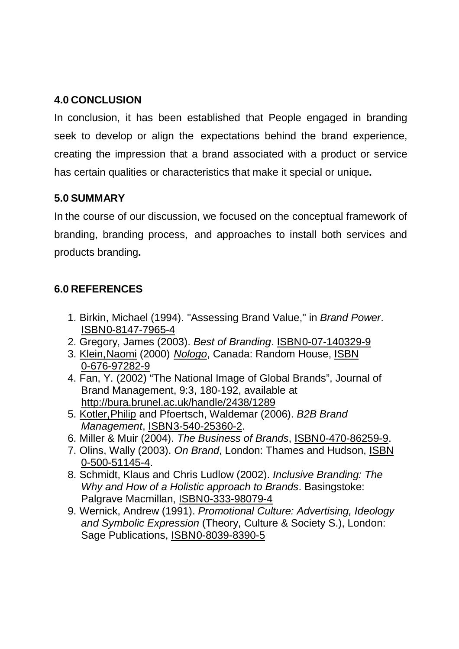## **4.0 CONCLUSION**

In conclusion, it has been established that People engaged in branding seek to develop or align the expectations behind the brand experience, creating the impression that a brand associated with a product or service has certain qualities or characteristics that make it special or unique**.**

## **5.0 SUMMARY**

In the course of our discussion, we focused on the conceptual framework of branding, branding process, and approaches to install both services and products branding**.**

## **6.0 REFERENCES**

- 1. Birkin, Michael (1994). "Assessing Brand Value," in Brand Power. ISBN 0-8147-7965-4
- 2. Gregory, James (2003). Best of Branding. ISBN 0-07-140329-9
- 3. Klein, Naomi (2000) Nologo, Canada: Random House, ISBN 0-676-97282-9
- 4. Fan, Y. (2002) "The National Image of Global Brands", Journal of Brand Management, 9:3, 180-192, available at http://bura.brunel.ac.uk/handle/2438/1289
- 5. Kotler, Philip and Pfoertsch, Waldemar (2006). B2B Brand Management, ISBN 3-540-25360-2.
- 6. Miller & Muir (2004). The Business of Brands, ISBN 0-470-86259-9.
- 7. Olins, Wally (2003). On Brand, London: Thames and Hudson, ISBN 0-500-51145-4.
- 8. Schmidt, Klaus and Chris Ludlow (2002). Inclusive Branding: The Why and How of a Holistic approach to Brands. Basingstoke: Palgrave Macmillan, ISBN 0-333-98079-4
- 9. Wernick, Andrew (1991). Promotional Culture: Advertising, Ideology and Symbolic Expression (Theory, Culture & Society S.), London: Sage Publications, ISBN 0-8039-8390-5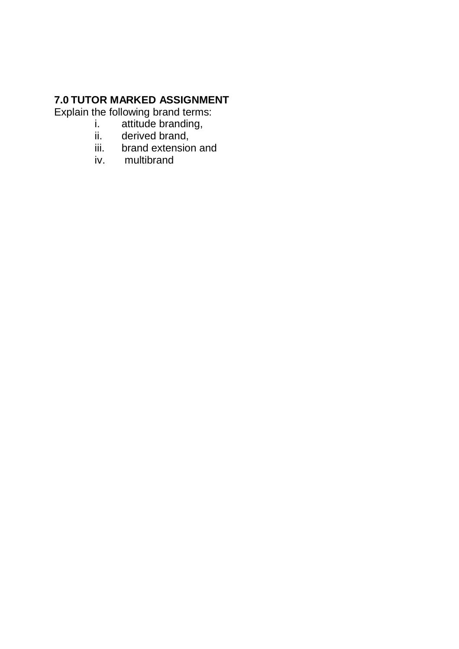## **7.0 TUTOR MARKED ASSIGNMENT**

Explain the following brand terms:

- i. attitude branding,<br>ii. derived brand,
- ii. derived brand,<br>iii. brand extensio
- brand extension and
- iv. multibrand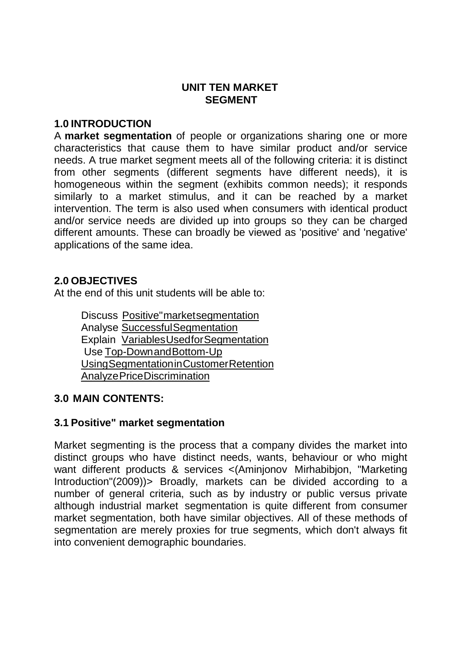#### **UNIT TEN MARKET SEGMENT**

#### **1.0 INTRODUCTION**

A **market segmentation** of people or organizations sharing one or more characteristics that cause them to have similar product and/or service needs. A true market segment meets all of the following criteria: it is distinct from other segments (different segments have different needs), it is homogeneous within the segment (exhibits common needs); it responds similarly to a market stimulus, and it can be reached by a market intervention. The term is also used when consumers with identical product and/or service needs are divided up into groups so they can be charged different amounts. These can broadly be viewed as 'positive' and 'negative' applications of the same idea.

## **2.0 OBJECTIVES**

At the end of this unit students will be able to:

Discuss Positive" market segmentation Analyse Successful Segmentation Explain Variables Used for Segmentation Use Top-Down and Bottom-Up Using Segmentation in Customer Retention Analyze Price Discrimination

## **3.0 MAIN CONTENTS:**

#### **3.1 Positive" market segmentation**

Market segmenting is the process that a company divides the market into distinct groups who have distinct needs, wants, behaviour or who might want different products & services <(Aminjonov Mirhabibjon, "Marketing Introduction"(2009))> Broadly, markets can be divided according to a number of general criteria, such as by industry or public versus private although industrial market segmentation is quite different from consumer market segmentation, both have similar objectives. All of these methods of segmentation are merely proxies for true segments, which don't always fit into convenient demographic boundaries.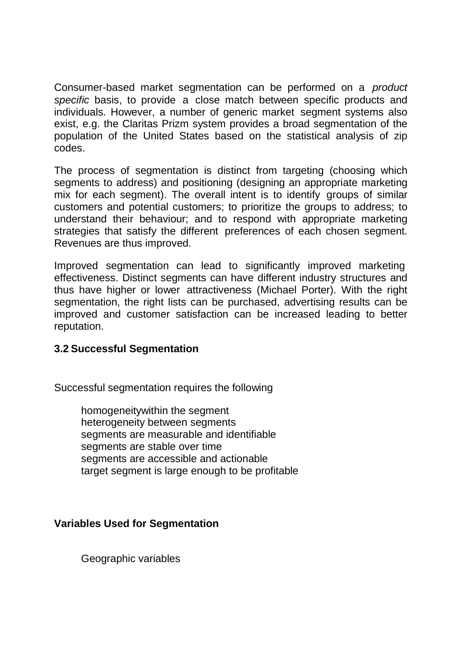Consumer-based market segmentation can be performed on a product specific basis, to provide a close match between specific products and individuals. However, a number of generic market segment systems also exist, e.g. the Claritas Prizm system provides a broad segmentation of the population of the United States based on the statistical analysis of zip codes.

The process of segmentation is distinct from targeting (choosing which segments to address) and positioning (designing an appropriate marketing mix for each segment). The overall intent is to identify groups of similar customers and potential customers; to prioritize the groups to address; to understand their behaviour; and to respond with appropriate marketing strategies that satisfy the different preferences of each chosen segment. Revenues are thus improved.

Improved segmentation can lead to significantly improved marketing effectiveness. Distinct segments can have different industry structures and thus have higher or lower attractiveness (Michael Porter). With the right segmentation, the right lists can be purchased, advertising results can be improved and customer satisfaction can be increased leading to better reputation.

#### **3.2 Successful Segmentation**

Successful segmentation requires the following

homogeneitywithin the segment heterogeneity between segments segments are measurable and identifiable segments are stable over time segments are accessible and actionable target segment is large enough to be profitable

#### **Variables Used for Segmentation**

Geographic variables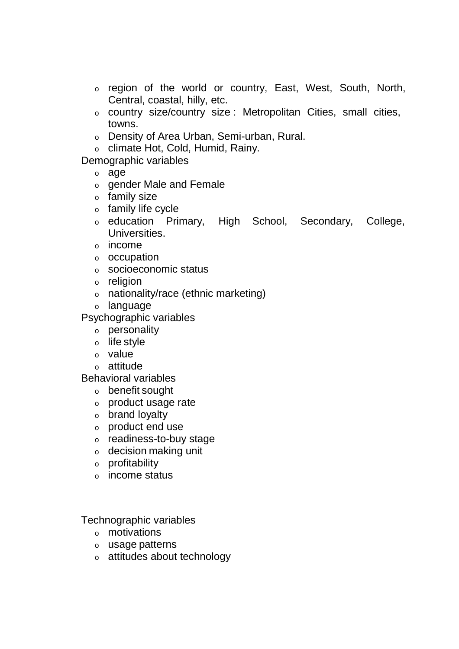- o region of the world or country, East, West, South, North, Central, coastal, hilly, etc.
- o country size/country size : Metropolitan Cities, small cities, towns.
- o Density of Area Urban, Semi-urban, Rural.
- o climate Hot, Cold, Humid, Rainy.

Demographic variables

- o age
- o gender Male and Female
- o family size
- o family life cycle
- o education Primary, High School, Secondary, College, Universities.
- o income
- o occupation
- o socioeconomic status
- o religion
- o nationality/race (ethnic marketing)
- o language

Psychographic variables

- o personality
- o life style
- o value
- o attitude

Behavioral variables

- o benefit sought
- o product usage rate
- o brand loyalty
- o product end use
- o readiness-to-buy stage
- $\circ$  decision making unit
- o profitability
- $\circ$  income status

Technographic variables

- o motivations
- o usage patterns
- o attitudes about technology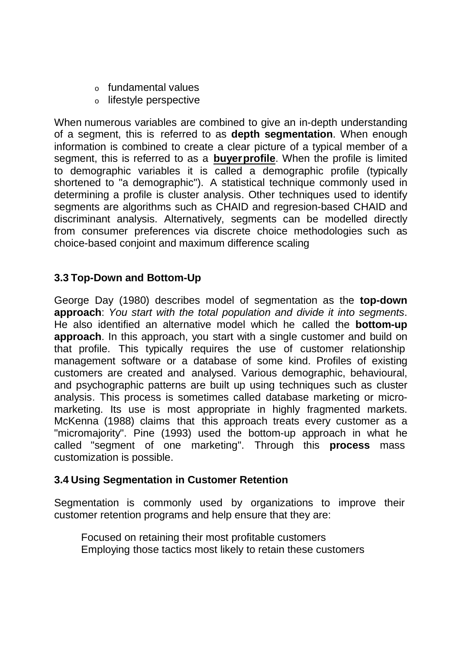- $\circ$  fundamental values
- o lifestyle perspective

When numerous variables are combined to give an in-depth understanding of a segment, this is referred to as **depth segmentation**. When enough information is combined to create a clear picture of a typical member of a segment, this is referred to as a **buyer profile**. When the profile is limited to demographic variables it is called a demographic profile (typically shortened to "a demographic"). A statistical technique commonly used in determining a profile is cluster analysis. Other techniques used to identify segments are algorithms such as CHAID and regresion-based CHAID and discriminant analysis. Alternatively, segments can be modelled directly from consumer preferences via discrete choice methodologies such as choice-based conjoint and maximum difference scaling

## **3.3 Top-Down and Bottom-Up**

George Day (1980) describes model of segmentation as the **top-down approach**: You start with the total population and divide it into segments. He also identified an alternative model which he called the **bottom-up approach**. In this approach, you start with a single customer and build on that profile. This typically requires the use of customer relationship management software or a database of some kind. Profiles of existing customers are created and analysed. Various demographic, behavioural, and psychographic patterns are built up using techniques such as cluster analysis. This process is sometimes called database marketing or micromarketing. Its use is most appropriate in highly fragmented markets. McKenna (1988) claims that this approach treats every customer as a "micromajority". Pine (1993) used the bottom-up approach in what he called "segment of one marketing". Through this **process** mass customization is possible.

## **3.4 Using Segmentation in Customer Retention**

Segmentation is commonly used by organizations to improve their customer retention programs and help ensure that they are:

Focused on retaining their most profitable customers Employing those tactics most likely to retain these customers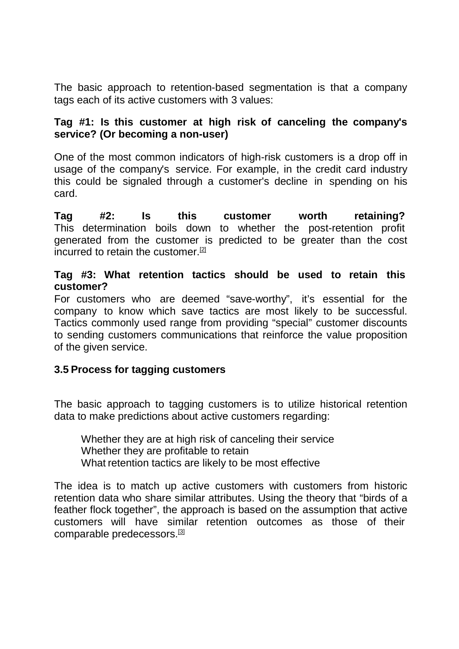The basic approach to retention-based segmentation is that a company tags each of its active customers with 3 values:

#### **Tag #1: Is this customer at high risk of canceling the company's service? (Or becoming a non-user)**

One of the most common indicators of high-risk customers is a drop off in usage of the company's service. For example, in the credit card industry this could be signaled through a customer's decline in spending on his card.

**Tag #2: Is this customer worth retaining?**  This determination boils down to whether the post-retention profit generated from the customer is predicted to be greater than the cost incurred to retain the customer.<sup>[2]</sup>

#### **Tag #3: What retention tactics should be used to retain this customer?**

For customers who are deemed "save-worthy", it's essential for the company to know which save tactics are most likely to be successful. Tactics commonly used range from providing "special" customer discounts to sending customers communications that reinforce the value proposition of the given service.

## **3.5 Process for tagging customers**

The basic approach to tagging customers is to utilize historical retention data to make predictions about active customers regarding:

Whether they are at high risk of canceling their service Whether they are profitable to retain What retention tactics are likely to be most effective

The idea is to match up active customers with customers from historic retention data who share similar attributes. Using the theory that "birds of a feather flock together", the approach is based on the assumption that active customers will have similar retention outcomes as those of their comparable predecessors.[3]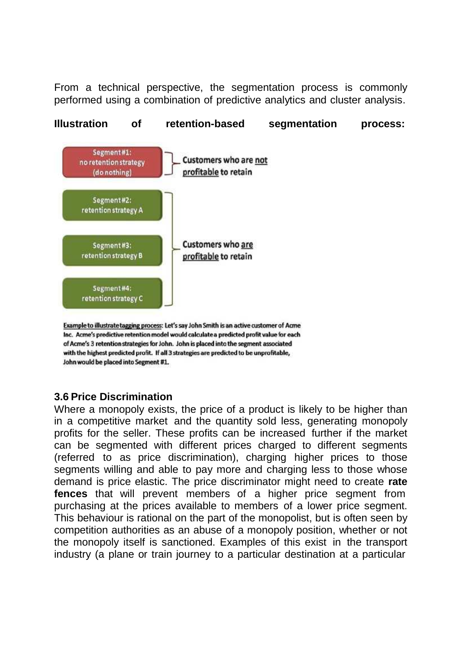From a technical perspective, the segmentation process is commonly performed using a combination of predictive analytics and cluster analysis.



Example to illustrate tagging process: Let's say John Smith is an active customer of Acme Inc. Acme's predictive retention model would calculate a predicted profit value for each of Acme's 3 retention strategies for John. John is placed into the segment associated with the highest predicted profit. If all 3 strategies are predicted to be unprofitable, John would be placed into Segment #1.

## **3.6 Price Discrimination**

Where a monopoly exists, the price of a product is likely to be higher than in a competitive market and the quantity sold less, generating monopoly profits for the seller. These profits can be increased further if the market can be segmented with different prices charged to different segments (referred to as price discrimination), charging higher prices to those segments willing and able to pay more and charging less to those whose demand is price elastic. The price discriminator might need to create **rate fences** that will prevent members of a higher price segment from purchasing at the prices available to members of a lower price segment. This behaviour is rational on the part of the monopolist, but is often seen by competition authorities as an abuse of a monopoly position, whether or not the monopoly itself is sanctioned. Examples of this exist in the transport industry (a plane or train journey to a particular destination at a particular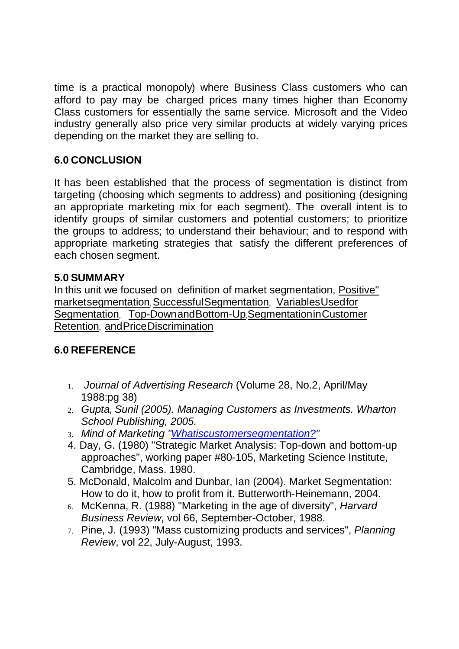time is a practical monopoly) where Business Class customers who can afford to pay may be charged prices many times higher than Economy Class customers for essentially the same service. Microsoft and the Video industry generally also price very similar products at widely varying prices depending on the market they are selling to.

## **6.0 CONCLUSION**

It has been established that the process of segmentation is distinct from targeting (choosing which segments to address) and positioning (designing an appropriate marketing mix for each segment). The overall intent is to identify groups of similar customers and potential customers; to prioritize the groups to address; to understand their behaviour; and to respond with appropriate marketing strategies that satisfy the different preferences of each chosen segment.

## **5.0 SUMMARY**

In this unit we focused on definition of market segmentation, Positive" market segmentation, Successful Segmentation, Variables Used for Segmentation, Top-Down and Bottom-Up,Segmentation in Customer Retention, and Price Discrimination

## **6.0 REFERENCE**

- 1. Journal of Advertising Research (Volume 28, No.2, April/May 1988:pg 38)
- 2. Gupta, Sunil (2005). Managing Customers as Investments. Wharton School Publishing, 2005.
- 3. Mind of Marketing "Whatiscustomersegmentation?"
- 4. Day, G. (1980) "Strategic Market Analysis: Top-down and bottom-up approaches", working paper #80-105, Marketing Science Institute, Cambridge, Mass. 1980.
- 5. McDonald, Malcolm and Dunbar, Ian (2004). Market Segmentation: How to do it, how to profit from it. Butterworth-Heinemann, 2004.
- 6. McKenna, R. (1988) "Marketing in the age of diversity", Harvard Business Review, vol 66, September-October, 1988.
- 7. Pine, J. (1993) "Mass customizing products and services", Planning Review, vol 22, July-August, 1993.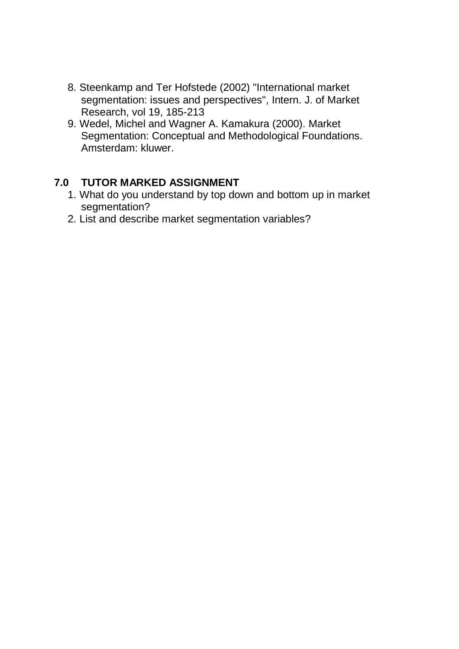- 8. Steenkamp and Ter Hofstede (2002) "International market segmentation: issues and perspectives", Intern. J. of Market Research, vol 19, 185-213
- 9. Wedel, Michel and Wagner A. Kamakura (2000). Market Segmentation: Conceptual and Methodological Foundations. Amsterdam: kluwer.

## **7.0 TUTOR MARKED ASSIGNMENT**

- 1. What do you understand by top down and bottom up in market segmentation?
- 2. List and describe market segmentation variables?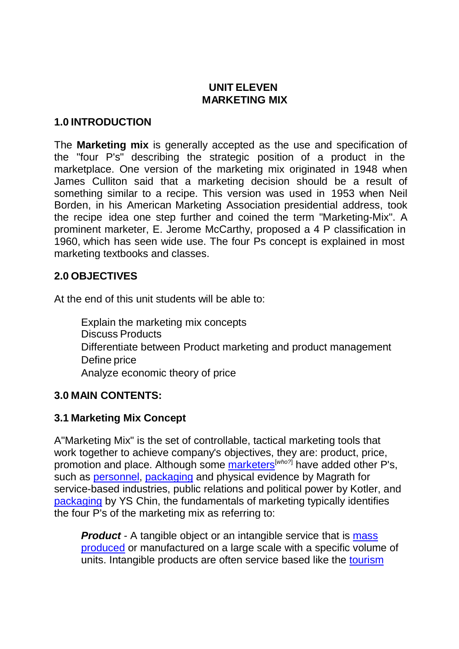#### **UNIT ELEVEN MARKETING MIX**

#### **1.0 INTRODUCTION**

The **Marketing mix** is generally accepted as the use and specification of the "four P's" describing the strategic position of a product in the marketplace. One version of the marketing mix originated in 1948 when James Culliton said that a marketing decision should be a result of something similar to a recipe. This version was used in 1953 when Neil Borden, in his American Marketing Association presidential address, took the recipe idea one step further and coined the term "Marketing-Mix". A prominent marketer, E. Jerome McCarthy, proposed a 4 P classification in 1960, which has seen wide use. The four Ps concept is explained in most marketing textbooks and classes.

## **2.0 OBJECTIVES**

At the end of this unit students will be able to:

Explain the marketing mix concepts Discuss Products Differentiate between Product marketing and product management Define price Analyze economic theory of price

## **3.0 MAIN CONTENTS:**

## **3.1 Marketing Mix Concept**

A"Marketing Mix" is the set of controllable, tactical marketing tools that work together to achieve company's objectives, they are: product, price, promotion and place. Although some marketers<sup>[who?]</sup> have added other P's, such as personnel, packaging and physical evidence by Magrath for service-based industries, public relations and political power by Kotler, and packaging by YS Chin, the fundamentals of marketing typically identifies the four P's of the marketing mix as referring to:

**Product** - A tangible object or an intangible service that is mass produced or manufactured on a large scale with a specific volume of units. Intangible products are often service based like the tourism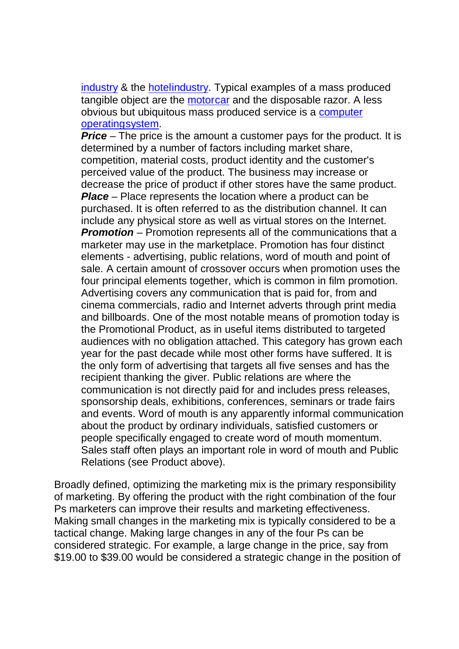industry & the hotelindustry. Typical examples of a mass produced tangible object are the motorcar and the disposable razor. A less obvious but ubiquitous mass produced service is a computer operating system.

**Price** – The price is the amount a customer pays for the product. It is determined by a number of factors including market share, competition, material costs, product identity and the customer's perceived value of the product. The business may increase or decrease the price of product if other stores have the same product. **Place** – Place represents the location where a product can be purchased. It is often referred to as the distribution channel. It can include any physical store as well as virtual stores on the Internet. **Promotion** – Promotion represents all of the communications that a marketer may use in the marketplace. Promotion has four distinct elements - advertising, public relations, word of mouth and point of sale. A certain amount of crossover occurs when promotion uses the four principal elements together, which is common in film promotion. Advertising covers any communication that is paid for, from and cinema commercials, radio and Internet adverts through print media and billboards. One of the most notable means of promotion today is the Promotional Product, as in useful items distributed to targeted audiences with no obligation attached. This category has grown each year for the past decade while most other forms have suffered. It is the only form of advertising that targets all five senses and has the recipient thanking the giver. Public relations are where the communication is not directly paid for and includes press releases, sponsorship deals, exhibitions, conferences, seminars or trade fairs and events. Word of mouth is any apparently informal communication about the product by ordinary individuals, satisfied customers or people specifically engaged to create word of mouth momentum. Sales staff often plays an important role in word of mouth and Public Relations (see Product above).

Broadly defined, optimizing the marketing mix is the primary responsibility of marketing. By offering the product with the right combination of the four Ps marketers can improve their results and marketing effectiveness. Making small changes in the marketing mix is typically considered to be a tactical change. Making large changes in any of the four Ps can be considered strategic. For example, a large change in the price, say from \$19.00 to \$39.00 would be considered a strategic change in the position of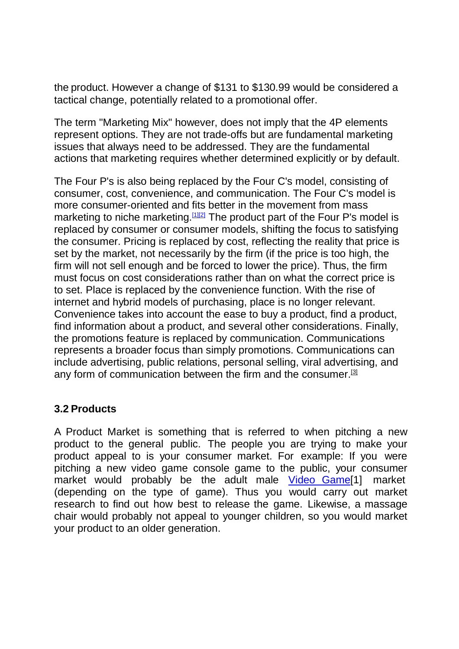the product. However a change of \$131 to \$130.99 would be considered a tactical change, potentially related to a promotional offer.

The term "Marketing Mix" however, does not imply that the 4P elements represent options. They are not trade-offs but are fundamental marketing issues that always need to be addressed. They are the fundamental actions that marketing requires whether determined explicitly or by default.

The Four P's is also being replaced by the Four C's model, consisting of consumer, cost, convenience, and communication. The Four C's model is more consumer-oriented and fits better in the movement from mass marketing to niche marketing.<sup>[1][2]</sup> The product part of the Four P's model is replaced by consumer or consumer models, shifting the focus to satisfying the consumer. Pricing is replaced by cost, reflecting the reality that price is set by the market, not necessarily by the firm (if the price is too high, the firm will not sell enough and be forced to lower the price). Thus, the firm must focus on cost considerations rather than on what the correct price is to set. Place is replaced by the convenience function. With the rise of internet and hybrid models of purchasing, place is no longer relevant. Convenience takes into account the ease to buy a product, find a product, find information about a product, and several other considerations. Finally, the promotions feature is replaced by communication. Communications represents a broader focus than simply promotions. Communications can include advertising, public relations, personal selling, viral advertising, and any form of communication between the firm and the consumer.<sup>[3]</sup>

## **3.2 Products**

A Product Market is something that is referred to when pitching a new product to the general public. The people you are trying to make your product appeal to is your consumer market. For example: If you were pitching a new video game console game to the public, your consumer market would probably be the adult male Video Game[1] market (depending on the type of game). Thus you would carry out market research to find out how best to release the game. Likewise, a massage chair would probably not appeal to younger children, so you would market your product to an older generation.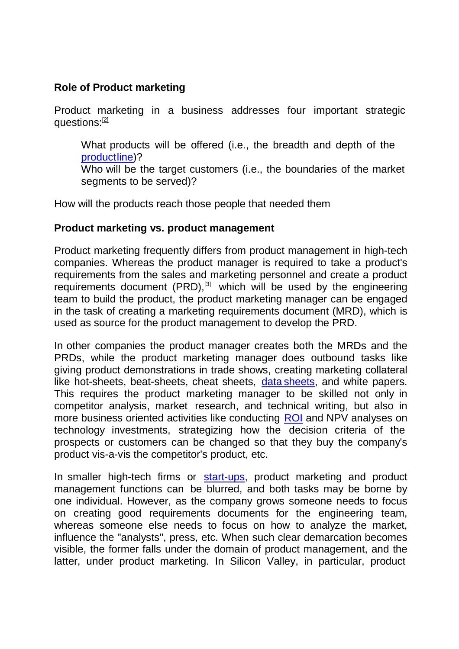#### **Role of Product marketing**

Product marketing in a business addresses four important strategic questions: $[2]$ 

What products will be offered (i.e., the breadth and depth of the productline)?

Who will be the target customers (i.e., the boundaries of the market segments to be served)?

How will the products reach those people that needed them

#### **Product marketing vs. product management**

Product marketing frequently differs from product management in high-tech companies. Whereas the product manager is required to take a product's requirements from the sales and marketing personnel and create a product requirements document (PRD),  $[3]$  which will be used by the engineering team to build the product, the product marketing manager can be engaged in the task of creating a marketing requirements document (MRD), which is used as source for the product management to develop the PRD.

In other companies the product manager creates both the MRDs and the PRDs, while the product marketing manager does outbound tasks like giving product demonstrations in trade shows, creating marketing collateral like hot-sheets, beat-sheets, cheat sheets, data sheets, and white papers. This requires the product marketing manager to be skilled not only in competitor analysis, market research, and technical writing, but also in more business oriented activities like conducting ROI and NPV analyses on technology investments, strategizing how the decision criteria of the prospects or customers can be changed so that they buy the company's product vis-a-vis the competitor's product, etc.

In smaller high-tech firms or start-ups, product marketing and product management functions can be blurred, and both tasks may be borne by one individual. However, as the company grows someone needs to focus on creating good requirements documents for the engineering team, whereas someone else needs to focus on how to analyze the market, influence the "analysts", press, etc. When such clear demarcation becomes visible, the former falls under the domain of product management, and the latter, under product marketing. In Silicon Valley, in particular, product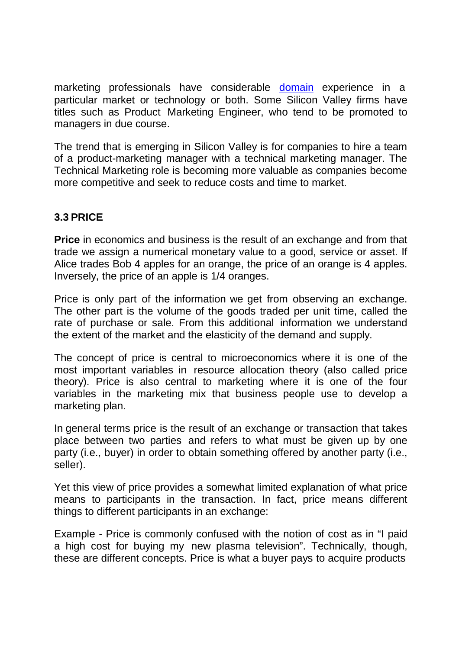marketing professionals have considerable domain experience in a particular market or technology or both. Some Silicon Valley firms have titles such as Product Marketing Engineer, who tend to be promoted to managers in due course.

The trend that is emerging in Silicon Valley is for companies to hire a team of a product-marketing manager with a technical marketing manager. The Technical Marketing role is becoming more valuable as companies become more competitive and seek to reduce costs and time to market.

## **3.3 PRICE**

**Price** in economics and business is the result of an exchange and from that trade we assign a numerical monetary value to a good, service or asset. If Alice trades Bob 4 apples for an orange, the price of an orange is 4 apples. Inversely, the price of an apple is 1/4 oranges.

Price is only part of the information we get from observing an exchange. The other part is the volume of the goods traded per unit time, called the rate of purchase or sale. From this additional information we understand the extent of the market and the elasticity of the demand and supply.

The concept of price is central to microeconomics where it is one of the most important variables in resource allocation theory (also called price theory). Price is also central to marketing where it is one of the four variables in the marketing mix that business people use to develop a marketing plan.

In general terms price is the result of an exchange or transaction that takes place between two parties and refers to what must be given up by one party (i.e., buyer) in order to obtain something offered by another party (i.e., seller).

Yet this view of price provides a somewhat limited explanation of what price means to participants in the transaction. In fact, price means different things to different participants in an exchange:

Example - Price is commonly confused with the notion of cost as in "I paid a high cost for buying my new plasma television". Technically, though, these are different concepts. Price is what a buyer pays to acquire products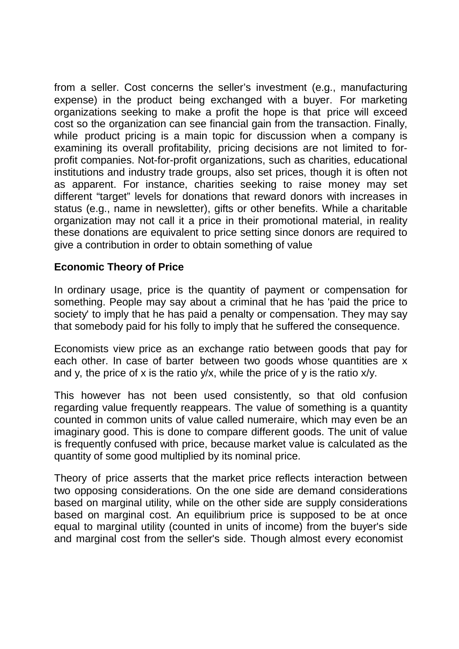from a seller. Cost concerns the seller's investment (e.g., manufacturing expense) in the product being exchanged with a buyer. For marketing organizations seeking to make a profit the hope is that price will exceed cost so the organization can see financial gain from the transaction. Finally, while product pricing is a main topic for discussion when a company is examining its overall profitability, pricing decisions are not limited to forprofit companies. Not-for-profit organizations, such as charities, educational institutions and industry trade groups, also set prices, though it is often not as apparent. For instance, charities seeking to raise money may set different "target" levels for donations that reward donors with increases in status (e.g., name in newsletter), gifts or other benefits. While a charitable organization may not call it a price in their promotional material, in reality these donations are equivalent to price setting since donors are required to give a contribution in order to obtain something of value

#### **Economic Theory of Price**

In ordinary usage, price is the quantity of payment or compensation for something. People may say about a criminal that he has 'paid the price to society' to imply that he has paid a penalty or compensation. They may say that somebody paid for his folly to imply that he suffered the consequence.

Economists view price as an exchange ratio between goods that pay for each other. In case of barter between two goods whose quantities are x and y, the price of x is the ratio  $y/x$ , while the price of y is the ratio  $x/y$ .

This however has not been used consistently, so that old confusion regarding value frequently reappears. The value of something is a quantity counted in common units of value called numeraire, which may even be an imaginary good. This is done to compare different goods. The unit of value is frequently confused with price, because market value is calculated as the quantity of some good multiplied by its nominal price.

Theory of price asserts that the market price reflects interaction between two opposing considerations. On the one side are demand considerations based on marginal utility, while on the other side are supply considerations based on marginal cost. An equilibrium price is supposed to be at once equal to marginal utility (counted in units of income) from the buyer's side and marginal cost from the seller's side. Though almost every economist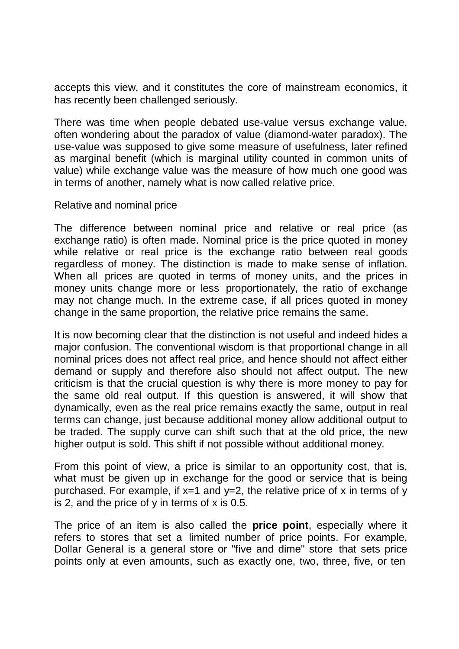accepts this view, and it constitutes the core of mainstream economics, it has recently been challenged seriously.

There was time when people debated use-value versus exchange value, often wondering about the paradox of value (diamond-water paradox). The use-value was supposed to give some measure of usefulness, later refined as marginal benefit (which is marginal utility counted in common units of value) while exchange value was the measure of how much one good was in terms of another, namely what is now called relative price.

#### Relative and nominal price

The difference between nominal price and relative or real price (as exchange ratio) is often made. Nominal price is the price quoted in money while relative or real price is the exchange ratio between real goods regardless of money. The distinction is made to make sense of inflation. When all prices are quoted in terms of money units, and the prices in money units change more or less proportionately, the ratio of exchange may not change much. In the extreme case, if all prices quoted in money change in the same proportion, the relative price remains the same.

It is now becoming clear that the distinction is not useful and indeed hides a major confusion. The conventional wisdom is that proportional change in all nominal prices does not affect real price, and hence should not affect either demand or supply and therefore also should not affect output. The new criticism is that the crucial question is why there is more money to pay for the same old real output. If this question is answered, it will show that dynamically, even as the real price remains exactly the same, output in real terms can change, just because additional money allow additional output to be traded. The supply curve can shift such that at the old price, the new higher output is sold. This shift if not possible without additional money.

From this point of view, a price is similar to an opportunity cost, that is, what must be given up in exchange for the good or service that is being purchased. For example, if  $x=1$  and  $y=2$ , the relative price of x in terms of y is 2, and the price of y in terms of x is 0.5.

The price of an item is also called the **price point**, especially where it refers to stores that set a limited number of price points. For example, Dollar General is a general store or "five and dime" store that sets price points only at even amounts, such as exactly one, two, three, five, or ten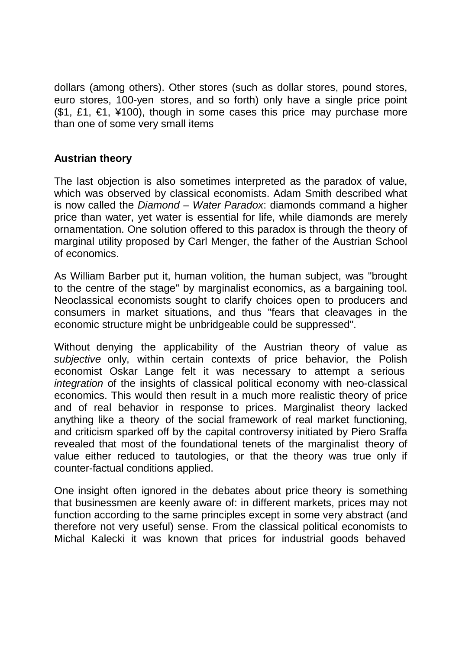dollars (among others). Other stores (such as dollar stores, pound stores, euro stores, 100-yen stores, and so forth) only have a single price point  $(1, \, \epsilon)$ ,  $\epsilon$ 1,  $\epsilon$ 1,  $\epsilon$ 100), though in some cases this price may purchase more than one of some very small items

#### **Austrian theory**

The last objection is also sometimes interpreted as the paradox of value, which was observed by classical economists. Adam Smith described what is now called the Diamond – Water Paradox: diamonds command a higher price than water, yet water is essential for life, while diamonds are merely ornamentation. One solution offered to this paradox is through the theory of marginal utility proposed by Carl Menger, the father of the Austrian School of economics.

As William Barber put it, human volition, the human subject, was "brought to the centre of the stage" by marginalist economics, as a bargaining tool. Neoclassical economists sought to clarify choices open to producers and consumers in market situations, and thus "fears that cleavages in the economic structure might be unbridgeable could be suppressed".

Without denying the applicability of the Austrian theory of value as subjective only, within certain contexts of price behavior, the Polish economist Oskar Lange felt it was necessary to attempt a serious integration of the insights of classical political economy with neo-classical economics. This would then result in a much more realistic theory of price and of real behavior in response to prices. Marginalist theory lacked anything like a theory of the social framework of real market functioning, and criticism sparked off by the capital controversy initiated by Piero Sraffa revealed that most of the foundational tenets of the marginalist theory of value either reduced to tautologies, or that the theory was true only if counter-factual conditions applied.

One insight often ignored in the debates about price theory is something that businessmen are keenly aware of: in different markets, prices may not function according to the same principles except in some very abstract (and therefore not very useful) sense. From the classical political economists to Michal Kalecki it was known that prices for industrial goods behaved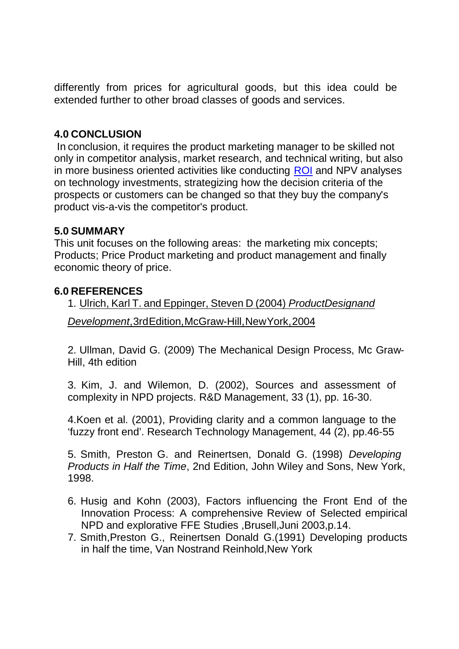differently from prices for agricultural goods, but this idea could be extended further to other broad classes of goods and services.

## **4.0 CONCLUSION**

In conclusion, it requires the product marketing manager to be skilled not only in competitor analysis, market research, and technical writing, but also in more business oriented activities like conducting ROI and NPV analyses on technology investments, strategizing how the decision criteria of the prospects or customers can be changed so that they buy the company's product vis-a-vis the competitor's product.

#### **5.0 SUMMARY**

This unit focuses on the following areas: the marketing mix concepts; Products; Price Product marketing and product management and finally economic theory of price.

#### **6.0 REFERENCES**

## 1. Ulrich, Karl T. and Eppinger, Steven D (2004) Product Designand

#### Development, 3rd Edition, McGraw-Hill, New York, 2004

2. Ullman, David G. (2009) The Mechanical Design Process, Mc Graw-Hill, 4th edition

3. Kim, J. and Wilemon, D. (2002), Sources and assessment of complexity in NPD projects. R&D Management, 33 (1), pp. 16-30.

4.Koen et al. (2001), Providing clarity and a common language to the 'fuzzy front end'. Research Technology Management, 44 (2), pp.46-55

5. Smith, Preston G. and Reinertsen, Donald G. (1998) Developing Products in Half the Time, 2nd Edition, John Wiley and Sons, New York, 1998.

- 6. Husig and Kohn (2003), Factors influencing the Front End of the Innovation Process: A comprehensive Review of Selected empirical NPD and explorative FFE Studies ,Brusell,Juni 2003,p.14.
- 7. Smith,Preston G., Reinertsen Donald G.(1991) Developing products in half the time, Van Nostrand Reinhold,New York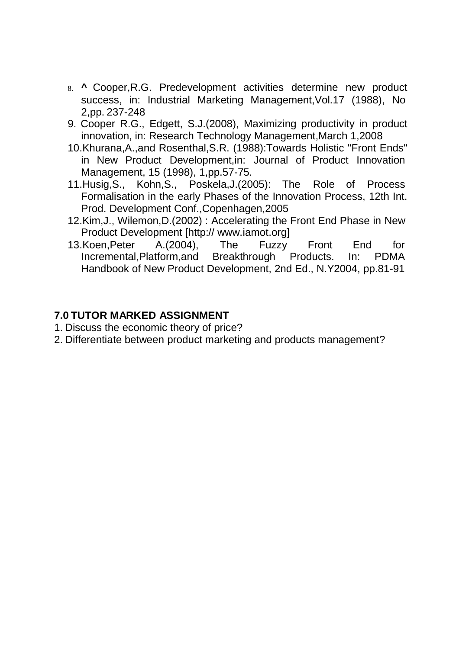- 8. **^** Cooper,R.G. Predevelopment activities determine new product success, in: Industrial Marketing Management,Vol.17 (1988), No 2,pp. 237-248
- 9. Cooper R.G., Edgett, S.J.(2008), Maximizing productivity in product innovation, in: Research Technology Management,March 1,2008
- 10.Khurana,A.,and Rosenthal,S.R. (1988):Towards Holistic "Front Ends" in New Product Development,in: Journal of Product Innovation Management, 15 (1998), 1,pp.57-75.
- 11.Husig,S., Kohn,S., Poskela,J.(2005): The Role of Process Formalisation in the early Phases of the Innovation Process, 12th Int. Prod. Development Conf.,Copenhagen,2005
- 12.Kim,J., Wilemon,D.(2002) : Accelerating the Front End Phase in New Product Development [http:// www.iamot.org]
- 13.Koen,Peter A.(2004), The Fuzzy Front End for Incremental,Platform,and Breakthrough Products. In: PDMA Handbook of New Product Development, 2nd Ed., N.Y2004, pp.81-91

#### **7.0 TUTOR MARKED ASSIGNMENT**

- 1. Discuss the economic theory of price?
- 2. Differentiate between product marketing and products management?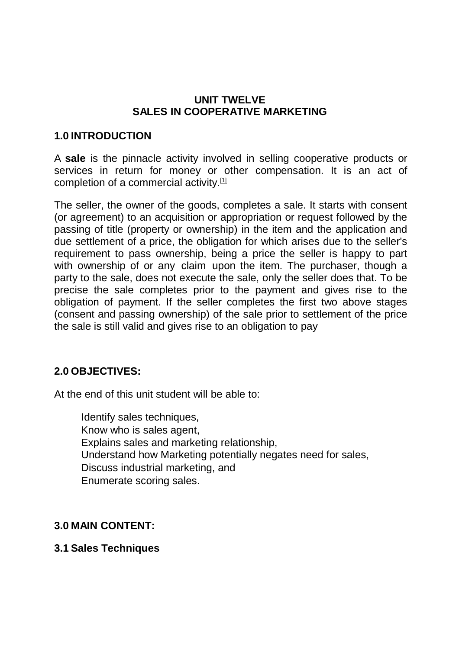#### **UNIT TWELVE SALES IN COOPERATIVE MARKETING**

#### **1.0 INTRODUCTION**

A **sale** is the pinnacle activity involved in selling cooperative products or services in return for money or other compensation. It is an act of completion of a commercial activity. $[1]$ 

The seller, the owner of the goods, completes a sale. It starts with consent (or agreement) to an acquisition or appropriation or request followed by the passing of title (property or ownership) in the item and the application and due settlement of a price, the obligation for which arises due to the seller's requirement to pass ownership, being a price the seller is happy to part with ownership of or any claim upon the item. The purchaser, though a party to the sale, does not execute the sale, only the seller does that. To be precise the sale completes prior to the payment and gives rise to the obligation of payment. If the seller completes the first two above stages (consent and passing ownership) of the sale prior to settlement of the price the sale is still valid and gives rise to an obligation to pay

## **2.0 OBJECTIVES:**

At the end of this unit student will be able to:

Identify sales techniques, Know who is sales agent, Explains sales and marketing relationship, Understand how Marketing potentially negates need for sales, Discuss industrial marketing, and Enumerate scoring sales.

## **3.0 MAIN CONTENT:**

#### **3.1 Sales Techniques**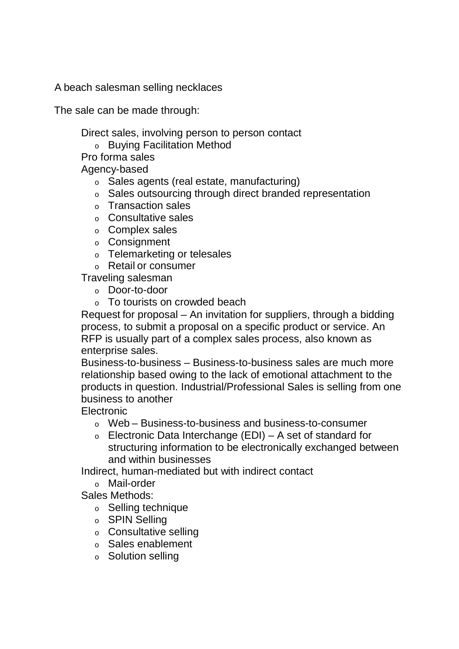A beach salesman selling necklaces

The sale can be made through:

Direct sales, involving person to person contact

o Buying Facilitation Method

Pro forma sales

Agency-based

- o Sales agents (real estate, manufacturing)
- o Sales outsourcing through direct branded representation
- o Transaction sales
- o Consultative sales
- o Complex sales
- o Consignment
- o Telemarketing or telesales
- o Retail or consumer

Traveling salesman

- o Door-to-door
- o To tourists on crowded beach

Request for proposal – An invitation for suppliers, through a bidding process, to submit a proposal on a specific product or service. An RFP is usually part of a complex sales process, also known as enterprise sales.

Business-to-business – Business-to-business sales are much more relationship based owing to the lack of emotional attachment to the products in question. Industrial/Professional Sales is selling from one business to another

Electronic

- o Web Business-to-business and business-to-consumer
- $\circ$  Electronic Data Interchange (EDI) A set of standard for structuring information to be electronically exchanged between and within businesses

Indirect, human-mediated but with indirect contact

o Mail-order

Sales Methods:

- o Selling technique
- o SPIN Selling
- o Consultative selling
- o Sales enablement
- o Solution selling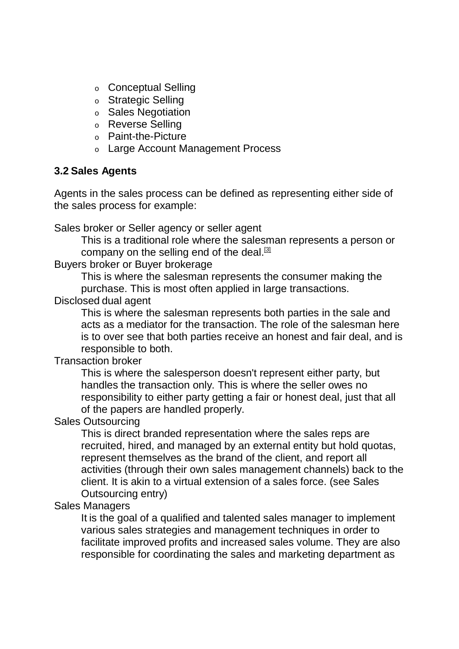- o Conceptual Selling
- o Strategic Selling
- o Sales Negotiation
- o Reverse Selling
- o Paint-the-Picture
- o Large Account Management Process

## **3.2 Sales Agents**

Agents in the sales process can be defined as representing either side of the sales process for example:

Sales broker or Seller agency or seller agent

This is a traditional role where the salesman represents a person or company on the selling end of the deal.<sup>[3]</sup>

Buyers broker or Buyer brokerage

This is where the salesman represents the consumer making the purchase. This is most often applied in large transactions.

Disclosed dual agent

This is where the salesman represents both parties in the sale and acts as a mediator for the transaction. The role of the salesman here is to over see that both parties receive an honest and fair deal, and is responsible to both.

Transaction broker

This is where the salesperson doesn't represent either party, but handles the transaction only. This is where the seller owes no responsibility to either party getting a fair or honest deal, just that all of the papers are handled properly.

## Sales Outsourcing

This is direct branded representation where the sales reps are recruited, hired, and managed by an external entity but hold quotas, represent themselves as the brand of the client, and report all activities (through their own sales management channels) back to the client. It is akin to a virtual extension of a sales force. (see Sales Outsourcing entry)

## Sales Managers

It is the goal of a qualified and talented sales manager to implement various sales strategies and management techniques in order to facilitate improved profits and increased sales volume. They are also responsible for coordinating the sales and marketing department as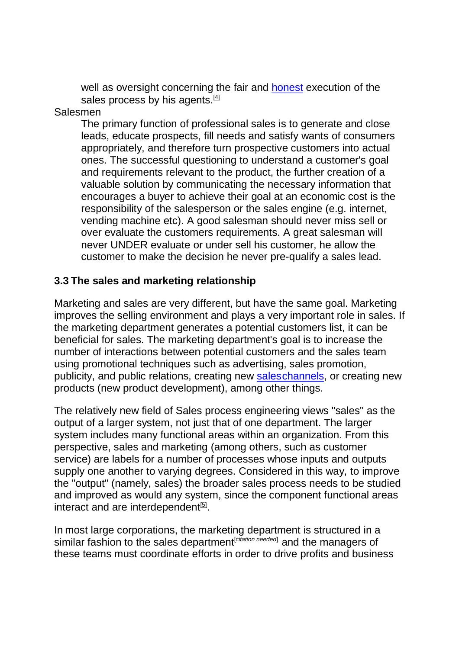well as oversight concerning the fair and honest execution of the sales process by his agents.<sup>[4]</sup>

#### **Salesmen**

The primary function of professional sales is to generate and close leads, educate prospects, fill needs and satisfy wants of consumers appropriately, and therefore turn prospective customers into actual ones. The successful questioning to understand a customer's goal and requirements relevant to the product, the further creation of a valuable solution by communicating the necessary information that encourages a buyer to achieve their goal at an economic cost is the responsibility of the salesperson or the sales engine (e.g. internet, vending machine etc). A good salesman should never miss sell or over evaluate the customers requirements. A great salesman will never UNDER evaluate or under sell his customer, he allow the customer to make the decision he never pre-qualify a sales lead.

## **3.3 The sales and marketing relationship**

Marketing and sales are very different, but have the same goal. Marketing improves the selling environment and plays a very important role in sales. If the marketing department generates a potential customers list, it can be beneficial for sales. The marketing department's goal is to increase the number of interactions between potential customers and the sales team using promotional techniques such as advertising, sales promotion, publicity, and public relations, creating new sales channels, or creating new products (new product development), among other things.

The relatively new field of Sales process engineering views "sales" as the output of a larger system, not just that of one department. The larger system includes many functional areas within an organization. From this perspective, sales and marketing (among others, such as customer service) are labels for a number of processes whose inputs and outputs supply one another to varying degrees. Considered in this way, to improve the "output" (namely, sales) the broader sales process needs to be studied and improved as would any system, since the component functional areas interact and are interdependent<sup>[5]</sup>.

In most large corporations, the marketing department is structured in a similar fashion to the sales department<sup>[citation needed]</sup> and the managers of these teams must coordinate efforts in order to drive profits and business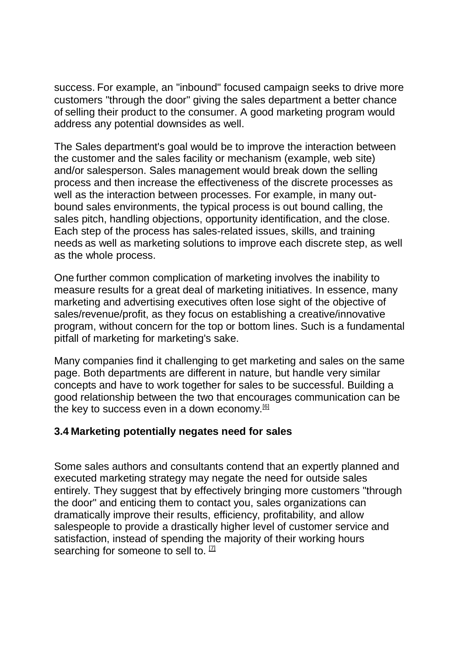success. For example, an "inbound" focused campaign seeks to drive more customers "through the door" giving the sales department a better chance of selling their product to the consumer. A good marketing program would address any potential downsides as well.

The Sales department's goal would be to improve the interaction between the customer and the sales facility or mechanism (example, web site) and/or salesperson. Sales management would break down the selling process and then increase the effectiveness of the discrete processes as well as the interaction between processes. For example, in many outbound sales environments, the typical process is out bound calling, the sales pitch, handling objections, opportunity identification, and the close. Each step of the process has sales-related issues, skills, and training needs as well as marketing solutions to improve each discrete step, as well as the whole process.

One further common complication of marketing involves the inability to measure results for a great deal of marketing initiatives. In essence, many marketing and advertising executives often lose sight of the objective of sales/revenue/profit, as they focus on establishing a creative/innovative program, without concern for the top or bottom lines. Such is a fundamental pitfall of marketing for marketing's sake.

Many companies find it challenging to get marketing and sales on the same page. Both departments are different in nature, but handle very similar concepts and have to work together for sales to be successful. Building a good relationship between the two that encourages communication can be the key to success even in a down economy.<sup>[6]</sup>

#### **3.4 Marketing potentially negates need for sales**

Some sales authors and consultants contend that an expertly planned and executed marketing strategy may negate the need for outside sales entirely. They suggest that by effectively bringing more customers "through the door" and enticing them to contact you, sales organizations can dramatically improve their results, efficiency, profitability, and allow salespeople to provide a drastically higher level of customer service and satisfaction, instead of spending the majority of their working hours searching for someone to sell to.  $[2]$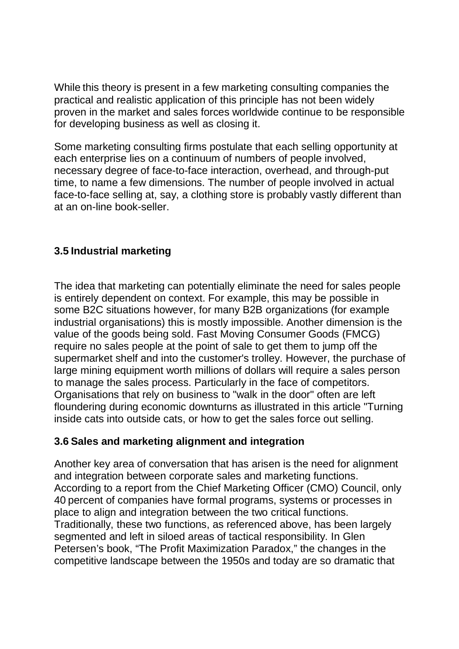While this theory is present in a few marketing consulting companies the practical and realistic application of this principle has not been widely proven in the market and sales forces worldwide continue to be responsible for developing business as well as closing it.

Some marketing consulting firms postulate that each selling opportunity at each enterprise lies on a continuum of numbers of people involved, necessary degree of face-to-face interaction, overhead, and through-put time, to name a few dimensions. The number of people involved in actual face-to-face selling at, say, a clothing store is probably vastly different than at an on-line book-seller.

## **3.5 Industrial marketing**

The idea that marketing can potentially eliminate the need for sales people is entirely dependent on context. For example, this may be possible in some B2C situations however, for many B2B organizations (for example industrial organisations) this is mostly impossible. Another dimension is the value of the goods being sold. Fast Moving Consumer Goods (FMCG) require no sales people at the point of sale to get them to jump off the supermarket shelf and into the customer's trolley. However, the purchase of large mining equipment worth millions of dollars will require a sales person to manage the sales process. Particularly in the face of competitors. Organisations that rely on business to "walk in the door" often are left floundering during economic downturns as illustrated in this article "Turning inside cats into outside cats, or how to get the sales force out selling.

## **3.6 Sales and marketing alignment and integration**

Another key area of conversation that has arisen is the need for alignment and integration between corporate sales and marketing functions. According to a report from the Chief Marketing Officer (CMO) Council, only 40 percent of companies have formal programs, systems or processes in place to align and integration between the two critical functions. Traditionally, these two functions, as referenced above, has been largely segmented and left in siloed areas of tactical responsibility. In Glen Petersen's book, "The Profit Maximization Paradox," the changes in the competitive landscape between the 1950s and today are so dramatic that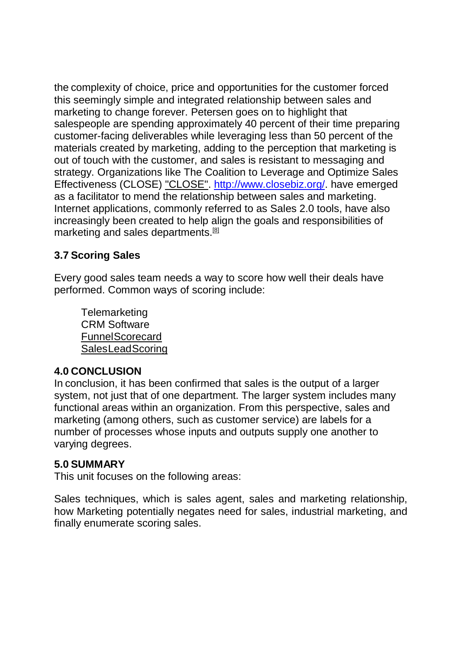the complexity of choice, price and opportunities for the customer forced this seemingly simple and integrated relationship between sales and marketing to change forever. Petersen goes on to highlight that salespeople are spending approximately 40 percent of their time preparing customer-facing deliverables while leveraging less than 50 percent of the materials created by marketing, adding to the perception that marketing is out of touch with the customer, and sales is resistant to messaging and strategy. Organizations like The Coalition to Leverage and Optimize Sales Effectiveness (CLOSE) "CLOSE". http://www.closebiz.org/. have emerged as a facilitator to mend the relationship between sales and marketing. Internet applications, commonly referred to as Sales 2.0 tools, have also increasingly been created to help align the goals and responsibilities of marketing and sales departments.<sup>[8]</sup>

## **3.7 Scoring Sales**

Every good sales team needs a way to score how well their deals have performed. Common ways of scoring include:

**Telemarketing** CRM Software Funnel Scorecard Sales Lead Scoring

## **4.0 CONCLUSION**

In conclusion, it has been confirmed that sales is the output of a larger system, not just that of one department. The larger system includes many functional areas within an organization. From this perspective, sales and marketing (among others, such as customer service) are labels for a number of processes whose inputs and outputs supply one another to varying degrees.

## **5.0 SUMMARY**

This unit focuses on the following areas:

Sales techniques, which is sales agent, sales and marketing relationship, how Marketing potentially negates need for sales, industrial marketing, and finally enumerate scoring sales.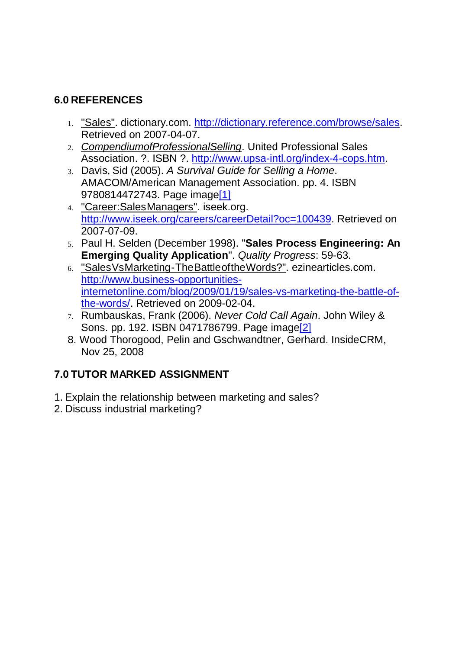## **6.0 REFERENCES**

- 1. "Sales". dictionary.com. http://dictionary.reference.com/browse/sales. Retrieved on 2007-04-07.
- 2. Compendium of Professional Selling. United Professional Sales Association. ?. ISBN ?. http://www.upsa-intl.org/index-4-cops.htm.
- 3. Davis, Sid (2005). A Survival Guide for Selling a Home. AMACOM/American Management Association. pp. 4. ISBN 9780814472743. Page image[1]
- 4. "Career:Sales Managers". iseek.org. http://www.iseek.org/careers/careerDetail?oc=100439. Retrieved on 2007-07-09.
- 5. Paul H. Selden (December 1998). "**Sales Process Engineering: An Emerging Quality Application**". Quality Progress: 59-63.
- 6. "Sales Vs Marketing The Battle of the Words?". ezinearticles.com. http://www.business-opportunitiesinternetonline.com/blog/2009/01/19/sales-vs-marketing-the-battle-ofthe-words/. Retrieved on 2009-02-04.
- 7. Rumbauskas, Frank (2006). Never Cold Call Again. John Wiley & Sons. pp. 192. ISBN 0471786799. Page image[2]
- 8. Wood Thorogood, Pelin and Gschwandtner, Gerhard. InsideCRM, Nov 25, 2008

# **7.0 TUTOR MARKED ASSIGNMENT**

- 1. Explain the relationship between marketing and sales?
- 2. Discuss industrial marketing?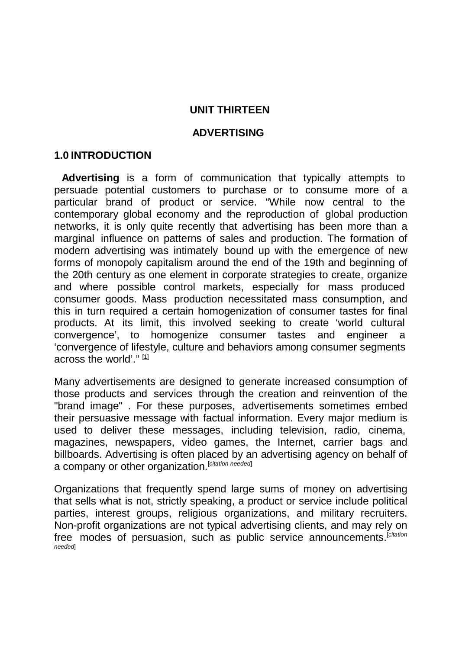## **UNIT THIRTEEN**

#### **ADVERTISING**

#### **1.0 INTRODUCTION**

**Advertising** is a form of communication that typically attempts to persuade potential customers to purchase or to consume more of a particular brand of product or service. "While now central to the contemporary global economy and the reproduction of global production networks, it is only quite recently that advertising has been more than a marginal influence on patterns of sales and production. The formation of modern advertising was intimately bound up with the emergence of new forms of monopoly capitalism around the end of the 19th and beginning of the 20th century as one element in corporate strategies to create, organize and where possible control markets, especially for mass produced consumer goods. Mass production necessitated mass consumption, and this in turn required a certain homogenization of consumer tastes for final products. At its limit, this involved seeking to create 'world cultural convergence', to homogenize consumer tastes and engineer a 'convergence of lifestyle, culture and behaviors among consumer segments across the world'." [1]

Many advertisements are designed to generate increased consumption of those products and services through the creation and reinvention of the "brand image" . For these purposes, advertisements sometimes embed their persuasive message with factual information. Every major medium is used to deliver these messages, including television, radio, cinema, magazines, newspapers, video games, the Internet, carrier bags and billboards. Advertising is often placed by an advertising agency on behalf of a company or other organization. [citation needed]

Organizations that frequently spend large sums of money on advertising that sells what is not, strictly speaking, a product or service include political parties, interest groups, religious organizations, and military recruiters. Non-profit organizations are not typical advertising clients, and may rely on free modes of persuasion, such as public service announcements. [citation needed]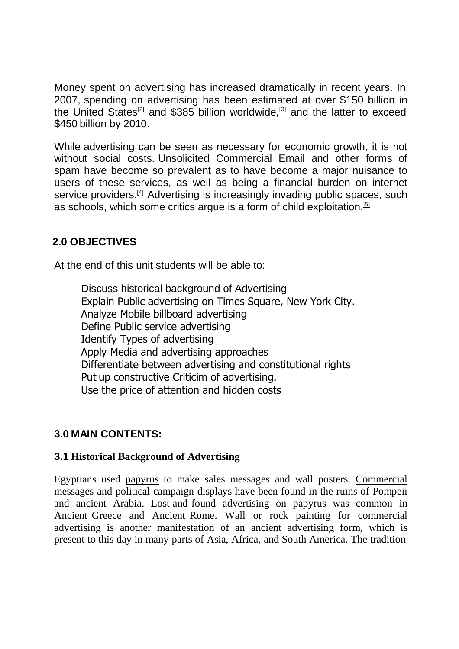Money spent on advertising has increased dramatically in recent years. In 2007, spending on advertising has been estimated at over \$150 billion in the United States<sup>[2]</sup> and \$385 billion worldwide,<sup>[3]</sup> and the latter to exceed \$450 billion by 2010.

While advertising can be seen as necessary for economic growth, it is not without social costs. Unsolicited Commercial Email and other forms of spam have become so prevalent as to have become a major nuisance to users of these services, as well as being a financial burden on internet service providers.<sup>[4]</sup> Advertising is increasingly invading public spaces, such as schools, which some critics argue is a form of child exploitation.<sup>[5]</sup>

# **2.0 OBJECTIVES**

At the end of this unit students will be able to:

Discuss historical background of Advertising Explain Public advertising on Times Square, New York City. Analyze Mobile billboard advertising Define Public service advertising Identify Types of advertising Apply Media and advertising approaches Differentiate between advertising and constitutional rights Put up constructive Criticim of advertising. Use the price of attention and hidden costs

# **3.0 MAIN CONTENTS:**

## **3.1 Historical Background of Advertising**

Egyptians used papyrus to make sales messages and wall posters. Commercial messages and political campaign displays have been found in the ruins of Pompeii and ancient Arabia. Lost and found advertising on papyrus was common in Ancient Greece and Ancient Rome. Wall or rock painting for commercial advertising is another manifestation of an ancient advertising form, which is present to this day in many parts of Asia, Africa, and South America. The tradition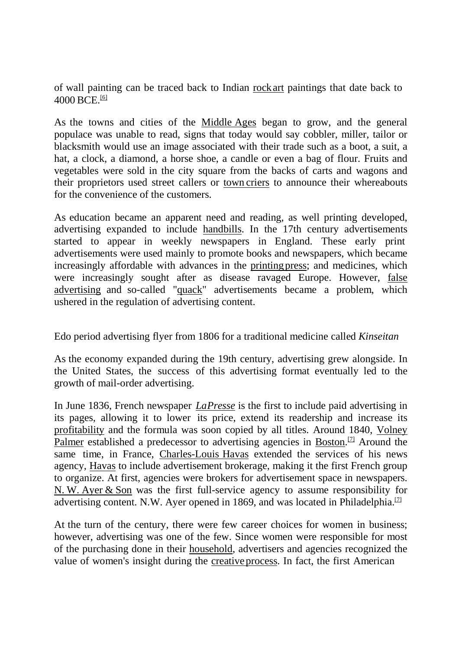of wall painting can be traced back to Indian rock art paintings that date back to 4000 BCE<sup>[6]</sup>

As the towns and cities of the Middle Ages began to grow, and the general populace was unable to read, signs that today would say cobbler, miller, tailor or blacksmith would use an image associated with their trade such as a boot, a suit, a hat, a clock, a diamond, a horse shoe, a candle or even a bag of flour. Fruits and vegetables were sold in the city square from the backs of carts and wagons and their proprietors used street callers or town criers to announce their whereabouts for the convenience of the customers.

As education became an apparent need and reading, as well printing developed, advertising expanded to include handbills. In the 17th century advertisements started to appear in weekly newspapers in England. These early print advertisements were used mainly to promote books and newspapers, which became increasingly affordable with advances in the printing press; and medicines, which were increasingly sought after as disease ravaged Europe. However, false advertising and so-called "quack" advertisements became a problem, which ushered in the regulation of advertising content.

Edo period advertising flyer from 1806 for a traditional medicine called *Kinseitan*

As the economy expanded during the 19th century, advertising grew alongside. In the United States, the success of this advertising format eventually led to the growth of mail-order advertising.

In June 1836, French newspaper *La Presse* is the first to include paid advertising in its pages, allowing it to lower its price, extend its readership and increase its profitability and the formula was soon copied by all titles. Around 1840, Volney Palmer established a predecessor to advertising agencies in **Boston**.<sup>[7]</sup> Around the same time, in France, Charles-Louis Havas extended the services of his news agency, Havas to include advertisement brokerage, making it the first French group to organize. At first, agencies were brokers for advertisement space in newspapers. N. W. Ayer & Son was the first full-service agency to assume responsibility for advertising content. N.W. Ayer opened in 1869, and was located in Philadelphia.<sup>[7]</sup>

At the turn of the century, there were few career choices for women in business; however, advertising was one of the few. Since women were responsible for most of the purchasing done in their household, advertisers and agencies recognized the value of women's insight during the creative process. In fact, the first American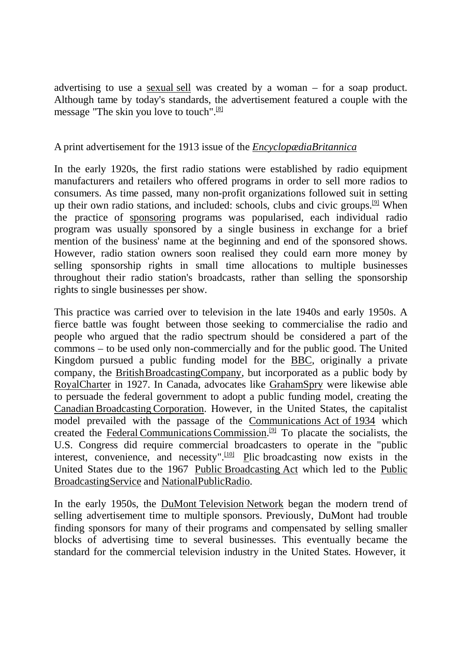advertising to use a sexual sell was created by a woman – for a soap product. Although tame by today's standards, the advertisement featured a couple with the message "The skin you love to touch".<sup>[8]</sup>

#### A print advertisement for the 1913 issue of the *Encyclopædia Britannica*

In the early 1920s, the first radio stations were established by radio equipment manufacturers and retailers who offered programs in order to sell more radios to consumers. As time passed, many non-profit organizations followed suit in setting up their own radio stations, and included: schools, clubs and civic groups.<sup>[9]</sup> When the practice of sponsoring programs was popularised, each individual radio program was usually sponsored by a single business in exchange for a brief mention of the business' name at the beginning and end of the sponsored shows. However, radio station owners soon realised they could earn more money by selling sponsorship rights in small time allocations to multiple businesses throughout their radio station's broadcasts, rather than selling the sponsorship rights to single businesses per show.

This practice was carried over to television in the late 1940s and early 1950s. A fierce battle was fought between those seeking to commercialise the radio and people who argued that the radio spectrum should be considered a part of the commons – to be used only non-commercially and for the public good. The United Kingdom pursued a public funding model for the BBC, originally a private company, the British BroadcastingCompany, but incorporated as a public body by RoyalCharter in 1927. In Canada, advocates like GrahamSpry were likewise able to persuade the federal government to adopt a public funding model, creating the Canadian Broadcasting Corporation. However, in the United States, the capitalist model prevailed with the passage of the Communications Act of 1934 which created the Federal Communications Commission.<sup>[9]</sup> To placate the socialists, the U.S. Congress did require commercial broadcasters to operate in the "public interest, convenience, and necessity".<sup>[10]</sup> Plic broadcasting now exists in the United States due to the 1967 Public Broadcasting Act which led to the Public Broadcasting Service and National Public Radio.

In the early 1950s, the DuMont Television Network began the modern trend of selling advertisement time to multiple sponsors. Previously, DuMont had trouble finding sponsors for many of their programs and compensated by selling smaller blocks of advertising time to several businesses. This eventually became the standard for the commercial television industry in the United States. However, it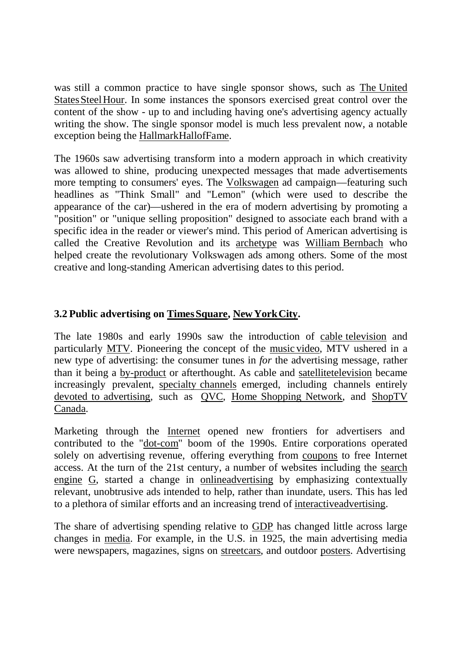was still a common practice to have single sponsor shows, such as The United States Steel Hour. In some instances the sponsors exercised great control over the content of the show - up to and including having one's advertising agency actually writing the show. The single sponsor model is much less prevalent now, a notable exception being the Hallmark Hall of Fame.

The 1960s saw advertising transform into a modern approach in which creativity was allowed to shine, producing unexpected messages that made advertisements more tempting to consumers' eyes. The Volkswagen ad campaign—featuring such headlines as "Think Small" and "Lemon" (which were used to describe the appearance of the car)—ushered in the era of modern advertising by promoting a "position" or "unique selling proposition" designed to associate each brand with a specific idea in the reader or viewer's mind. This period of American advertising is called the Creative Revolution and its archetype was William Bernbach who helped create the revolutionary Volkswagen ads among others. Some of the most creative and long-standing American advertising dates to this period.

# **3.2 Public advertising on Times Square, New York City.**

The late 1980s and early 1990s saw the introduction of cable television and particularly MTV. Pioneering the concept of the music video, MTV ushered in a new type of advertising: the consumer tunes in *for* the advertising message, rather than it being a by-product or afterthought. As cable and satellitetelevision became increasingly prevalent, specialty channels emerged, including channels entirely devoted to advertising, such as QVC, Home Shopping Network, and ShopTV Canada.

Marketing through the Internet opened new frontiers for advertisers and contributed to the "dot-com" boom of the 1990s. Entire corporations operated solely on advertising revenue, offering everything from coupons to free Internet access. At the turn of the 21st century, a number of websites including the search engine G, started a change in onlineadvertising by emphasizing contextually relevant, unobtrusive ads intended to help, rather than inundate, users. This has led to a plethora of similar efforts and an increasing trend of interactive advertising.

The share of advertising spending relative to GDP has changed little across large changes in media. For example, in the U.S. in 1925, the main advertising media were newspapers, magazines, signs on streetcars, and outdoor posters. Advertising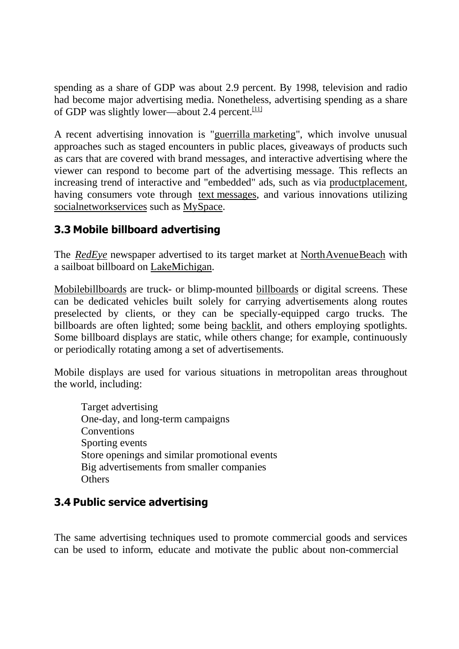spending as a share of GDP was about 2.9 percent. By 1998, television and radio had become major advertising media. Nonetheless, advertising spending as a share of GDP was slightly lower—about 2.4 percent.<sup>[11]</sup>

A recent advertising innovation is "guerrilla marketing", which involve unusual approaches such as staged encounters in public places, giveaways of products such as cars that are covered with brand messages, and interactive advertising where the viewer can respond to become part of the advertising message. This reflects an increasing trend of interactive and "embedded" ads, such as via productplacement, having consumers vote through text messages, and various innovations utilizing social network services such as MySpace.

# **3.3 Mobile billboard advertising**

The *RedEye* newspaper advertised to its target market at North Avenue Beach with a sailboat billboard on Lake Michigan.

Mobilebillboards are truck- or blimp-mounted billboards or digital screens. These can be dedicated vehicles built solely for carrying advertisements along routes preselected by clients, or they can be specially-equipped cargo trucks. The billboards are often lighted; some being backlit, and others employing spotlights. Some billboard displays are static, while others change; for example, continuously or periodically rotating among a set of advertisements.

Mobile displays are used for various situations in metropolitan areas throughout the world, including:

Target advertising One-day, and long-term campaigns Conventions Sporting events Store openings and similar promotional events Big advertisements from smaller companies **Others** 

# **3.4 Public service advertising**

The same advertising techniques used to promote commercial goods and services can be used to inform, educate and motivate the public about non-commercial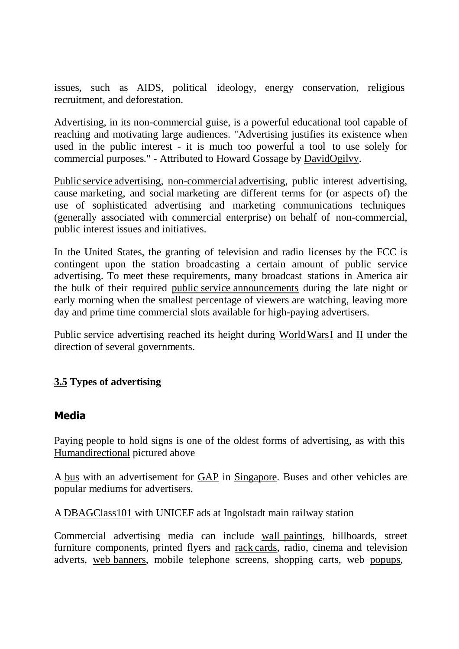issues, such as AIDS, political ideology, energy conservation, religious recruitment, and deforestation.

Advertising, in its non-commercial guise, is a powerful educational tool capable of reaching and motivating large audiences. "Advertising justifies its existence when used in the public interest - it is much too powerful a tool to use solely for commercial purposes." - Attributed to Howard Gossage by David Ogilyy.

Public service advertising, non-commercial advertising, public interest advertising, cause marketing, and social marketing are different terms for (or aspects of) the use of sophisticated advertising and marketing communications techniques (generally associated with commercial enterprise) on behalf of non-commercial, public interest issues and initiatives.

In the United States, the granting of television and radio licenses by the FCC is contingent upon the station broadcasting a certain amount of public service advertising. To meet these requirements, many broadcast stations in America air the bulk of their required public service announcements during the late night or early morning when the smallest percentage of viewers are watching, leaving more day and prime time commercial slots available for high-paying advertisers.

Public service advertising reached its height during World Wars I and II under the direction of several governments.

# **3.5 Types of advertising**

## **Media**

Paying people to hold signs is one of the oldest forms of advertising, as with this Human directional pictured above

A bus with an advertisement for GAP in Singapore. Buses and other vehicles are popular mediums for advertisers.

A DBAG Class 101 with UNICEF ads at Ingolstadt main railway station

Commercial advertising media can include wall paintings, billboards, street furniture components, printed flyers and rack cards, radio, cinema and television adverts, web banners, mobile telephone screens, shopping carts, web popups,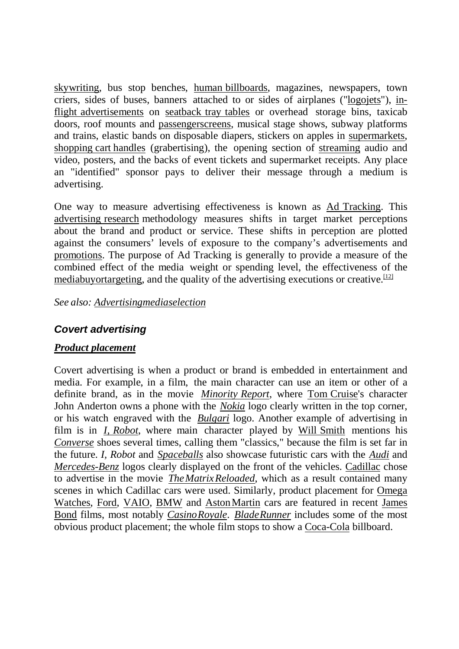skywriting, bus stop benches, human billboards, magazines, newspapers, town criers, sides of buses, banners attached to or sides of airplanes ("logojets"), inflight advertisements on seatback tray tables or overhead storage bins, taxicab doors, roof mounts and passengerscreens, musical stage shows, subway platforms and trains, elastic bands on disposable diapers, stickers on apples in supermarkets, shopping cart handles (grabertising), the opening section of streaming audio and video, posters, and the backs of event tickets and supermarket receipts. Any place an "identified" sponsor pays to deliver their message through a medium is advertising.

One way to measure advertising effectiveness is known as Ad Tracking. This advertising research methodology measures shifts in target market perceptions about the brand and product or service. These shifts in perception are plotted against the consumers' levels of exposure to the company's advertisements and promotions. The purpose of Ad Tracking is generally to provide a measure of the combined effect of the media weight or spending level, the effectiveness of the media buy ortangeting, and the quality of the advertising executions or creative.<sup>[12]</sup>

## *See also: Advertising media selection*

# **Covert advertising**

# *Product placement*

Covert advertising is when a product or brand is embedded in entertainment and media. For example, in a film, the main character can use an item or other of a definite brand, as in the movie *Minority Report*, where Tom Cruise's character John Anderton owns a phone with the *Nokia* logo clearly written in the top corner, or his watch engraved with the *Bulgari* logo. Another example of advertising in film is in *I, Robot*, where main character played by Will Smith mentions his *Converse* shoes several times, calling them "classics," because the film is set far in the future. *I, Robot* and *Spaceballs* also showcase futuristic cars with the *Audi* and *Mercedes-Benz* logos clearly displayed on the front of the vehicles. Cadillac chose to advertise in the movie *The Matrix Reloaded*, which as a result contained many scenes in which Cadillac cars were used. Similarly, product placement for Omega Watches, Ford, VAIO, BMW and Aston Martin cars are featured in recent James Bond films, most notably *Casino Royale*. *Blade Runner* includes some of the most obvious product placement; the whole film stops to show a Coca-Cola billboard.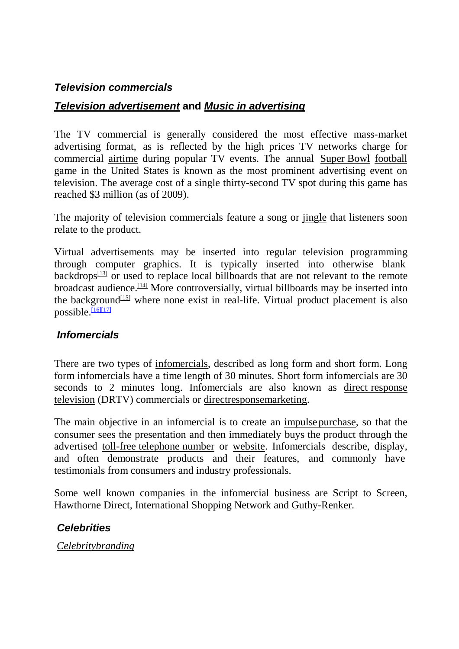## **Television commercials**

# **Television advertisement and Music in advertising**

The TV commercial is generally considered the most effective mass-market advertising format, as is reflected by the high prices TV networks charge for commercial airtime during popular TV events. The annual Super Bowl football game in the United States is known as the most prominent advertising event on television. The average cost of a single thirty-second TV spot during this game has reached \$3 million (as of 2009).

The majority of television commercials feature a song or jingle that listeners soon relate to the product.

Virtual advertisements may be inserted into regular television programming through computer graphics. It is typically inserted into otherwise blank backdrops<sup>[13]</sup> or used to replace local billboards that are not relevant to the remote broadcast audience.<sup>[14]</sup> More controversially, virtual billboards may be inserted into the background<sup>[15]</sup> where none exist in real-life. Virtual product placement is also possible. $\frac{[16][17]}{[16][17]}$ 

# **Infomercials**

There are two types of infomercials, described as long form and short form. Long form infomercials have a time length of 30 minutes. Short form infomercials are 30 seconds to 2 minutes long. Infomercials are also known as direct response television (DRTV) commercials or direct response marketing.

The main objective in an infomercial is to create an impulse purchase, so that the consumer sees the presentation and then immediately buys the product through the advertised toll-free telephone number or website. Infomercials describe, display, and often demonstrate products and their features, and commonly have testimonials from consumers and industry professionals.

Some well known companies in the infomercial business are Script to Screen, Hawthorne Direct, International Shopping Network and Guthy-Renker.

# **Celebrities**

*Celebrity branding*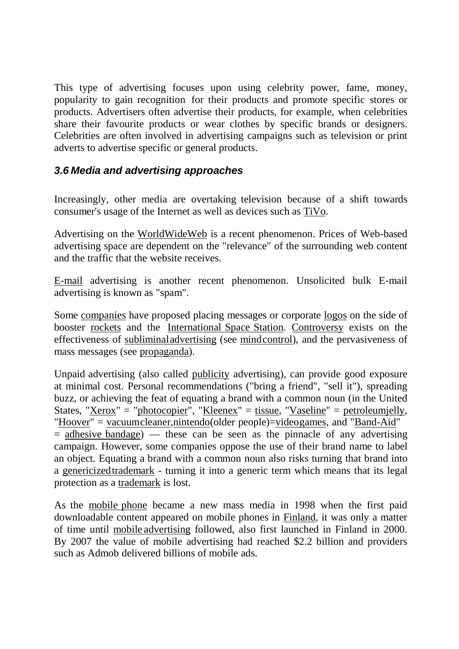This type of advertising focuses upon using celebrity power, fame, money, popularity to gain recognition for their products and promote specific stores or products. Advertisers often advertise their products, for example, when celebrities share their favourite products or wear clothes by specific brands or designers. Celebrities are often involved in advertising campaigns such as television or print adverts to advertise specific or general products.

## **3.6 Media and advertising approaches**

Increasingly, other media are overtaking television because of a shift towards consumer's usage of the Internet as well as devices such as TiVo.

Advertising on the WorldWideWeb is a recent phenomenon. Prices of Web-based advertising space are dependent on the "relevance" of the surrounding web content and the traffic that the website receives.

E-mail advertising is another recent phenomenon. Unsolicited bulk E-mail advertising is known as "spam".

Some companies have proposed placing messages or corporate logos on the side of booster rockets and the International Space Station. Controversy exists on the effectiveness of subliminal advertising (see mind control), and the pervasiveness of mass messages (see propaganda).

Unpaid advertising (also called publicity advertising), can provide good exposure at minimal cost. Personal recommendations ("bring a friend", "sell it"), spreading buzz, or achieving the feat of equating a brand with a common noun (in the United States, " $Xerox$ " = "photocopier", " $Xleenex$ " = tissue, " $Yaseline"$  = petroleumjelly, "Hoover" = vacuum cleaner, nintendo (older people) = videogames, and "Band-Aid"  $=$  adhesive bandage) — these can be seen as the pinnacle of any advertising campaign. However, some companies oppose the use of their brand name to label an object. Equating a brand with a common noun also risks turning that brand into a genericized trademark - turning it into a generic term which means that its legal protection as a trademark is lost.

As the mobile phone became a new mass media in 1998 when the first paid downloadable content appeared on mobile phones in Finland, it was only a matter of time until mobile advertising followed, also first launched in Finland in 2000. By 2007 the value of mobile advertising had reached \$2.2 billion and providers such as Admob delivered billions of mobile ads.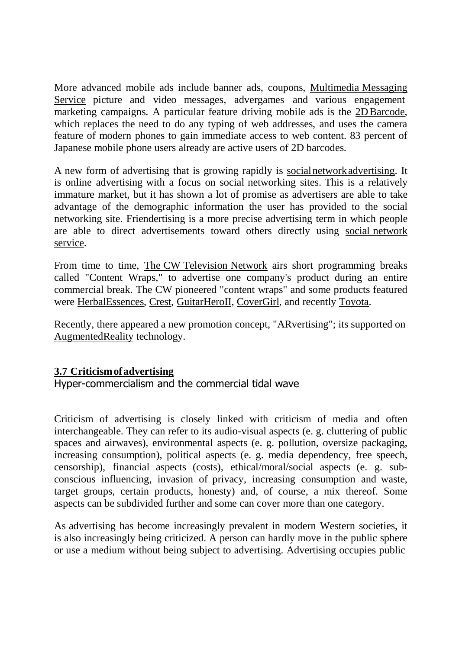More advanced mobile ads include banner ads, coupons, Multimedia Messaging Service picture and video messages, advergames and various engagement marketing campaigns. A particular feature driving mobile ads is the 2D Barcode, which replaces the need to do any typing of web addresses, and uses the camera feature of modern phones to gain immediate access to web content. 83 percent of Japanese mobile phone users already are active users of 2D barcodes.

A new form of advertising that is growing rapidly is social network advertising. It is online advertising with a focus on social networking sites. This is a relatively immature market, but it has shown a lot of promise as advertisers are able to take advantage of the demographic information the user has provided to the social networking site. Friendertising is a more precise advertising term in which people are able to direct advertisements toward others directly using social network service.

From time to time, The CW Television Network airs short programming breaks called "Content Wraps," to advertise one company's product during an entire commercial break. The CW pioneered "content wraps" and some products featured were Herbal Essences, Crest, Guitar Hero II, CoverGirl, and recently Toyota.

Recently, there appeared a new promotion concept, "ARvertising"; its supported on Augmented Reality technology.

## **3.7 Criticism of advertising**

Hyper-commercialism and the commercial tidal wave

Criticism of advertising is closely linked with criticism of media and often interchangeable. They can refer to its audio-visual aspects (e. g. cluttering of public spaces and airwaves), environmental aspects (e. g. pollution, oversize packaging, increasing consumption), political aspects (e. g. media dependency, free speech, censorship), financial aspects (costs), ethical/moral/social aspects (e. g. subconscious influencing, invasion of privacy, increasing consumption and waste, target groups, certain products, honesty) and, of course, a mix thereof. Some aspects can be subdivided further and some can cover more than one category.

As advertising has become increasingly prevalent in modern Western societies, it is also increasingly being criticized. A person can hardly move in the public sphere or use a medium without being subject to advertising. Advertising occupies public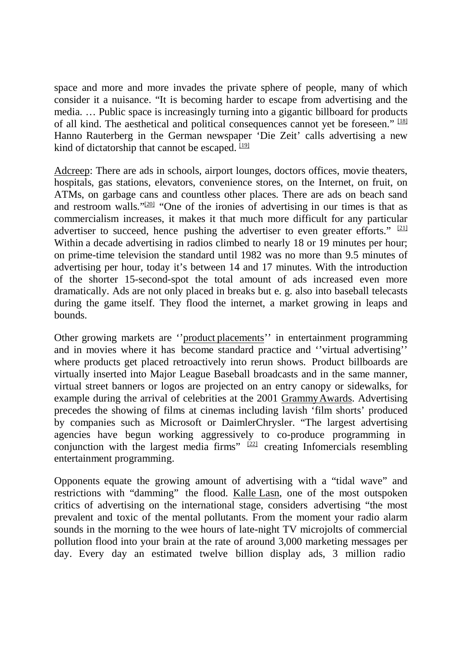space and more and more invades the private sphere of people, many of which consider it a nuisance. "It is becoming harder to escape from advertising and the media. … Public space is increasingly turning into a gigantic billboard for products of all kind. The aesthetical and political consequences cannot yet be foreseen." [18] Hanno Rauterberg in the German newspaper 'Die Zeit' calls advertising a new kind of dictatorship that cannot be escaped.  $[19]$ 

Adcreep: There are ads in schools, airport lounges, doctors offices, movie theaters, hospitals, gas stations, elevators, convenience stores, on the Internet, on fruit, on ATMs, on garbage cans and countless other places. There are ads on beach sand and restroom walls."<sup>[20]</sup> "One of the ironies of advertising in our times is that as commercialism increases, it makes it that much more difficult for any particular advertiser to succeed, hence pushing the advertiser to even greater efforts."  $[21]$ Within a decade advertising in radios climbed to nearly 18 or 19 minutes per hour; on prime-time television the standard until 1982 was no more than 9.5 minutes of advertising per hour, today it's between 14 and 17 minutes. With the introduction of the shorter 15-second-spot the total amount of ads increased even more dramatically. Ads are not only placed in breaks but e. g. also into baseball telecasts during the game itself. They flood the internet, a market growing in leaps and bounds.

Other growing markets are ''product placements'' in entertainment programming and in movies where it has become standard practice and ''virtual advertising'' where products get placed retroactively into rerun shows. Product billboards are virtually inserted into Major League Baseball broadcasts and in the same manner, virtual street banners or logos are projected on an entry canopy or sidewalks, for example during the arrival of celebrities at the 2001 Grammy Awards. Advertising precedes the showing of films at cinemas including lavish 'film shorts' produced by companies such as Microsoft or DaimlerChrysler. "The largest advertising agencies have begun working aggressively to co-produce programming in conjunction with the largest media firms"  $[22]$  creating Infomercials resembling entertainment programming.

Opponents equate the growing amount of advertising with a "tidal wave" and restrictions with "damming" the flood. Kalle Lasn, one of the most outspoken critics of advertising on the international stage, considers advertising "the most prevalent and toxic of the mental pollutants. From the moment your radio alarm sounds in the morning to the wee hours of late-night TV microjolts of commercial pollution flood into your brain at the rate of around 3,000 marketing messages per day. Every day an estimated twelve billion display ads, 3 million radio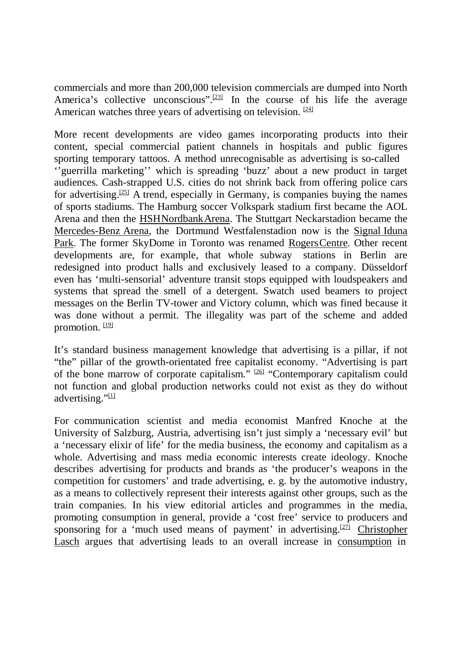commercials and more than 200,000 television commercials are dumped into North America's collective unconscious".<sup>[23]</sup> In the course of his life the average American watches three years of advertising on television.  $[24]$ 

More recent developments are video games incorporating products into their content, special commercial patient channels in hospitals and public figures sporting temporary tattoos. A method unrecognisable as advertising is so-called ''guerrilla marketing'' which is spreading 'buzz' about a new product in target audiences. Cash-strapped U.S. cities do not shrink back from offering police cars for advertising.[25] A trend, especially in Germany, is companies buying the names of sports stadiums. The Hamburg soccer Volkspark stadium first became the AOL Arena and then the HSH Nordbank Arena. The Stuttgart Neckarstadion became the Mercedes-Benz Arena, the Dortmund Westfalenstadion now is the Signal Iduna Park. The former SkyDome in Toronto was renamed Rogers Centre. Other recent developments are, for example, that whole subway stations in Berlin are redesigned into product halls and exclusively leased to a company. Düsseldorf even has 'multi-sensorial' adventure transit stops equipped with loudspeakers and systems that spread the smell of a detergent. Swatch used beamers to project messages on the Berlin TV-tower and Victory column, which was fined because it was done without a permit. The illegality was part of the scheme and added promotion.  $[19]$ 

It's standard business management knowledge that advertising is a pillar, if not "the" pillar of the growth-orientated free capitalist economy. "Advertising is part of the bone marrow of corporate capitalism." [26] "Contemporary capitalism could not function and global production networks could not exist as they do without advertising."<sup>[1]</sup>

For communication scientist and media economist Manfred Knoche at the University of Salzburg, Austria, advertising isn't just simply a 'necessary evil' but a 'necessary elixir of life' for the media business, the economy and capitalism as a whole. Advertising and mass media economic interests create ideology. Knoche describes advertising for products and brands as 'the producer's weapons in the competition for customers' and trade advertising, e. g. by the automotive industry, as a means to collectively represent their interests against other groups, such as the train companies. In his view editorial articles and programmes in the media, promoting consumption in general, provide a 'cost free' service to producers and sponsoring for a 'much used means of payment' in advertising.<sup>[27]</sup> Christopher Lasch argues that advertising leads to an overall increase in consumption in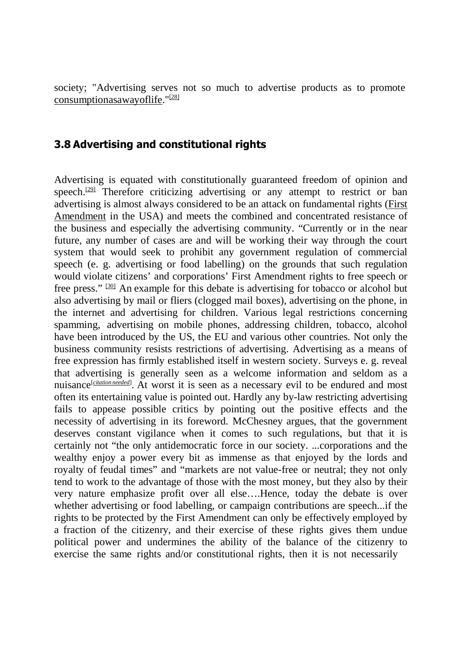society; "Advertising serves not so much to advertise products as to promote  $consumption as a wave of life. "[28]$ 

## **3.8 Advertising and constitutional rights**

Advertising is equated with constitutionally guaranteed freedom of opinion and speech.<sup>[29]</sup> Therefore criticizing advertising or any attempt to restrict or ban advertising is almost always considered to be an attack on fundamental rights (First Amendment in the USA) and meets the combined and concentrated resistance of the business and especially the advertising community. "Currently or in the near future, any number of cases are and will be working their way through the court system that would seek to prohibit any government regulation of commercial speech (e. g. advertising or food labelling) on the grounds that such regulation would violate citizens' and corporations' First Amendment rights to free speech or free press." [30] An example for this debate is advertising for tobacco or alcohol but also advertising by mail or fliers (clogged mail boxes), advertising on the phone, in the internet and advertising for children. Various legal restrictions concerning spamming, advertising on mobile phones, addressing children, tobacco, alcohol have been introduced by the US, the EU and various other countries. Not only the business community resists restrictions of advertising. Advertising as a means of free expression has firmly established itself in western society. Surveys e. g. reveal that advertising is generally seen as a welcome information and seldom as a nuisance<sup>[citation needed]</sup>. At worst it is seen as a necessary evil to be endured and most often its entertaining value is pointed out. Hardly any by-law restricting advertising fails to appease possible critics by pointing out the positive effects and the necessity of advertising in its foreword. McChesney argues, that the government deserves constant vigilance when it comes to such regulations, but that it is certainly not "the only antidemocratic force in our society. ...corporations and the wealthy enjoy a power every bit as immense as that enjoyed by the lords and royalty of feudal times" and "markets are not value-free or neutral; they not only tend to work to the advantage of those with the most money, but they also by their very nature emphasize profit over all else….Hence, today the debate is over whether advertising or food labelling, or campaign contributions are speech...if the rights to be protected by the First Amendment can only be effectively employed by a fraction of the citizenry, and their exercise of these rights gives them undue political power and undermines the ability of the balance of the citizenry to exercise the same rights and/or constitutional rights, then it is not necessarily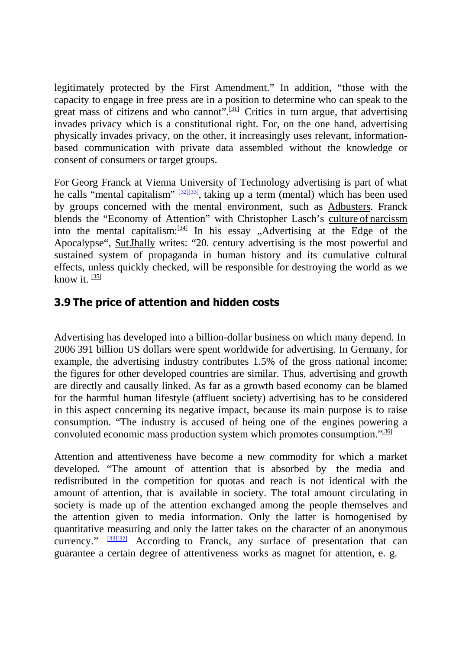legitimately protected by the First Amendment." In addition, "those with the capacity to engage in free press are in a position to determine who can speak to the great mass of citizens and who cannot".[31] Critics in turn argue, that advertising invades privacy which is a constitutional right. For, on the one hand, advertising physically invades privacy, on the other, it increasingly uses relevant, informationbased communication with private data assembled without the knowledge or consent of consumers or target groups.

For Georg Franck at Vienna University of Technology advertising is part of what he calls "mental capitalism" [32][33], taking up a term (mental) which has been used by groups concerned with the mental environment, such as Adbusters. Franck blends the "Economy of Attention" with Christopher Lasch's culture of narcissm into the mental capitalism: $[34]$  In his essay , Advertising at the Edge of the Apocalypse", Sut Jhally writes: "20. century advertising is the most powerful and sustained system of propaganda in human history and its cumulative cultural effects, unless quickly checked, will be responsible for destroying the world as we know it.  $[35]$ 

# **3.9 The price of attention and hidden costs**

Advertising has developed into a billion-dollar business on which many depend. In 2006 391 billion US dollars were spent worldwide for advertising. In Germany, for example, the advertising industry contributes 1.5% of the gross national income; the figures for other developed countries are similar. Thus, advertising and growth are directly and causally linked. As far as a growth based economy can be blamed for the harmful human lifestyle (affluent society) advertising has to be considered in this aspect concerning its negative impact, because its main purpose is to raise consumption. "The industry is accused of being one of the engines powering a convoluted economic mass production system which promotes consumption."[36]

Attention and attentiveness have become a new commodity for which a market developed. "The amount of attention that is absorbed by the media and redistributed in the competition for quotas and reach is not identical with the amount of attention, that is available in society. The total amount circulating in society is made up of the attention exchanged among the people themselves and the attention given to media information. Only the latter is homogenised by quantitative measuring and only the latter takes on the character of an anonymous currency."  $\frac{33[32]}{2}$  According to Franck, any surface of presentation that can guarantee a certain degree of attentiveness works as magnet for attention, e. g.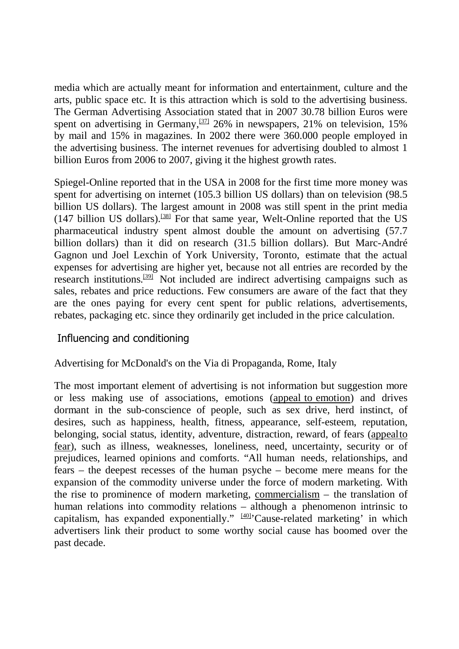media which are actually meant for information and entertainment, culture and the arts, public space etc. It is this attraction which is sold to the advertising business. The German Advertising Association stated that in 2007 30.78 billion Euros were spent on advertising in Germany,  $\frac{371}{26\%}$  26% in newspapers, 21% on television, 15% by mail and 15% in magazines. In 2002 there were 360.000 people employed in the advertising business. The internet revenues for advertising doubled to almost 1 billion Euros from 2006 to 2007, giving it the highest growth rates.

Spiegel-Online reported that in the USA in 2008 for the first time more money was spent for advertising on internet (105.3 billion US dollars) than on television (98.5 billion US dollars). The largest amount in 2008 was still spent in the print media  $(147 \text{ billion US dollars})$ .<sup>[38]</sup> For that same year, Welt-Online reported that the US pharmaceutical industry spent almost double the amount on advertising (57.7 billion dollars) than it did on research (31.5 billion dollars). But Marc-André Gagnon und Joel Lexchin of York University, Toronto, estimate that the actual expenses for advertising are higher yet, because not all entries are recorded by the research institutions.[39] Not included are indirect advertising campaigns such as sales, rebates and price reductions. Few consumers are aware of the fact that they are the ones paying for every cent spent for public relations, advertisements, rebates, packaging etc. since they ordinarily get included in the price calculation.

## Influencing and conditioning

#### Advertising for McDonald's on the Via di Propaganda, Rome, Italy

The most important element of advertising is not information but suggestion more or less making use of associations, emotions (appeal to emotion) and drives dormant in the sub-conscience of people, such as sex drive, herd instinct, of desires, such as happiness, health, fitness, appearance, self-esteem, reputation, belonging, social status, identity, adventure, distraction, reward, of fears (appeal to fear), such as illness, weaknesses, loneliness, need, uncertainty, security or of prejudices, learned opinions and comforts. "All human needs, relationships, and fears – the deepest recesses of the human psyche – become mere means for the expansion of the commodity universe under the force of modern marketing. With the rise to prominence of modern marketing, commercialism – the translation of human relations into commodity relations – although a phenomenon intrinsic to capitalism, has expanded exponentially."  $[40]$ 'Cause-related marketing' in which advertisers link their product to some worthy social cause has boomed over the past decade.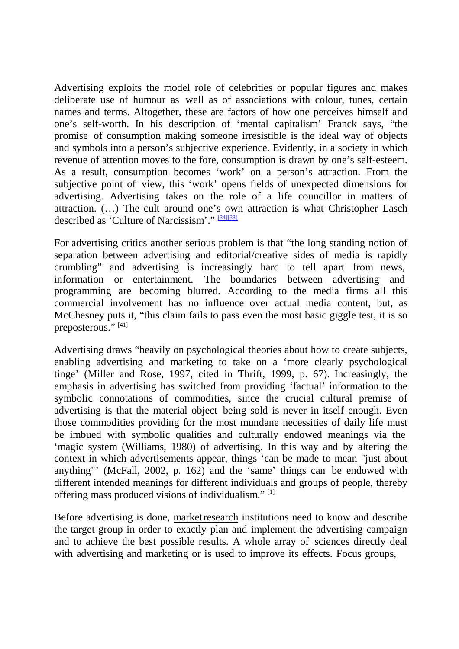Advertising exploits the model role of celebrities or popular figures and makes deliberate use of humour as well as of associations with colour, tunes, certain names and terms. Altogether, these are factors of how one perceives himself and one's self-worth. In his description of 'mental capitalism' Franck says, "the promise of consumption making someone irresistible is the ideal way of objects and symbols into a person's subjective experience. Evidently, in a society in which revenue of attention moves to the fore, consumption is drawn by one's self-esteem. As a result, consumption becomes 'work' on a person's attraction. From the subjective point of view, this 'work' opens fields of unexpected dimensions for advertising. Advertising takes on the role of a life councillor in matters of attraction. (…) The cult around one's own attraction is what Christopher Lasch described as 'Culture of Narcissism'." [34][33]

For advertising critics another serious problem is that "the long standing notion of separation between advertising and editorial/creative sides of media is rapidly crumbling" and advertising is increasingly hard to tell apart from news, information or entertainment. The boundaries between advertising and programming are becoming blurred. According to the media firms all this commercial involvement has no influence over actual media content, but, as McChesney puts it, "this claim fails to pass even the most basic giggle test, it is so preposterous." [41]

Advertising draws "heavily on psychological theories about how to create subjects, enabling advertising and marketing to take on a 'more clearly psychological tinge' (Miller and Rose, 1997, cited in Thrift, 1999, p. 67). Increasingly, the emphasis in advertising has switched from providing 'factual' information to the symbolic connotations of commodities, since the crucial cultural premise of advertising is that the material object being sold is never in itself enough. Even those commodities providing for the most mundane necessities of daily life must be imbued with symbolic qualities and culturally endowed meanings via the 'magic system (Williams, 1980) of advertising. In this way and by altering the context in which advertisements appear, things 'can be made to mean "just about anything"' (McFall, 2002, p. 162) and the 'same' things can be endowed with different intended meanings for different individuals and groups of people, thereby offering mass produced visions of individualism."  $[1]$ 

Before advertising is done, market research institutions need to know and describe the target group in order to exactly plan and implement the advertising campaign and to achieve the best possible results. A whole array of sciences directly deal with advertising and marketing or is used to improve its effects. Focus groups,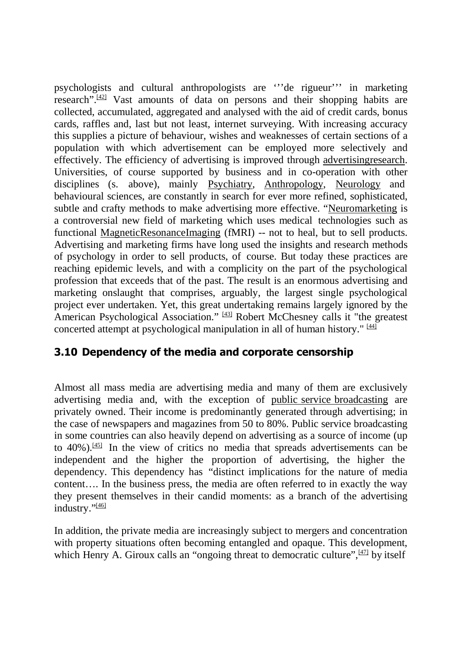psychologists and cultural anthropologists are '''de rigueur''' in marketing research".<sup>[42]</sup> Vast amounts of data on persons and their shopping habits are collected, accumulated, aggregated and analysed with the aid of credit cards, bonus cards, raffles and, last but not least, internet surveying. With increasing accuracy this supplies a picture of behaviour, wishes and weaknesses of certain sections of a population with which advertisement can be employed more selectively and effectively. The efficiency of advertising is improved through advertisingresearch. Universities, of course supported by business and in co-operation with other disciplines (s. above), mainly Psychiatry, Anthropology, Neurology and behavioural sciences, are constantly in search for ever more refined, sophisticated, subtle and crafty methods to make advertising more effective. "Neuromarketing is a controversial new field of marketing which uses medical technologies such as functional MagneticResonanceImaging (fMRI) -- not to heal, but to sell products. Advertising and marketing firms have long used the insights and research methods of psychology in order to sell products, of course. But today these practices are reaching epidemic levels, and with a complicity on the part of the psychological profession that exceeds that of the past. The result is an enormous advertising and marketing onslaught that comprises, arguably, the largest single psychological project ever undertaken. Yet, this great undertaking remains largely ignored by the American Psychological Association." <sup>[43]</sup> Robert McChesney calls it "the greatest concerted attempt at psychological manipulation in all of human history." [44]

# **3.10 Dependency of the media and corporate censorship**

Almost all mass media are advertising media and many of them are exclusively advertising media and, with the exception of public service broadcasting are privately owned. Their income is predominantly generated through advertising; in the case of newspapers and magazines from 50 to 80%. Public service broadcasting in some countries can also heavily depend on advertising as a source of income (up to  $40\%$ ).<sup>[45]</sup> In the view of critics no media that spreads advertisements can be independent and the higher the proportion of advertising, the higher the dependency. This dependency has "distinct implications for the nature of media content…. In the business press, the media are often referred to in exactly the way they present themselves in their candid moments: as a branch of the advertising industry."<sup>[46]</sup>

In addition, the private media are increasingly subject to mergers and concentration with property situations often becoming entangled and opaque. This development, which Henry A. Giroux calls an "ongoing threat to democratic culture",  $[47]$  by itself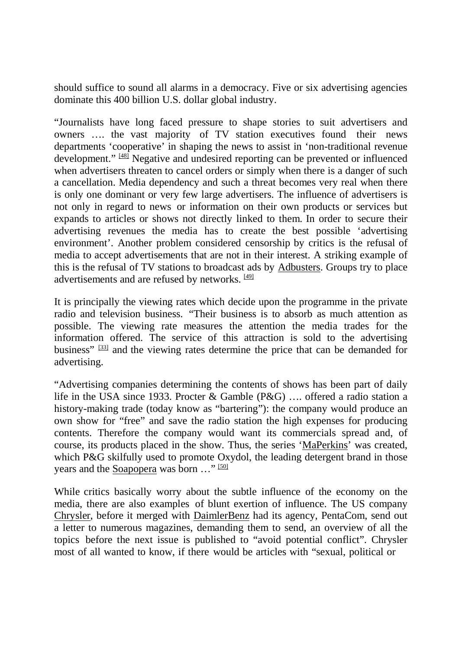should suffice to sound all alarms in a democracy. Five or six advertising agencies dominate this 400 billion U.S. dollar global industry.

"Journalists have long faced pressure to shape stories to suit advertisers and owners …. the vast majority of TV station executives found their news departments 'cooperative' in shaping the news to assist in 'non-traditional revenue development." [48] Negative and undesired reporting can be prevented or influenced when advertisers threaten to cancel orders or simply when there is a danger of such a cancellation. Media dependency and such a threat becomes very real when there is only one dominant or very few large advertisers. The influence of advertisers is not only in regard to news or information on their own products or services but expands to articles or shows not directly linked to them. In order to secure their advertising revenues the media has to create the best possible 'advertising environment'. Another problem considered censorship by critics is the refusal of media to accept advertisements that are not in their interest. A striking example of this is the refusal of TV stations to broadcast ads by Adbusters. Groups try to place advertisements and are refused by networks.  $[49]$ 

It is principally the viewing rates which decide upon the programme in the private radio and television business. "Their business is to absorb as much attention as possible. The viewing rate measures the attention the media trades for the information offered. The service of this attraction is sold to the advertising business" [33] and the viewing rates determine the price that can be demanded for advertising.

"Advertising companies determining the contents of shows has been part of daily life in the USA since 1933. Procter & Gamble (P&G) …. offered a radio station a history-making trade (today know as "bartering"): the company would produce an own show for "free" and save the radio station the high expenses for producing contents. Therefore the company would want its commercials spread and, of course, its products placed in the show. Thus, the series 'MaPerkins' was created, which P&G skilfully used to promote Oxydol, the leading detergent brand in those years and the Soapopera was born ..."<sup>[50]</sup>

While critics basically worry about the subtle influence of the economy on the media, there are also examples of blunt exertion of influence. The US company Chrysler, before it merged with DaimlerBenz had its agency, PentaCom, send out a letter to numerous magazines, demanding them to send, an overview of all the topics before the next issue is published to "avoid potential conflict". Chrysler most of all wanted to know, if there would be articles with "sexual, political or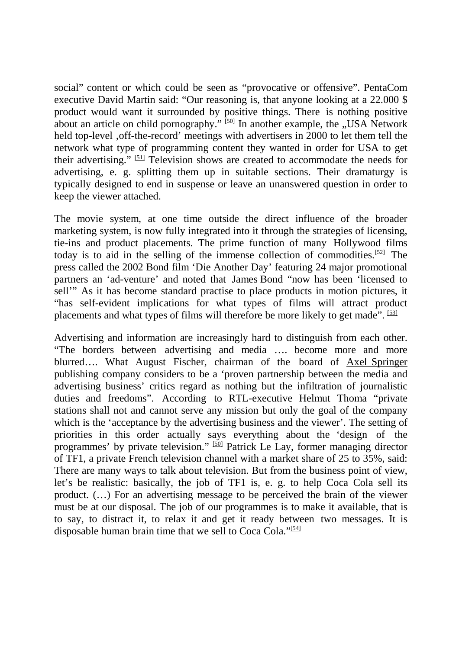social" content or which could be seen as "provocative or offensive". PentaCom executive David Martin said: "Our reasoning is, that anyone looking at a 22.000 \$ product would want it surrounded by positive things. There is nothing positive about an article on child pornography."  $\frac{[50]}{]}$  In another example, the "USA Network held top-level off-the-record' meetings with advertisers in 2000 to let them tell the network what type of programming content they wanted in order for USA to get their advertising." [51] Television shows are created to accommodate the needs for advertising, e. g. splitting them up in suitable sections. Their dramaturgy is typically designed to end in suspense or leave an unanswered question in order to keep the viewer attached.

The movie system, at one time outside the direct influence of the broader marketing system, is now fully integrated into it through the strategies of licensing, tie-ins and product placements. The prime function of many Hollywood films today is to aid in the selling of the immense collection of commodities.<sup>[52]</sup> The press called the 2002 Bond film 'Die Another Day' featuring 24 major promotional partners an 'ad-venture' and noted that James Bond "now has been 'licensed to sell'" As it has become standard practise to place products in motion pictures, it "has self-evident implications for what types of films will attract product placements and what types of films will therefore be more likely to get made". [53]

Advertising and information are increasingly hard to distinguish from each other. "The borders between advertising and media …. become more and more blurred…. What August Fischer, chairman of the board of Axel Springer publishing company considers to be a 'proven partnership between the media and advertising business' critics regard as nothing but the infiltration of journalistic duties and freedoms". According to RTL-executive Helmut Thoma "private stations shall not and cannot serve any mission but only the goal of the company which is the 'acceptance by the advertising business and the viewer'. The setting of priorities in this order actually says everything about the 'design of the programmes' by private television."  $\frac{1501}{2}$  Patrick Le Lay, former managing director of TF1, a private French television channel with a market share of 25 to 35%, said: There are many ways to talk about television. But from the business point of view, let's be realistic: basically, the job of TF1 is, e. g. to help Coca Cola sell its product. (…) For an advertising message to be perceived the brain of the viewer must be at our disposal. The job of our programmes is to make it available, that is to say, to distract it, to relax it and get it ready between two messages. It is disposable human brain time that we sell to Coca Cola." $[54]$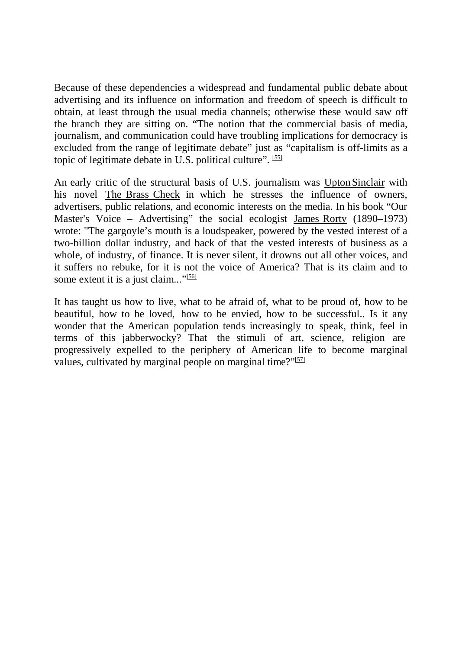Because of these dependencies a widespread and fundamental public debate about advertising and its influence on information and freedom of speech is difficult to obtain, at least through the usual media channels; otherwise these would saw off the branch they are sitting on. "The notion that the commercial basis of media, journalism, and communication could have troubling implications for democracy is excluded from the range of legitimate debate" just as "capitalism is off-limits as a topic of legitimate debate in U.S. political culture". [55]

An early critic of the structural basis of U.S. journalism was Upton Sinclair with his novel The Brass Check in which he stresses the influence of owners, advertisers, public relations, and economic interests on the media. In his book "Our Master's Voice – Advertising" the social ecologist James Rorty (1890–1973) wrote: "The gargoyle's mouth is a loudspeaker, powered by the vested interest of a two-billion dollar industry, and back of that the vested interests of business as a whole, of industry, of finance. It is never silent, it drowns out all other voices, and it suffers no rebuke, for it is not the voice of America? That is its claim and to some extent it is a just claim..." $[56]$ 

It has taught us how to live, what to be afraid of, what to be proud of, how to be beautiful, how to be loved, how to be envied, how to be successful.. Is it any wonder that the American population tends increasingly to speak, think, feel in terms of this jabberwocky? That the stimuli of art, science, religion are progressively expelled to the periphery of American life to become marginal values, cultivated by marginal people on marginal time?"<sup>[57]</sup>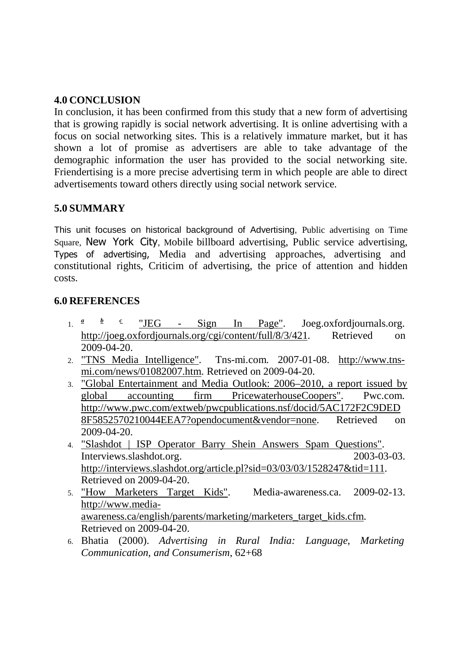## **4.0 CONCLUSION**

In conclusion, it has been confirmed from this study that a new form of advertising that is growing rapidly is social network advertising. It is online advertising with a focus on social networking sites. This is a relatively immature market, but it has shown a lot of promise as advertisers are able to take advantage of the demographic information the user has provided to the social networking site. Friendertising is a more precise advertising term in which people are able to direct advertisements toward others directly using social network service.

## **5.0 SUMMARY**

This unit focuses on historical background of Advertising, Public advertising on Time Square, New York City, Mobile billboard advertising, Public service advertising, Types of advertising, Media and advertising approaches, advertising and constitutional rights, Criticim of advertising, the price of attention and hidden costs.

## **6.0 REFERENCES**

- 1. *a b c* "JEG Sign In Page". Joeg.oxfordjournals.org. http://joeg.oxfordjournals.org/cgi/content/full/8/3/421. Retrieved on 2009-04-20.
- 2. "TNS Media Intelligence". Tns-mi.com. 2007-01-08. http://www.tnsmi.com/news/01082007.htm. Retrieved on 2009-04-20.
- 3. "Global Entertainment and Media Outlook: 2006–2010, a report issued by global accounting firm PricewaterhouseCoopers". Pwc.com. http://www.pwc.com/extweb/pwcpublications.nsf/docid/5AC172F2C9DED 8F5852570210044EEA7?opendocument&vendor=none. Retrieved on 2009-04-20.
- 4. "Slashdot | ISP Operator Barry Shein Answers Spam Questions". Interviews.slashdot.org. 2003-03-03. http://interviews.slashdot.org/article.pl?sid=03/03/03/1528247&tid=111. Retrieved on 2009-04-20.
- 5. "How Marketers Target Kids". Media-awareness.ca. 2009-02-13. http://www.mediaawareness.ca/english/parents/marketing/marketers\_target\_kids.cfm. Retrieved on 2009-04-20.
- 6. Bhatia (2000). *Advertising in Rural India: Language, Marketing Communication, and Consumerism*, 62+68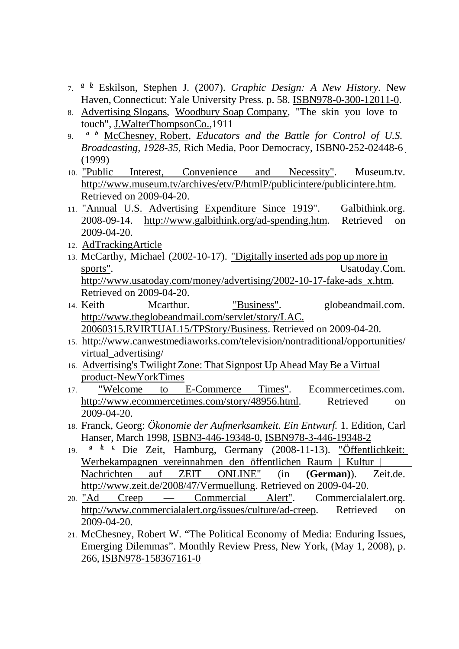- 7. *a b* Eskilson, Stephen J. (2007). *Graphic Design: A New History*. New Haven, Connecticut: Yale University Press. p. 58. ISBN 978-0-300-12011-0.
- 8. Advertising Slogans, Woodbury Soap Company, "The skin you love to touch", J. Walter Thompson Co., 1911
- 9. *a b* McChesney, Robert, *Educators and the Battle for Control of U.S. Broadcasting, 1928-35, Rich Media, Poor Democracy, ISBN 0-252-02448-6* (1999)
- 10. "Public Interest, Convenience and Necessity". Museum.tv. http://www.museum.tv/archives/etv/P/htmlP/publicintere/publicintere.htm. Retrieved on 2009-04-20.
- 11. "Annual U.S. Advertising Expenditure Since 1919". Galbithink.org. 2008-09-14. http://www.galbithink.org/ad-spending.htm. Retrieved on 2009-04-20.
- 12. AdTracking Article
- 13. McCarthy, Michael (2002-10-17). "Digitally inserted ads pop up more in sports". Usatoday.Com. http://www.usatoday.com/money/advertising/2002-10-17-fake-ads\_x.htm. Retrieved on 2009-04-20.
- 14. Keith Mcarthur. "Business". globeandmail.com. http://www.theglobeandmail.com/servlet/story/LAC. 20060315.RVIRTUAL15/TPStory/Business. Retrieved on 2009-04-20.
- 15. http://www.canwestmediaworks.com/television/nontraditional/opportunities/ virtual\_advertising/
- 16. Advertising's Twilight Zone: That Signpost Up Ahead May Be a Virtual product - New York Times
- 17. "Welcome to E-Commerce Times". Ecommercetimes.com. http://www.ecommercetimes.com/story/48956.html. Retrieved on 2009-04-20.
- 18. Franck, Georg: *Ökonomie der Aufmerksamkeit. Ein Entwurf.* 1. Edition, Carl Hanser, March 1998, ISBN 3-446-19348-0, ISBN 978-3-446-19348-2
- 19. *a b c* Die Zeit, Hamburg, Germany (2008-11-13). "Öffentlichkeit: Werbekampagnen vereinnahmen den öffentlichen Raum | Kultur | Nachrichten auf ZEIT ONLINE" (in **(German)**). Zeit.de. http://www.zeit.de/2008/47/Vermuellung. Retrieved on 2009-04-20.
- 20. "Ad Creep Commercial Alert". Commercialalert.org. http://www.commercialalert.org/issues/culture/ad-creep. Retrieved on 2009-04-20.
- 21. McChesney, Robert W. "The Political Economy of Media: Enduring Issues, Emerging Dilemmas". Monthly Review Press, New York, (May 1, 2008), p. 266, ISBN 978-158367161-0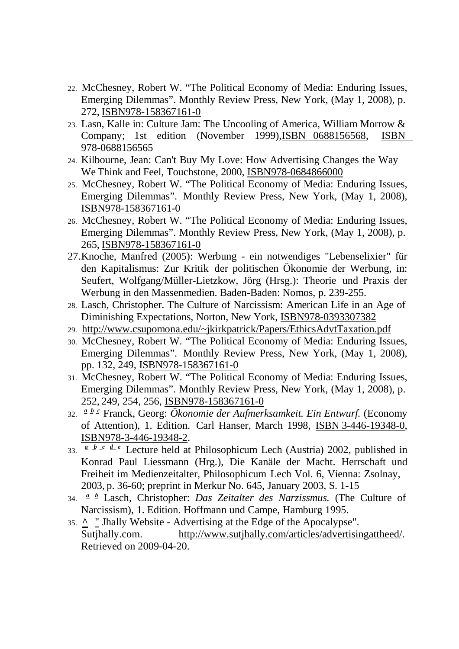- 22. McChesney, Robert W. "The Political Economy of Media: Enduring Issues, Emerging Dilemmas". Monthly Review Press, New York, (May 1, 2008), p. 272, ISBN 978-158367161-0
- 23. Lasn, Kalle in: Culture Jam: The Uncooling of America, William Morrow & Company; 1st edition (November 1999),ISBN 0688156568, ISBN 978-0688156565
- 24. Kilbourne, Jean: Can't Buy My Love: How Advertising Changes the Way We Think and Feel, Touchstone, 2000, ISBN 978-0684866000
- 25. McChesney, Robert W. "The Political Economy of Media: Enduring Issues, Emerging Dilemmas". Monthly Review Press, New York, (May 1, 2008), ISBN 978-158367161-0
- 26. McChesney, Robert W. "The Political Economy of Media: Enduring Issues, Emerging Dilemmas". Monthly Review Press, New York, (May 1, 2008), p. 265, ISBN 978-158367161-0
- 27.Knoche, Manfred (2005): Werbung ein notwendiges "Lebenselixier" für den Kapitalismus: Zur Kritik der politischen Ökonomie der Werbung, in: Seufert, Wolfgang/Müller-Lietzkow, Jörg (Hrsg.): Theorie und Praxis der Werbung in den Massenmedien. Baden-Baden: Nomos, p. 239-255.
- 28. Lasch, Christopher. The Culture of Narcissism: American Life in an Age of Diminishing Expectations, Norton, New York, ISBN 978-0393307382
- 29. http://www.csupomona.edu/~jkirkpatrick/Papers/EthicsAdvtTaxation.pdf
- 30. McChesney, Robert W. "The Political Economy of Media: Enduring Issues, Emerging Dilemmas". Monthly Review Press, New York, (May 1, 2008), pp. 132, 249, ISBN 978-158367161-0
- 31. McChesney, Robert W. "The Political Economy of Media: Enduring Issues, Emerging Dilemmas". Monthly Review Press, New York, (May 1, 2008), p. 252, 249, 254, 256, ISBN 978-158367161-0
- 32. *a b c* Franck, Georg: *Ökonomie der Aufmerksamkeit. Ein Entwurf.* (Economy of Attention), 1. Edition. Carl Hanser, March 1998, ISBN 3-446-19348-0, ISBN 978-3-446-19348-2.
- 33.  $a \rightarrow b \rightarrow c \rightarrow d \rightarrow e$  Lecture held at Philosophicum Lech (Austria) 2002, published in Konrad Paul Liessmann (Hrg.), Die Kanäle der Macht. Herrschaft und Freiheit im Medienzeitalter, Philosophicum Lech Vol. 6, Vienna: Zsolnay, 2003, p. 36-60; preprint in Merkur No. 645, January 2003, S. 1-15
- 34. *a b* Lasch, Christopher: *Das Zeitalter des Narzissmus.* (The Culture of Narcissism), 1. Edition. Hoffmann und Campe, Hamburg 1995.
- 35. **^** " Jhally Website Advertising at the Edge of the Apocalypse". Sutjhally.com. http://www.sutjhally.com/articles/advertisingattheed/. Retrieved on 2009-04-20.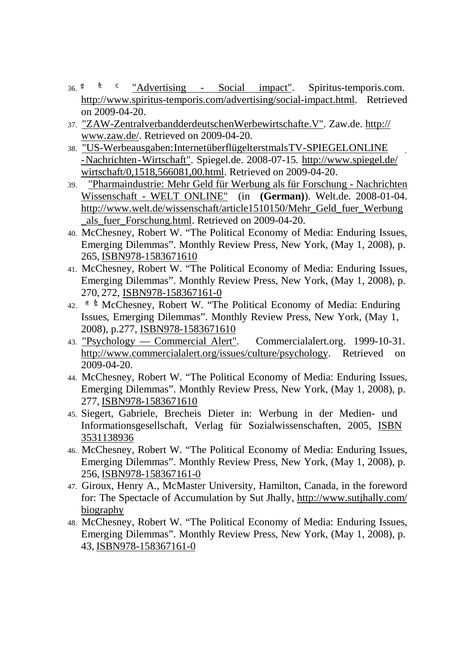- 36. *a b c* "Advertising Social impact". Spiritus-temporis.com. http://www.spiritus-temporis.com/advertising/social-impact.html. Retrieved on 2009-04-20.
- 37. "ZAW-Zentralverband der deutschen Werbewirtschafte. V". Zaw.de. http:// www.zaw.de/. Retrieved on 2009-04-20.
- 38. "US-Werbeausgaben: Internet überflügelt erstmals TV SPIEGEL ONLINE - Nachrichten - Wirtschaft". Spiegel.de. 2008-07-15. http://www.spiegel.de/ wirtschaft/0,1518,566081,00.html. Retrieved on 2009-04-20.
- 39. "Pharmaindustrie: Mehr Geld für Werbung als für Forschung Nachrichten Wissenschaft - WELT ONLINE" (in **(German)**). Welt.de. 2008-01-04. http://www.welt.de/wissenschaft/article1510150/Mehr\_Geld\_fuer\_Werbung als fuer Forschung.html. Retrieved on 2009-04-20.
- 40. McChesney, Robert W. "The Political Economy of Media: Enduring Issues, Emerging Dilemmas". Monthly Review Press, New York, (May 1, 2008), p. 265, ISBN 978-1583671610
- 41. McChesney, Robert W. "The Political Economy of Media: Enduring Issues, Emerging Dilemmas". Monthly Review Press, New York, (May 1, 2008), p. 270, 272, ISBN 978-158367161-0
- 42.  $a \rightarrow b$  McChesney, Robert W. "The Political Economy of Media: Enduring Issues, Emerging Dilemmas". Monthly Review Press, New York, (May 1, 2008), p.277, ISBN 978-1583671610
- 43. "Psychology Commercial Alert". Commercialalert.org. 1999-10-31. http://www.commercialalert.org/issues/culture/psychology. Retrieved on 2009-04-20.
- 44. McChesney, Robert W. "The Political Economy of Media: Enduring Issues, Emerging Dilemmas". Monthly Review Press, New York, (May 1, 2008), p. 277, ISBN 978-1583671610
- 45. Siegert, Gabriele, Brecheis Dieter in: Werbung in der Medien- und Informationsgesellschaft, Verlag für Sozialwissenschaften, 2005, ISBN 3531138936
- 46. McChesney, Robert W. "The Political Economy of Media: Enduring Issues, Emerging Dilemmas". Monthly Review Press, New York, (May 1, 2008), p. 256, ISBN 978-158367161-0
- 47. Giroux, Henry A., McMaster University, Hamilton, Canada, in the foreword for: The Spectacle of Accumulation by Sut Jhally, http://www.sutjhally.com/ biography
- 48. McChesney, Robert W. "The Political Economy of Media: Enduring Issues, Emerging Dilemmas". Monthly Review Press, New York, (May 1, 2008), p. 43, ISBN 978-158367161-0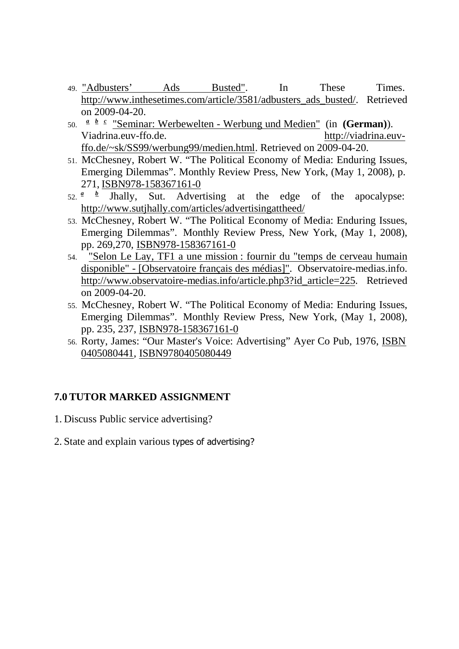- 49. "Adbusters' Ads Busted". In These Times. http://www.inthesetimes.com/article/3581/adbusters\_ads\_busted/. Retrieved on 2009-04-20.
- 50. *a b c* "Seminar: Werbewelten Werbung und Medien" (in **(German)**). Viadrina.euv-ffo.de. http://viadrina.euvffo.de/~sk/SS99/werbung99/medien.html. Retrieved on 2009-04-20.
- 51. McChesney, Robert W. "The Political Economy of Media: Enduring Issues, Emerging Dilemmas". Monthly Review Press, New York, (May 1, 2008), p. 271, ISBN 978-158367161-0
- $52.$   $\frac{a}{b}$  Jhally, Sut. Advertising at the edge of the apocalypse: http://www.sutjhally.com/articles/advertisingattheed/
- 53. McChesney, Robert W. "The Political Economy of Media: Enduring Issues, Emerging Dilemmas". Monthly Review Press, New York, (May 1, 2008), pp. 269,270, ISBN 978-158367161-0
- 54. "Selon Le Lay, TF1 a une mission : fournir du "temps de cerveau humain disponible" - [Observatoire français des médias]". Observatoire-medias.info. http://www.observatoire-medias.info/article.php3?id\_article=225. Retrieved on 2009-04-20.
- 55. McChesney, Robert W. "The Political Economy of Media: Enduring Issues, Emerging Dilemmas". Monthly Review Press, New York, (May 1, 2008), pp. 235, 237, ISBN 978-158367161-0
- 56. Rorty, James: "Our Master's Voice: Advertising" Ayer Co Pub, 1976, ISBN 0405080441, ISBN 9780405080449

## **7.0 TUTOR MARKED ASSIGNMENT**

- 1. Discuss Public service advertising?
- 2. State and explain various types of advertising?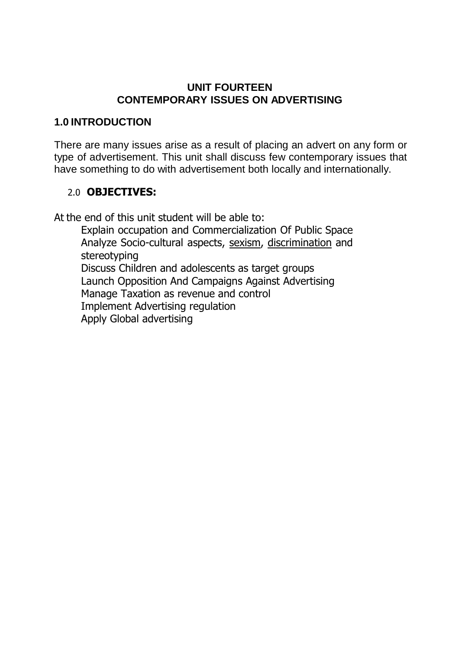## **UNIT FOURTEEN CONTEMPORARY ISSUES ON ADVERTISING**

## **1.0 INTRODUCTION**

There are many issues arise as a result of placing an advert on any form or type of advertisement. This unit shall discuss few contemporary issues that have something to do with advertisement both locally and internationally.

# 2.0 **OBJECTIVES:**

At the end of this unit student will be able to:

Explain occupation and Commercialization Of Public Space Analyze Socio-cultural aspects, sexism, discrimination and stereotyping Discuss Children and adolescents as target groups Launch Opposition And Campaigns Against Advertising Manage Taxation as revenue and control Implement Advertising regulation Apply Global advertising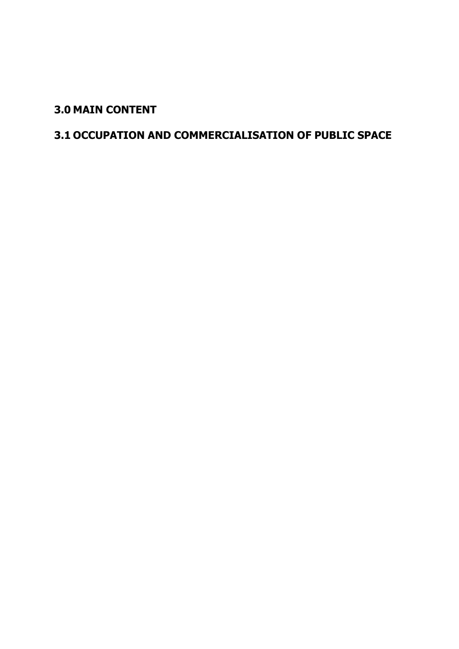# **3.0 MAIN CONTENT**

# **3.1 OCCUPATION AND COMMERCIALISATION OF PUBLIC SPACE**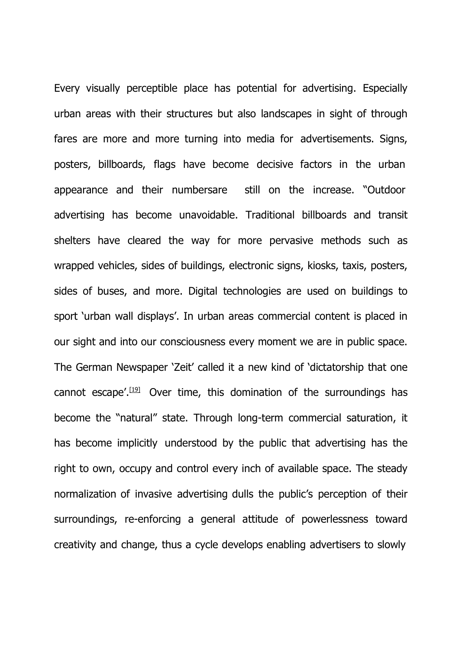Every visually perceptible place has potential for advertising. Especially urban areas with their structures but also landscapes in sight of through fares are more and more turning into media for advertisements. Signs, posters, billboards, flags have become decisive factors in the urban appearance and their numbersare still on the increase. "Outdoor advertising has become unavoidable. Traditional billboards and transit shelters have cleared the way for more pervasive methods such as wrapped vehicles, sides of buildings, electronic signs, kiosks, taxis, posters, sides of buses, and more. Digital technologies are used on buildings to sport 'urban wall displays'. In urban areas commercial content is placed in our sight and into our consciousness every moment we are in public space. The German Newspaper 'Zeit' called it a new kind of 'dictatorship that one cannot escape'.<sup>[19]</sup> Over time, this domination of the surroundings has become the "natural" state. Through long-term commercial saturation, it has become implicitly understood by the public that advertising has the right to own, occupy and control every inch of available space. The steady normalization of invasive advertising dulls the public's perception of their surroundings, re-enforcing a general attitude of powerlessness toward creativity and change, thus a cycle develops enabling advertisers to slowly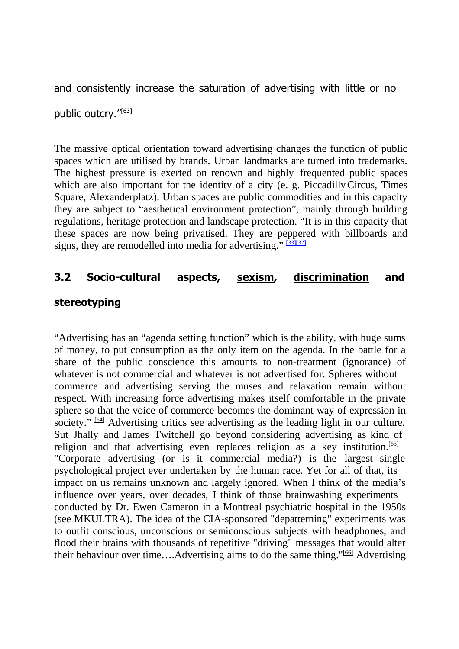and consistently increase the saturation of advertising with little or no

public outcry."[63]

The massive optical orientation toward advertising changes the function of public spaces which are utilised by brands. Urban landmarks are turned into trademarks. The highest pressure is exerted on renown and highly frequented public spaces which are also important for the identity of a city (e. g. Piccadilly Circus, Times Square, Alexanderplatz). Urban spaces are public commodities and in this capacity they are subject to "aesthetical environment protection", mainly through building regulations, heritage protection and landscape protection. "It is in this capacity that these spaces are now being privatised. They are peppered with billboards and signs, they are remodelled into media for advertising." [33][32]

# **3.2 Socio-cultural aspects, sexism, discrimination and**

## **stereotyping**

"Advertising has an "agenda setting function" which is the ability, with huge sums of money, to put consumption as the only item on the agenda. In the battle for a share of the public conscience this amounts to non-treatment (ignorance) of whatever is not commercial and whatever is not advertised for. Spheres without commerce and advertising serving the muses and relaxation remain without respect. With increasing force advertising makes itself comfortable in the private sphere so that the voice of commerce becomes the dominant way of expression in society." <sup>[64]</sup> Advertising critics see advertising as the leading light in our culture. Sut Jhally and James Twitchell go beyond considering advertising as kind of religion and that advertising even replaces religion as a key institution.<sup>[65]</sup> "Corporate advertising (or is it commercial media?) is the largest single psychological project ever undertaken by the human race. Yet for all of that, its impact on us remains unknown and largely ignored. When I think of the media's influence over years, over decades, I think of those brainwashing experiments conducted by Dr. Ewen Cameron in a Montreal psychiatric hospital in the 1950s (see MKULTRA). The idea of the CIA-sponsored "depatterning" experiments was to outfit conscious, unconscious or semiconscious subjects with headphones, and flood their brains with thousands of repetitive "driving" messages that would alter their behaviour over time….Advertising aims to do the same thing."[66] Advertising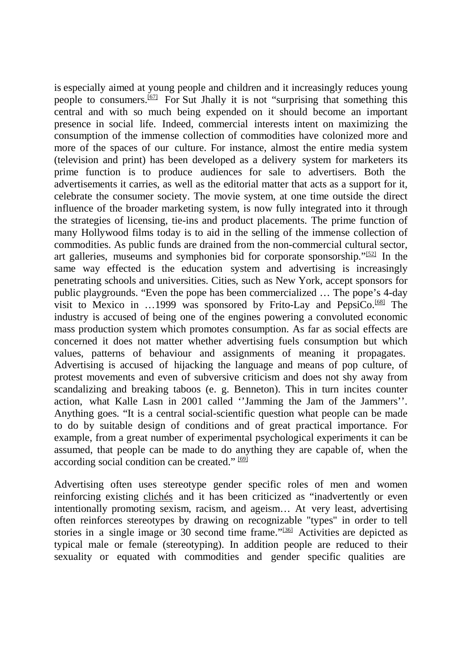is especially aimed at young people and children and it increasingly reduces young people to consumers.<sup>[67]</sup> For Sut Jhally it is not "surprising that something this central and with so much being expended on it should become an important presence in social life. Indeed, commercial interests intent on maximizing the consumption of the immense collection of commodities have colonized more and more of the spaces of our culture. For instance, almost the entire media system (television and print) has been developed as a delivery system for marketers its prime function is to produce audiences for sale to advertisers. Both the advertisements it carries, as well as the editorial matter that acts as a support for it, celebrate the consumer society. The movie system, at one time outside the direct influence of the broader marketing system, is now fully integrated into it through the strategies of licensing, tie-ins and product placements. The prime function of many Hollywood films today is to aid in the selling of the immense collection of commodities. As public funds are drained from the non-commercial cultural sector, art galleries, museums and symphonies bid for corporate sponsorship." $[52]$  In the same way effected is the education system and advertising is increasingly penetrating schools and universities. Cities, such as New York, accept sponsors for public playgrounds. "Even the pope has been commercialized … The pope's 4-day visit to Mexico in  $\dots$ 1999 was sponsored by Frito-Lay and PepsiCo.<sup>[68]</sup> The industry is accused of being one of the engines powering a convoluted economic mass production system which promotes consumption. As far as social effects are concerned it does not matter whether advertising fuels consumption but which values, patterns of behaviour and assignments of meaning it propagates. Advertising is accused of hijacking the language and means of pop culture, of protest movements and even of subversive criticism and does not shy away from scandalizing and breaking taboos (e. g. Benneton). This in turn incites counter action, what Kalle Lasn in 2001 called ''Jamming the Jam of the Jammers''. Anything goes. "It is a central social-scientific question what people can be made to do by suitable design of conditions and of great practical importance. For example, from a great number of experimental psychological experiments it can be assumed, that people can be made to do anything they are capable of, when the according social condition can be created." [69]

Advertising often uses stereotype gender specific roles of men and women reinforcing existing clichés and it has been criticized as "inadvertently or even intentionally promoting sexism, racism, and ageism… At very least, advertising often reinforces stereotypes by drawing on recognizable "types" in order to tell stories in a single image or 30 second time frame."<sup>[36]</sup> Activities are depicted as typical male or female (stereotyping). In addition people are reduced to their sexuality or equated with commodities and gender specific qualities are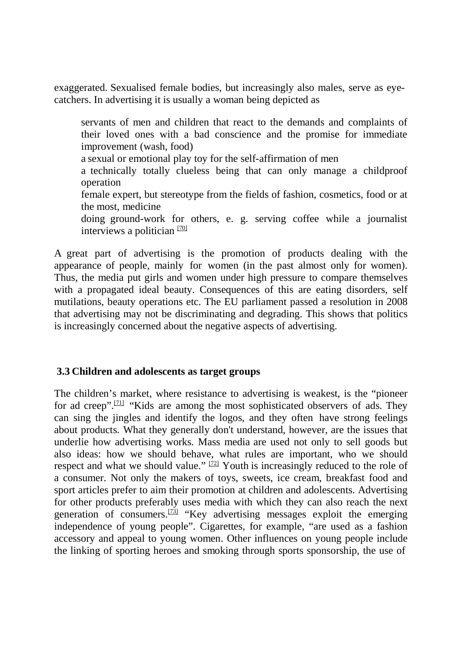exaggerated. Sexualised female bodies, but increasingly also males, serve as eyecatchers. In advertising it is usually a woman being depicted as

servants of men and children that react to the demands and complaints of their loved ones with a bad conscience and the promise for immediate improvement (wash, food) a sexual or emotional play toy for the self-affirmation of men a technically totally clueless being that can only manage a childproof operation female expert, but stereotype from the fields of fashion, cosmetics, food or at the most, medicine doing ground-work for others, e. g. serving coffee while a journalist interviews a politician  $\frac{[70]}{[70]}$ 

A great part of advertising is the promotion of products dealing with the appearance of people, mainly for women (in the past almost only for women). Thus, the media put girls and women under high pressure to compare themselves with a propagated ideal beauty. Consequences of this are eating disorders, self mutilations, beauty operations etc. The EU parliament passed a resolution in 2008 that advertising may not be discriminating and degrading. This shows that politics is increasingly concerned about the negative aspects of advertising.

#### **3.3 Children and adolescents as target groups**

The children's market, where resistance to advertising is weakest, is the "pioneer for ad creep".[71] "Kids are among the most sophisticated observers of ads. They can sing the jingles and identify the logos, and they often have strong feelings about products. What they generally don't understand, however, are the issues that underlie how advertising works. Mass media are used not only to sell goods but also ideas: how we should behave, what rules are important, who we should respect and what we should value." <sup>[72]</sup> Youth is increasingly reduced to the role of a consumer. Not only the makers of toys, sweets, ice cream, breakfast food and sport articles prefer to aim their promotion at children and adolescents. Advertising for other products preferably uses media with which they can also reach the next generation of consumers.<sup>[73]</sup> "Key advertising messages exploit the emerging independence of young people". Cigarettes, for example, "are used as a fashion accessory and appeal to young women. Other influences on young people include the linking of sporting heroes and smoking through sports sponsorship, the use of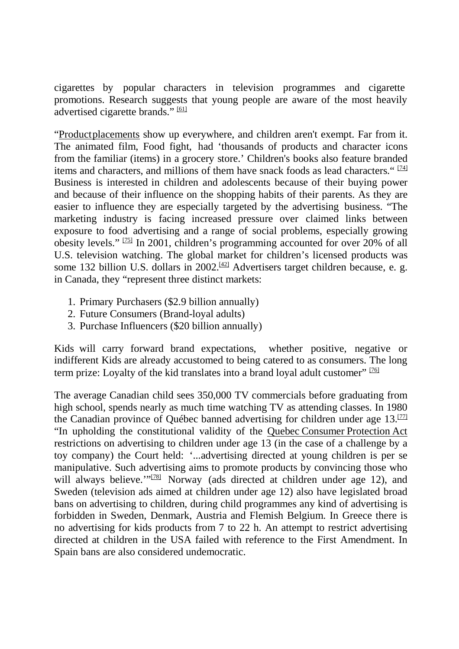cigarettes by popular characters in television programmes and cigarette promotions. Research suggests that young people are aware of the most heavily advertised cigarette brands." [61]

"Product placements show up everywhere, and children aren't exempt. Far from it. The animated film, Food fight, had 'thousands of products and character icons from the familiar (items) in a grocery store.' Children's books also feature branded items and characters, and millions of them have snack foods as lead characters." [74] Business is interested in children and adolescents because of their buying power and because of their influence on the shopping habits of their parents. As they are easier to influence they are especially targeted by the advertising business. "The marketing industry is facing increased pressure over claimed links between exposure to food advertising and a range of social problems, especially growing obesity levels." [75] In 2001, children's programming accounted for over 20% of all U.S. television watching. The global market for children's licensed products was some 132 billion U.S. dollars in 2002.<sup>[42]</sup> Advertisers target children because, e. g. in Canada, they "represent three distinct markets:

- 1. Primary Purchasers (\$2.9 billion annually)
- 2. Future Consumers (Brand-loyal adults)
- 3. Purchase Influencers (\$20 billion annually)

Kids will carry forward brand expectations, whether positive, negative or indifferent Kids are already accustomed to being catered to as consumers. The long term prize: Loyalty of the kid translates into a brand loyal adult customer" <sup>[76]</sup>

The average Canadian child sees 350,000 TV commercials before graduating from high school, spends nearly as much time watching TV as attending classes. In 1980 the Canadian province of Québec banned advertising for children under age  $13$ .<sup>[77]</sup> "In upholding the constitutional validity of the Quebec Consumer Protection Act restrictions on advertising to children under age 13 (in the case of a challenge by a toy company) the Court held: '...advertising directed at young children is per se manipulative. Such advertising aims to promote products by convincing those who will always believe."<sup>[78]</sup> Norway (ads directed at children under age 12), and Sweden (television ads aimed at children under age 12) also have legislated broad bans on advertising to children, during child programmes any kind of advertising is forbidden in Sweden, Denmark, Austria and Flemish Belgium. In Greece there is no advertising for kids products from 7 to 22 h. An attempt to restrict advertising directed at children in the USA failed with reference to the First Amendment. In Spain bans are also considered undemocratic.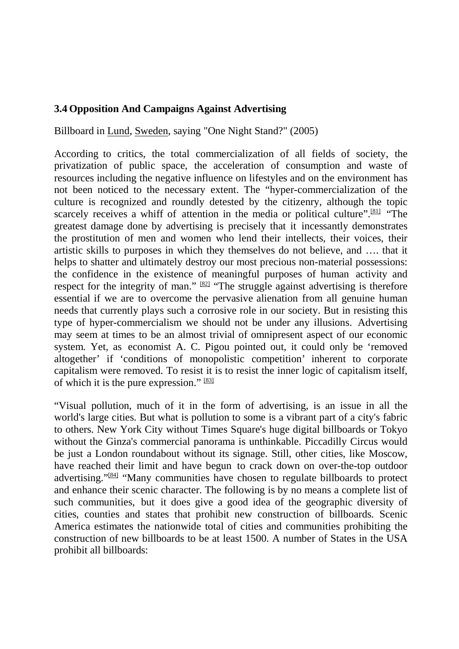#### **3.4 Opposition And Campaigns Against Advertising**

Billboard in Lund, Sweden, saying "One Night Stand?" (2005)

According to critics, the total commercialization of all fields of society, the privatization of public space, the acceleration of consumption and waste of resources including the negative influence on lifestyles and on the environment has not been noticed to the necessary extent. The "hyper-commercialization of the culture is recognized and roundly detested by the citizenry, although the topic scarcely receives a whiff of attention in the media or political culture".<sup>[81]</sup> "The greatest damage done by advertising is precisely that it incessantly demonstrates the prostitution of men and women who lend their intellects, their voices, their artistic skills to purposes in which they themselves do not believe, and …. that it helps to shatter and ultimately destroy our most precious non-material possessions: the confidence in the existence of meaningful purposes of human activity and respect for the integrity of man."  $[82]$  "The struggle against advertising is therefore essential if we are to overcome the pervasive alienation from all genuine human needs that currently plays such a corrosive role in our society. But in resisting this type of hyper-commercialism we should not be under any illusions. Advertising may seem at times to be an almost trivial of omnipresent aspect of our economic system. Yet, as economist A. C. Pigou pointed out, it could only be 'removed altogether' if 'conditions of monopolistic competition' inherent to corporate capitalism were removed. To resist it is to resist the inner logic of capitalism itself, of which it is the pure expression."  $[83]$ 

"Visual pollution, much of it in the form of advertising, is an issue in all the world's large cities. But what is pollution to some is a vibrant part of a city's fabric to others. New York City without Times Square's huge digital billboards or Tokyo without the Ginza's commercial panorama is unthinkable. Piccadilly Circus would be just a London roundabout without its signage. Still, other cities, like Moscow, have reached their limit and have begun to crack down on over-the-top outdoor advertising."[84] "Many communities have chosen to regulate billboards to protect and enhance their scenic character. The following is by no means a complete list of such communities, but it does give a good idea of the geographic diversity of cities, counties and states that prohibit new construction of billboards. Scenic America estimates the nationwide total of cities and communities prohibiting the construction of new billboards to be at least 1500. A number of States in the USA prohibit all billboards: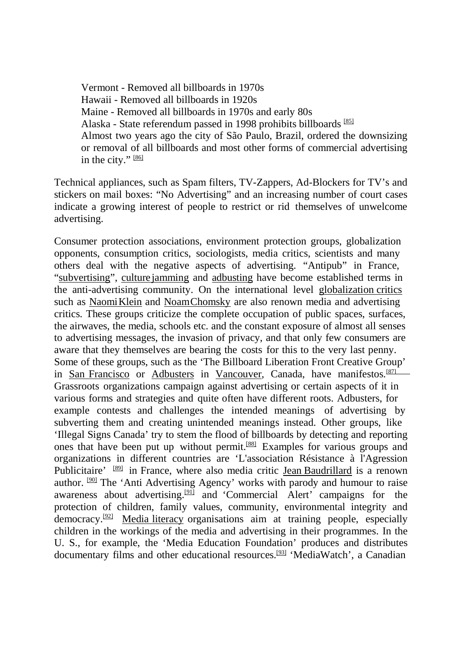Vermont - Removed all billboards in 1970s Hawaii - Removed all billboards in 1920s Maine - Removed all billboards in 1970s and early 80s Alaska - State referendum passed in 1998 prohibits billboards [85] Almost two years ago the city of São Paulo, Brazil, ordered the downsizing or removal of all billboards and most other forms of commercial advertising in the city." [86]

Technical appliances, such as Spam filters, TV-Zappers, Ad-Blockers for TV's and stickers on mail boxes: "No Advertising" and an increasing number of court cases indicate a growing interest of people to restrict or rid themselves of unwelcome advertising.

Consumer protection associations, environment protection groups, globalization opponents, consumption critics, sociologists, media critics, scientists and many others deal with the negative aspects of advertising. "Antipub" in France, "subvertising", culture jamming and adbusting have become established terms in the anti-advertising community. On the international level globalization critics such as Naomi Klein and Noam Chomsky are also renown media and advertising critics. These groups criticize the complete occupation of public spaces, surfaces, the airwaves, the media, schools etc. and the constant exposure of almost all senses to advertising messages, the invasion of privacy, and that only few consumers are aware that they themselves are bearing the costs for this to the very last penny. Some of these groups, such as the 'The Billboard Liberation Front Creative Group' in San Francisco or Adbusters in Vancouver, Canada, have manifestos.<sup>[87]</sup> Grassroots organizations campaign against advertising or certain aspects of it in various forms and strategies and quite often have different roots. Adbusters, for example contests and challenges the intended meanings of advertising by subverting them and creating unintended meanings instead. Other groups, like 'Illegal Signs Canada' try to stem the flood of billboards by detecting and reporting ones that have been put up without permit.[88] Examples for various groups and organizations in different countries are 'L'association Résistance à l'Agression Publicitaire' <sup>[89]</sup> in France, where also media critic Jean Baudrillard is a renown author. [90] The 'Anti Advertising Agency' works with parody and humour to raise awareness about advertising.<sup>[91]</sup> and 'Commercial Alert' campaigns for the protection of children, family values, community, environmental integrity and democracy.[92] Media literacy organisations aim at training people, especially children in the workings of the media and advertising in their programmes. In the U. S., for example, the 'Media Education Foundation' produces and distributes documentary films and other educational resources.<sup>[93]</sup> 'MediaWatch', a Canadian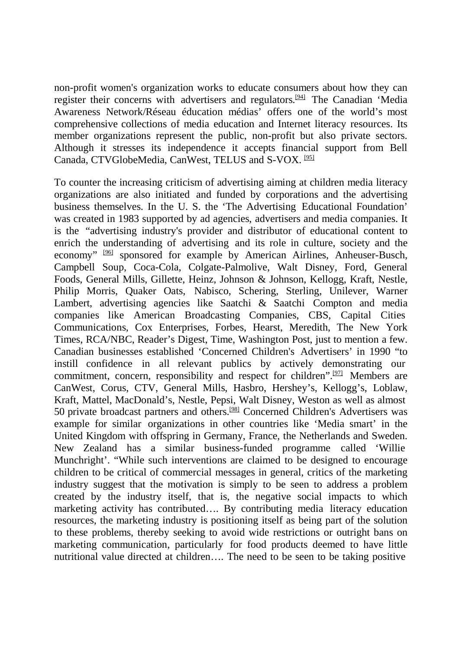non-profit women's organization works to educate consumers about how they can register their concerns with advertisers and regulators.[94] The Canadian 'Media Awareness Network/Réseau éducation médias' offers one of the world's most comprehensive collections of media education and Internet literacy resources. Its member organizations represent the public, non-profit but also private sectors. Although it stresses its independence it accepts financial support from Bell Canada, CTVGlobeMedia, CanWest, TELUS and S-VOX. [95]

To counter the increasing criticism of advertising aiming at children media literacy organizations are also initiated and funded by corporations and the advertising business themselves. In the U. S. the 'The Advertising Educational Foundation' was created in 1983 supported by ad agencies, advertisers and media companies. It is the "advertising industry's provider and distributor of educational content to enrich the understanding of advertising and its role in culture, society and the economy" [96] sponsored for example by American Airlines, Anheuser-Busch, Campbell Soup, Coca-Cola, Colgate-Palmolive, Walt Disney, Ford, General Foods, General Mills, Gillette, Heinz, Johnson & Johnson, Kellogg, Kraft, Nestle, Philip Morris, Quaker Oats, Nabisco, Schering, Sterling, Unilever, Warner Lambert, advertising agencies like Saatchi & Saatchi Compton and media companies like American Broadcasting Companies, CBS, Capital Cities Communications, Cox Enterprises, Forbes, Hearst, Meredith, The New York Times, RCA/NBC, Reader's Digest, Time, Washington Post, just to mention a few. Canadian businesses established 'Concerned Children's Advertisers' in 1990 "to instill confidence in all relevant publics by actively demonstrating our commitment, concern, responsibility and respect for children".<sup>[97]</sup> Members are CanWest, Corus, CTV, General Mills, Hasbro, Hershey's, Kellogg's, Loblaw, Kraft, Mattel, MacDonald's, Nestle, Pepsi, Walt Disney, Weston as well as almost 50 private broadcast partners and others.[98] Concerned Children's Advertisers was example for similar organizations in other countries like 'Media smart' in the United Kingdom with offspring in Germany, France, the Netherlands and Sweden. New Zealand has a similar business-funded programme called 'Willie Munchright'. "While such interventions are claimed to be designed to encourage children to be critical of commercial messages in general, critics of the marketing industry suggest that the motivation is simply to be seen to address a problem created by the industry itself, that is, the negative social impacts to which marketing activity has contributed…. By contributing media literacy education resources, the marketing industry is positioning itself as being part of the solution to these problems, thereby seeking to avoid wide restrictions or outright bans on marketing communication, particularly for food products deemed to have little nutritional value directed at children…. The need to be seen to be taking positive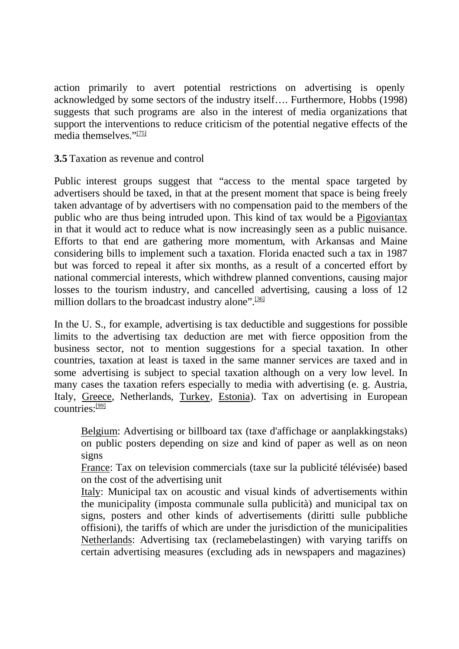action primarily to avert potential restrictions on advertising is openly acknowledged by some sectors of the industry itself…. Furthermore, Hobbs (1998) suggests that such programs are also in the interest of media organizations that support the interventions to reduce criticism of the potential negative effects of the media themselves."[75]

### **3.5** Taxation as revenue and control

Public interest groups suggest that "access to the mental space targeted by advertisers should be taxed, in that at the present moment that space is being freely taken advantage of by advertisers with no compensation paid to the members of the public who are thus being intruded upon. This kind of tax would be a Pigovian tax in that it would act to reduce what is now increasingly seen as a public nuisance. Efforts to that end are gathering more momentum, with Arkansas and Maine considering bills to implement such a taxation. Florida enacted such a tax in 1987 but was forced to repeal it after six months, as a result of a concerted effort by national commercial interests, which withdrew planned conventions, causing major losses to the tourism industry, and cancelled advertising, causing a loss of 12 million dollars to the broadcast industry alone".<sup>[36]</sup>

In the U. S., for example, advertising is tax deductible and suggestions for possible limits to the advertising tax deduction are met with fierce opposition from the business sector, not to mention suggestions for a special taxation. In other countries, taxation at least is taxed in the same manner services are taxed and in some advertising is subject to special taxation although on a very low level. In many cases the taxation refers especially to media with advertising (e. g. Austria, Italy, Greece, Netherlands, Turkey, Estonia). Tax on advertising in European countries:[99]

Belgium: Advertising or billboard tax (taxe d'affichage or aanplakkingstaks) on public posters depending on size and kind of paper as well as on neon signs

France: Tax on television commercials (taxe sur la publicité télévisée) based on the cost of the advertising unit

Italy: Municipal tax on acoustic and visual kinds of advertisements within the municipality (imposta communale sulla publicità) and municipal tax on signs, posters and other kinds of advertisements (diritti sulle pubbliche offisioni), the tariffs of which are under the jurisdiction of the municipalities Netherlands: Advertising tax (reclamebelastingen) with varying tariffs on certain advertising measures (excluding ads in newspapers and magazines)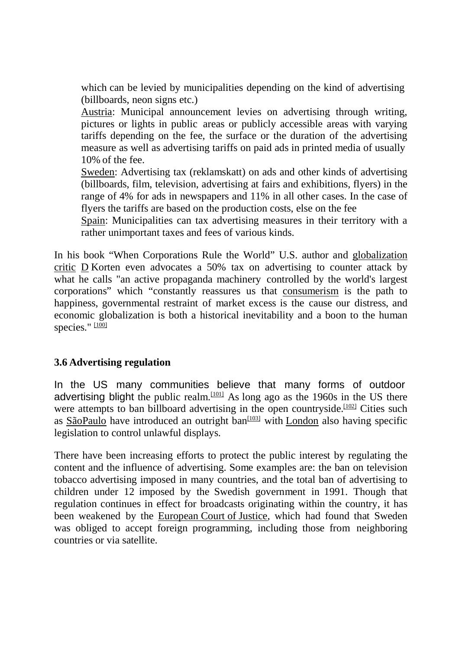which can be levied by municipalities depending on the kind of advertising (billboards, neon signs etc.)

Austria: Municipal announcement levies on advertising through writing, pictures or lights in public areas or publicly accessible areas with varying tariffs depending on the fee, the surface or the duration of the advertising measure as well as advertising tariffs on paid ads in printed media of usually 10% of the fee.

Sweden: Advertising tax (reklamskatt) on ads and other kinds of advertising (billboards, film, television, advertising at fairs and exhibitions, flyers) in the range of 4% for ads in newspapers and 11% in all other cases. In the case of flyers the tariffs are based on the production costs, else on the fee

Spain: Municipalities can tax advertising measures in their territory with a rather unimportant taxes and fees of various kinds.

In his book "When Corporations Rule the World" U.S. author and globalization critic D Korten even advocates a 50% tax on advertising to counter attack by what he calls "an active propaganda machinery controlled by the world's largest corporations" which "constantly reassures us that consumerism is the path to happiness, governmental restraint of market excess is the cause our distress, and economic globalization is both a historical inevitability and a boon to the human species."  $[100]$ 

## **3.6 Advertising regulation**

In the US many communities believe that many forms of outdoor advertising blight the public realm.<sup>[101]</sup> As long ago as the 1960s in the US there were attempts to ban billboard advertising in the open countryside.<sup>[102]</sup> Cities such as  $S\tilde{a}oPaulo$  have introduced an outright ban<sup>[103]</sup> with **London** also having specific legislation to control unlawful displays.

There have been increasing efforts to protect the public interest by regulating the content and the influence of advertising. Some examples are: the ban on television tobacco advertising imposed in many countries, and the total ban of advertising to children under 12 imposed by the Swedish government in 1991. Though that regulation continues in effect for broadcasts originating within the country, it has been weakened by the European Court of Justice, which had found that Sweden was obliged to accept foreign programming, including those from neighboring countries or via satellite.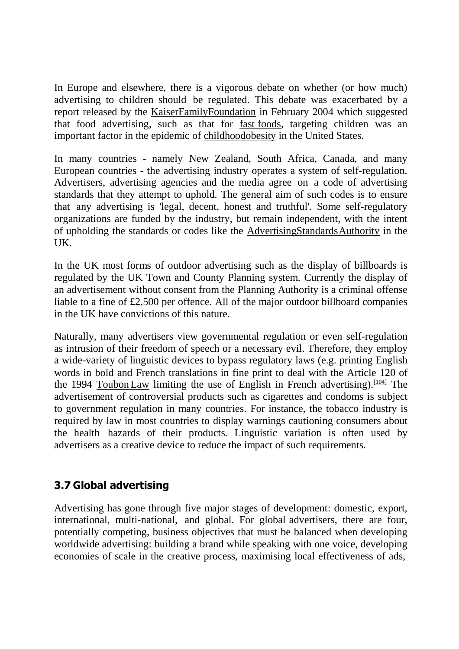In Europe and elsewhere, there is a vigorous debate on whether (or how much) advertising to children should be regulated. This debate was exacerbated by a report released by the KaiserFamilyFoundation in February 2004 which suggested that food advertising, such as that for fast foods, targeting children was an important factor in the epidemic of childhood obesity in the United States.

In many countries - namely New Zealand, South Africa, Canada, and many European countries - the advertising industry operates a system of self-regulation. Advertisers, advertising agencies and the media agree on a code of advertising standards that they attempt to uphold. The general aim of such codes is to ensure that any advertising is 'legal, decent, honest and truthful'. Some self-regulatory organizations are funded by the industry, but remain independent, with the intent of upholding the standards or codes like the AdvertisingStandards Authority in the UK.

In the UK most forms of outdoor advertising such as the display of billboards is regulated by the UK Town and County Planning system. Currently the display of an advertisement without consent from the Planning Authority is a criminal offense liable to a fine of £2,500 per offence. All of the major outdoor billboard companies in the UK have convictions of this nature.

Naturally, many advertisers view governmental regulation or even self-regulation as intrusion of their freedom of speech or a necessary evil. Therefore, they employ a wide-variety of linguistic devices to bypass regulatory laws (e.g. printing English words in bold and French translations in fine print to deal with the Article 120 of the 1994  $Toubon Law$  limiting the use of English in French advertising).  $[104]$  The advertisement of controversial products such as cigarettes and condoms is subject to government regulation in many countries. For instance, the tobacco industry is required by law in most countries to display warnings cautioning consumers about the health hazards of their products. Linguistic variation is often used by advertisers as a creative device to reduce the impact of such requirements.

# **3.7 Global advertising**

Advertising has gone through five major stages of development: domestic, export, international, multi-national, and global. For global advertisers, there are four, potentially competing, business objectives that must be balanced when developing worldwide advertising: building a brand while speaking with one voice, developing economies of scale in the creative process, maximising local effectiveness of ads,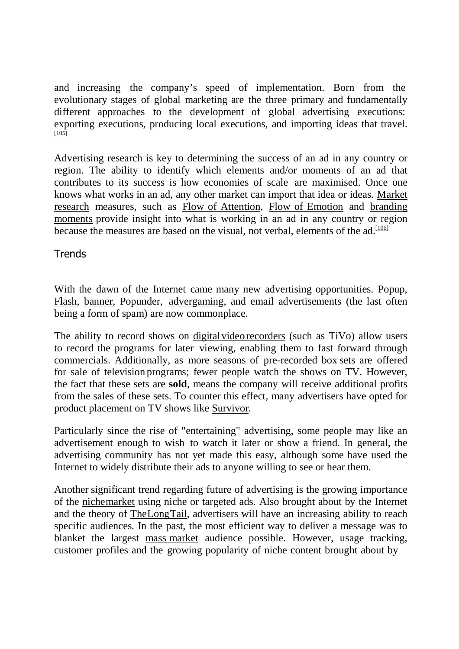and increasing the company's speed of implementation. Born from the evolutionary stages of global marketing are the three primary and fundamentally different approaches to the development of global advertising executions: exporting executions, producing local executions, and importing ideas that travel.  $[105]$ 

Advertising research is key to determining the success of an ad in any country or region. The ability to identify which elements and/or moments of an ad that contributes to its success is how economies of scale are maximised. Once one knows what works in an ad, any other market can import that idea or ideas. Market research measures, such as Flow of Attention, Flow of Emotion and branding moments provide insight into what is working in an ad in any country or region because the measures are based on the visual, not verbal, elements of the ad.<sup>[106]</sup>

**Trends** 

With the dawn of the Internet came many new advertising opportunities. Popup, Flash, banner, Popunder, advergaming, and email advertisements (the last often being a form of spam) are now commonplace.

The ability to record shows on digital video recorders (such as TiVo) allow users to record the programs for later viewing, enabling them to fast forward through commercials. Additionally, as more seasons of pre-recorded box sets are offered for sale of television programs; fewer people watch the shows on TV. However, the fact that these sets are **sold**, means the company will receive additional profits from the sales of these sets. To counter this effect, many advertisers have opted for product placement on TV shows like Survivor.

Particularly since the rise of "entertaining" advertising, some people may like an advertisement enough to wish to watch it later or show a friend. In general, the advertising community has not yet made this easy, although some have used the Internet to widely distribute their ads to anyone willing to see or hear them.

Another significant trend regarding future of advertising is the growing importance of the niche market using niche or targeted ads. Also brought about by the Internet and the theory of The Long Tail, advertisers will have an increasing ability to reach specific audiences. In the past, the most efficient way to deliver a message was to blanket the largest mass market audience possible. However, usage tracking, customer profiles and the growing popularity of niche content brought about by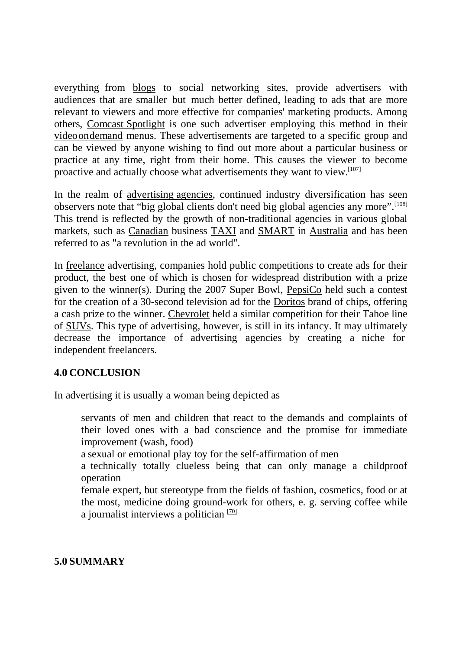everything from blogs to social networking sites, provide advertisers with audiences that are smaller but much better defined, leading to ads that are more relevant to viewers and more effective for companies' marketing products. Among others, Comcast Spotlight is one such advertiser employing this method in their video on demand menus. These advertisements are targeted to a specific group and can be viewed by anyone wishing to find out more about a particular business or practice at any time, right from their home. This causes the viewer to become proactive and actually choose what advertisements they want to view.<sup>[107]</sup>

In the realm of advertising agencies, continued industry diversification has seen observers note that "big global clients don't need big global agencies any more".<sup>[108]</sup> This trend is reflected by the growth of non-traditional agencies in various global markets, such as Canadian business TAXI and SMART in Australia and has been referred to as "a revolution in the ad world".

In freelance advertising, companies hold public competitions to create ads for their product, the best one of which is chosen for widespread distribution with a prize given to the winner(s). During the 2007 Super Bowl, PepsiCo held such a contest for the creation of a 30-second television ad for the Doritos brand of chips, offering a cash prize to the winner. Chevrolet held a similar competition for their Tahoe line of SUVs. This type of advertising, however, is still in its infancy. It may ultimately decrease the importance of advertising agencies by creating a niche for independent freelancers.

## **4.0 CONCLUSION**

In advertising it is usually a woman being depicted as

servants of men and children that react to the demands and complaints of their loved ones with a bad conscience and the promise for immediate improvement (wash, food)

a sexual or emotional play toy for the self-affirmation of men

a technically totally clueless being that can only manage a childproof operation

female expert, but stereotype from the fields of fashion, cosmetics, food or at the most, medicine doing ground-work for others, e. g. serving coffee while a journalist interviews a politician  $[70]$ 

## **5.0 SUMMARY**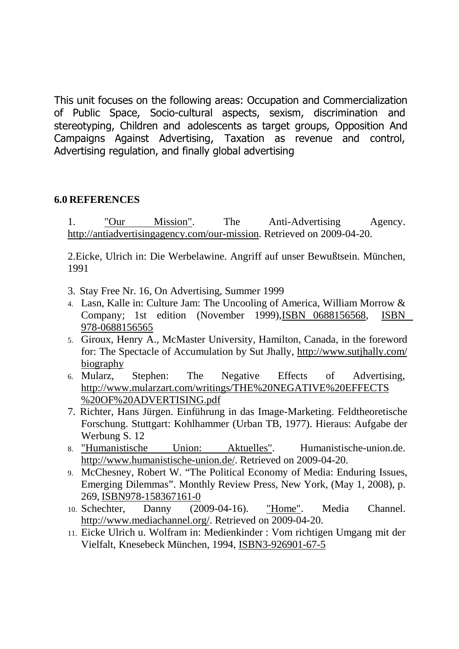This unit focuses on the following areas: Occupation and Commercialization of Public Space, Socio-cultural aspects, sexism, discrimination and stereotyping, Children and adolescents as target groups, Opposition And Campaigns Against Advertising, Taxation as revenue and control, Advertising regulation, and finally global advertising

### **6.0 REFERENCES**

1. "Our Mission". The Anti-Advertising Agency. http://antiadvertisingagency.com/our-mission. Retrieved on 2009-04-20.

2.Eicke, Ulrich in: Die Werbelawine. Angriff auf unser Bewußtsein. München, 1991

- 3. Stay Free Nr. 16, On Advertising, Summer 1999
- 4. Lasn, Kalle in: Culture Jam: The Uncooling of America, William Morrow & Company; 1st edition (November 1999),ISBN 0688156568, ISBN 978-0688156565
- 5. Giroux, Henry A., McMaster University, Hamilton, Canada, in the foreword for: The Spectacle of Accumulation by Sut Jhally, http://www.sutjhally.com/ biography
- 6. Mularz, Stephen: The Negative Effects of Advertising, http://www.mularzart.com/writings/THE%20NEGATIVE%20EFFECTS %20OF%20ADVERTISING.pdf
- 7. Richter, Hans Jürgen. Einführung in das Image-Marketing. Feldtheoretische Forschung. Stuttgart: Kohlhammer (Urban TB, 1977). Hieraus: Aufgabe der Werbung S. 12
- 8. "Humanistische Union: Aktuelles". Humanistische-union.de. http://www.humanistische-union.de/. Retrieved on 2009-04-20.
- 9. McChesney, Robert W. "The Political Economy of Media: Enduring Issues, Emerging Dilemmas". Monthly Review Press, New York, (May 1, 2008), p. 269, ISBN 978-158367161-0
- 10. Schechter, Danny (2009-04-16). "Home". Media Channel. http://www.mediachannel.org/. Retrieved on 2009-04-20.
- 11. Eicke Ulrich u. Wolfram in: Medienkinder : Vom richtigen Umgang mit der Vielfalt, Knesebeck München, 1994, ISBN 3-926901-67-5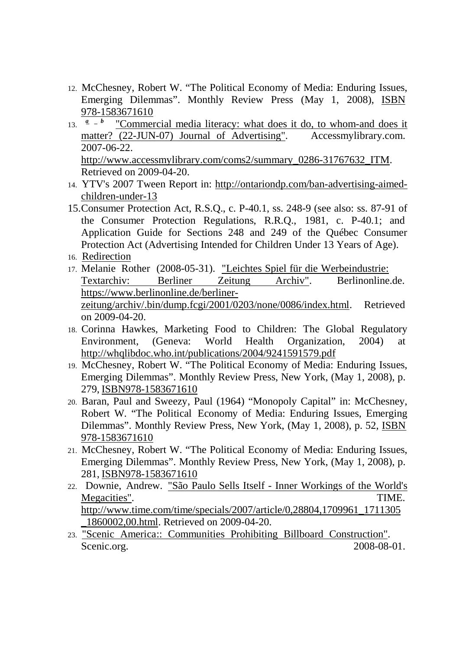- 12. McChesney, Robert W. "The Political Economy of Media: Enduring Issues, Emerging Dilemmas". Monthly Review Press (May 1, 2008), ISBN  $\frac{978-1583671610}{ \frac{a}{b} - b}$  "Commer
- "Commercial media literacy: what does it do, to whom-and does it matter? (22-JUN-07) Journal of Advertising". Accessmylibrary.com. 2007-06-22. http://www.accessmylibrary.com/coms2/summary\_0286-31767632\_ITM. Retrieved on 2009-04-20.
- 14. YTV's 2007 Tween Report in: http://ontariondp.com/ban-advertising-aimedchildren-under-13
- 15.Consumer Protection Act, R.S.Q., c. P-40.1, ss. 248-9 (see also: ss. 87-91 of the Consumer Protection Regulations, R.R.Q., 1981, c. P-40.1; and Application Guide for Sections 248 and 249 of the Québec Consumer Protection Act (Advertising Intended for Children Under 13 Years of Age).
- 16. Redirection
- 17. Melanie Rother (2008-05-31). "Leichtes Spiel für die Werbeindustrie: Textarchiv: Berliner Zeitung Archiv". Berlinonline.de. https://www.berlinonline.de/berlinerzeitung/archiv/.bin/dump.fcgi/2001/0203/none/0086/index.html. Retrieved on 2009-04-20.
- 18. Corinna Hawkes, Marketing Food to Children: The Global Regulatory Environment, (Geneva: World Health Organization, 2004) at http://whqlibdoc.who.int/publications/2004/9241591579.pdf
- 19. McChesney, Robert W. "The Political Economy of Media: Enduring Issues, Emerging Dilemmas". Monthly Review Press, New York, (May 1, 2008), p. 279, ISBN 978-1583671610
- 20. Baran, Paul and Sweezy, Paul (1964) "Monopoly Capital" in: McChesney, Robert W. "The Political Economy of Media: Enduring Issues, Emerging Dilemmas". Monthly Review Press, New York, (May 1, 2008), p. 52, ISBN 978-1583671610
- 21. McChesney, Robert W. "The Political Economy of Media: Enduring Issues, Emerging Dilemmas". Monthly Review Press, New York, (May 1, 2008), p. 281, ISBN 978-1583671610
- 22. Downie, Andrew. "São Paulo Sells Itself Inner Workings of the World's Megacities". TIME. http://www.time.com/time/specials/2007/article/0,28804,1709961\_1711305 \_1860002,00.html. Retrieved on 2009-04-20.
- 23. "Scenic America:: Communities Prohibiting Billboard Construction". Scenic.org. 2008-08-01.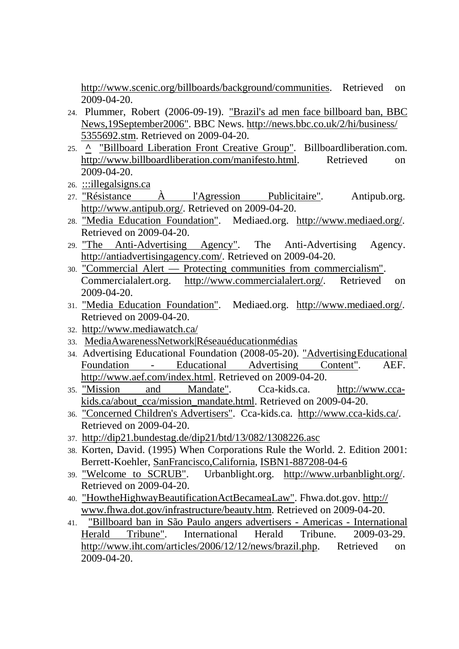http://www.scenic.org/billboards/background/communities. Retrieved on 2009-04-20.

- 24. Plummer, Robert (2006-09-19). "Brazil's ad men face billboard ban, BBC News, 19 September 2006". BBC News. http://news.bbc.co.uk/2/hi/business/ 5355692.stm. Retrieved on 2009-04-20.
- 25. **^** "Billboard Liberation Front Creative Group". Billboardliberation.com. http://www.billboardliberation.com/manifesto.html. Retrieved on 2009-04-20.
- 26. :::illegalsigns.ca
- 27. "Résistance À l'Agression Publicitaire". Antipub.org. http://www.antipub.org/. Retrieved on 2009-04-20.
- 28. "Media Education Foundation". Mediaed.org. http://www.mediaed.org/. Retrieved on 2009-04-20.
- 29. "The Anti-Advertising Agency". The Anti-Advertising Agency. http://antiadvertisingagency.com/. Retrieved on 2009-04-20.
- 30. "Commercial Alert Protecting communities from commercialism". Commercialalert.org. http://www.commercialalert.org/. Retrieved on 2009-04-20.
- 31. "Media Education Foundation". Mediaed.org. http://www.mediaed.org/. Retrieved on 2009-04-20.
- 32. http://www.mediawatch.ca/
- 33. Media Awareness Network | Réseau éducation médias
- 34. Advertising Educational Foundation (2008-05-20). "Advertising Educational Foundation - Educational Advertising Content". AEF. http://www.aef.com/index.html. Retrieved on 2009-04-20.
- 35. "Mission and Mandate". Cca-kids.ca. http://www.ccakids.ca/about\_cca/mission\_mandate.html. Retrieved on 2009-04-20.
- 36. "Concerned Children's Advertisers". Cca-kids.ca. http://www.cca-kids.ca/. Retrieved on 2009-04-20.
- 37. http://dip21.bundestag.de/dip21/btd/13/082/1308226.asc
- 38. Korten, David. (1995) When Corporations Rule the World. 2. Edition 2001: Berrett-Koehler, SanFrancisco, California, ISBN 1-887208-04-6
- 39. "Welcome to SCRUB". Urbanblight.org. http://www.urbanblight.org/. Retrieved on 2009-04-20.
- 40. "How the Highway Beautification Act Became a Law". Fhwa.dot.gov. http:// www.fhwa.dot.gov/infrastructure/beauty.htm. Retrieved on 2009-04-20.
- 41. "Billboard ban in São Paulo angers advertisers Americas International Herald Tribune". International Herald Tribune. 2009-03-29. http://www.iht.com/articles/2006/12/12/news/brazil.php. Retrieved on 2009-04-20.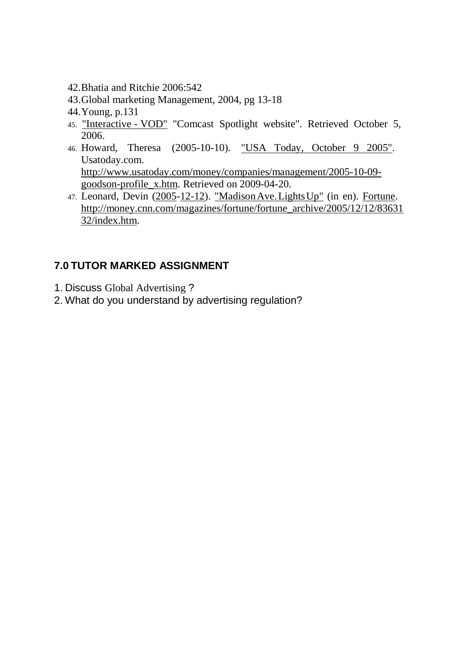- 42.Bhatia and Ritchie 2006:542
- 43.Global marketing Management, 2004, pg 13-18
- 44.Young, p.131
- 45. "Interactive VOD" "Comcast Spotlight website". Retrieved October 5, 2006.
- 46. Howard, Theresa (2005-10-10). "USA Today, October 9 2005". Usatoday.com. http://www.usatoday.com/money/companies/management/2005-10-09 goodson-profile\_x.htm. Retrieved on 2009-04-20.
- 47. Leonard, Devin (2005-12-12). "Madison Ave. Lights Up" (in en). Fortune. http://money.cnn.com/magazines/fortune/fortune\_archive/2005/12/12/83631 32/index.htm.

# **7.0 TUTOR MARKED ASSIGNMENT**

- 1. Discuss Global Advertising ?
- 2. What do you understand by advertising regulation?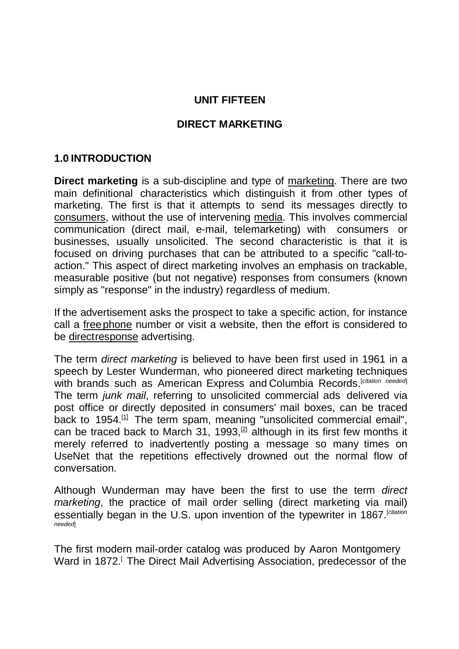## **UNIT FIFTEEN**

## **DIRECT MARKETING**

## **1.0 INTRODUCTION**

**Direct marketing** is a sub-discipline and type of marketing. There are two main definitional characteristics which distinguish it from other types of marketing. The first is that it attempts to send its messages directly to consumers, without the use of intervening media. This involves commercial communication (direct mail, e-mail, telemarketing) with consumers or businesses, usually unsolicited. The second characteristic is that it is focused on driving purchases that can be attributed to a specific "call-toaction." This aspect of direct marketing involves an emphasis on trackable, measurable positive (but not negative) responses from consumers (known simply as "response" in the industry) regardless of medium.

If the advertisement asks the prospect to take a specific action, for instance call a free phone number or visit a website, then the effort is considered to be direct response advertising.

The term direct marketing is believed to have been first used in 1961 in a speech by Lester Wunderman, who pioneered direct marketing techniques with brands such as American Express and Columbia Records.<sup>[citation needed]</sup> The term *junk mail*, referring to unsolicited commercial ads delivered via post office or directly deposited in consumers' mail boxes, can be traced back to  $1954$ .<sup>[1]</sup> The term spam, meaning "unsolicited commercial email", can be traced back to March 31, 1993, $[2]$  although in its first few months it merely referred to inadvertently posting a message so many times on UseNet that the repetitions effectively drowned out the normal flow of conversation.

Although Wunderman may have been the first to use the term direct marketing, the practice of mail order selling (direct marketing via mail) essentially began in the U.S. upon invention of the typewriter in 1867. [citation needed]

The first modern mail-order catalog was produced by Aaron Montgomery Ward in 1872.<sup>[</sup> The Direct Mail Advertising Association, predecessor of the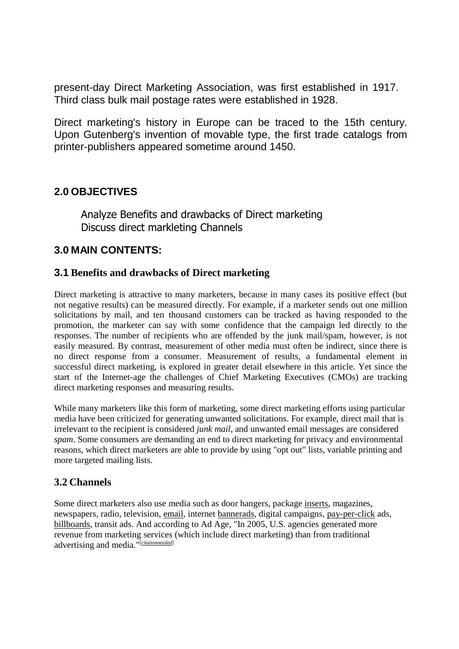present-day Direct Marketing Association, was first established in 1917. Third class bulk mail postage rates were established in 1928.

Direct marketing's history in Europe can be traced to the 15th century. Upon Gutenberg's invention of movable type, the first trade catalogs from printer-publishers appeared sometime around 1450.

## **2.0 OBJECTIVES**

Analyze Benefits and drawbacks of Direct marketing Discuss direct markleting Channels

## **3.0 MAIN CONTENTS:**

## **3.1 Benefits and drawbacks of Direct marketing**

Direct marketing is attractive to many marketers, because in many cases its positive effect (but not negative results) can be measured directly. For example, if a marketer sends out one million solicitations by mail, and ten thousand customers can be tracked as having responded to the promotion, the marketer can say with some confidence that the campaign led directly to the responses. The number of recipients who are offended by the junk mail/spam, however, is not easily measured. By contrast, measurement of other media must often be indirect, since there is no direct response from a consumer. Measurement of results, a fundamental element in successful direct marketing, is explored in greater detail elsewhere in this article. Yet since the start of the Internet-age the challenges of Chief Marketing Executives (CMOs) are tracking direct marketing responses and measuring results.

While many marketers like this form of marketing, some direct marketing efforts using particular media have been criticized for generating unwanted solicitations. For example, direct mail that is irrelevant to the recipient is considered *junk mail*, and unwanted email messages are considered *spam*. Some consumers are demanding an end to direct marketing for privacy and environmental reasons, which direct marketers are able to provide by using "opt out" lists, variable printing and more targeted mailing lists.

## **3.2 Channels**

Some direct marketers also use media such as door hangers, package inserts, magazines, newspapers, radio, television, email, internet bannerads, digital campaigns, pay-per-click ads, billboards, transit ads. And according to Ad Age, "In 2005, U.S. agencies generated more revenue from marketing services (which include direct marketing) than from traditional advertising and media.<sup>"[citationneeded]</sup>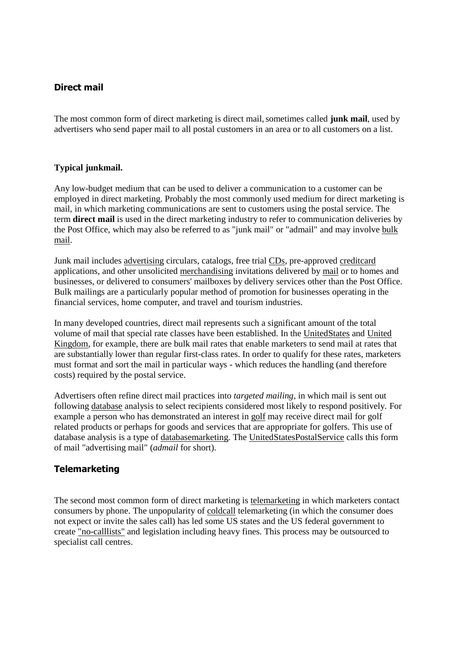### **Direct mail**

The most common form of direct marketing is direct mail, sometimes called **junk mail**, used by advertisers who send paper mail to all postal customers in an area or to all customers on a list.

#### **Typical junkmail.**

Any low-budget medium that can be used to deliver a communication to a customer can be employed in direct marketing. Probably the most commonly used medium for direct marketing is mail, in which marketing communications are sent to customers using the postal service. The term **direct mail** is used in the direct marketing industry to refer to communication deliveries by the Post Office, which may also be referred to as "junk mail" or "admail" and may involve bulk mail.

Junk mail includes advertising circulars, catalogs, free trial CDs, pre-approved credit card applications, and other unsolicited merchandising invitations delivered by mail or to homes and businesses, or delivered to consumers' mailboxes by delivery services other than the Post Office. Bulk mailings are a particularly popular method of promotion for businesses operating in the financial services, home computer, and travel and tourism industries.

In many developed countries, direct mail represents such a significant amount of the total volume of mail that special rate classes have been established. In the United States and United Kingdom, for example, there are bulk mail rates that enable marketers to send mail at rates that are substantially lower than regular first-class rates. In order to qualify for these rates, marketers must format and sort the mail in particular ways - which reduces the handling (and therefore costs) required by the postal service.

Advertisers often refine direct mail practices into *targeted mailing*, in which mail is sent out following database analysis to select recipients considered most likely to respond positively. For example a person who has demonstrated an interest in golf may receive direct mail for golf related products or perhaps for goods and services that are appropriate for golfers. This use of database analysis is a type of database marketing. The United States Postal Service calls this form of mail "advertising mail" (*admail* for short).

#### **Telemarketing**

The second most common form of direct marketing is telemarketing in which marketers contact consumers by phone. The unpopularity of coldcall telemarketing (in which the consumer does not expect or invite the sales call) has led some US states and the US federal government to create "no-call lists" and legislation including heavy fines. This process may be outsourced to specialist call centres.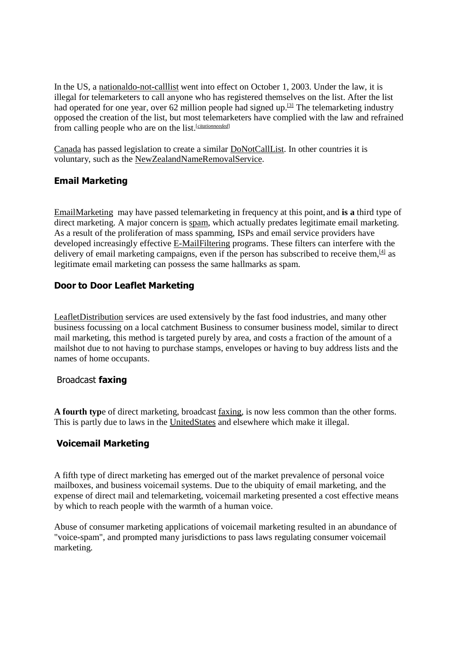In the US, a national do-not-call list went into effect on October 1, 2003. Under the law, it is illegal for telemarketers to call anyone who has registered themselves on the list. After the list had operated for one year, over 62 million people had signed up.<sup>[3]</sup> The telemarketing industry opposed the creation of the list, but most telemarketers have complied with the law and refrained from calling people who are on the list.<sup>[citationneeded]</sup>

Canada has passed legislation to create a similar DoNot Call List. In other countries it is voluntary, such as the New Zealand Name Removal Service.

### **Email Marketing**

Email Marketing may have passed telemarketing in frequency at this point, and **is a** third type of direct marketing. A major concern is spam, which actually predates legitimate email marketing. As a result of the proliferation of mass spamming, ISPs and email service providers have developed increasingly effective E-Mail Filtering programs. These filters can interfere with the delivery of email marketing campaigns, even if the person has subscribed to receive them,  $[4]$  as legitimate email marketing can possess the same hallmarks as spam.

### **Door to Door Leaflet Marketing**

Leaflet Distribution services are used extensively by the fast food industries, and many other business focussing on a local catchment Business to consumer business model, similar to direct mail marketing, this method is targeted purely by area, and costs a fraction of the amount of a mailshot due to not having to purchase stamps, envelopes or having to buy address lists and the names of home occupants.

### Broadcast **faxing**

**A fourth typ**e of direct marketing, broadcast faxing, is now less common than the other forms. This is partly due to laws in the United States and elsewhere which make it illegal.

### **Voicemail Marketing**

A fifth type of direct marketing has emerged out of the market prevalence of personal voice mailboxes, and business voicemail systems. Due to the ubiquity of email marketing, and the expense of direct mail and telemarketing, voicemail marketing presented a cost effective means by which to reach people with the warmth of a human voice.

Abuse of consumer marketing applications of voicemail marketing resulted in an abundance of "voice-spam", and prompted many jurisdictions to pass laws regulating consumer voicemail marketing.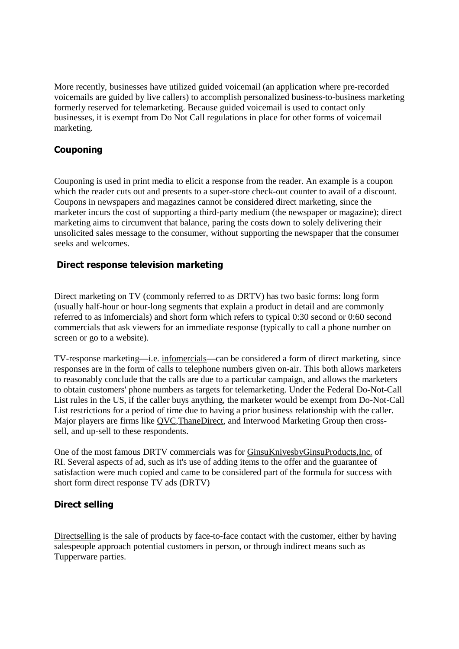More recently, businesses have utilized guided voicemail (an application where pre-recorded voicemails are guided by live callers) to accomplish personalized business-to-business marketing formerly reserved for telemarketing. Because guided voicemail is used to contact only businesses, it is exempt from Do Not Call regulations in place for other forms of voicemail marketing.

## **Couponing**

Couponing is used in print media to elicit a response from the reader. An example is a coupon which the reader cuts out and presents to a super-store check-out counter to avail of a discount. Coupons in newspapers and magazines cannot be considered direct marketing, since the marketer incurs the cost of supporting a third-party medium (the newspaper or magazine); direct marketing aims to circumvent that balance, paring the costs down to solely delivering their unsolicited sales message to the consumer, without supporting the newspaper that the consumer seeks and welcomes.

### **Direct response television marketing**

Direct marketing on TV (commonly referred to as DRTV) has two basic forms: long form (usually half-hour or hour-long segments that explain a product in detail and are commonly referred to as infomercials) and short form which refers to typical 0:30 second or 0:60 second commercials that ask viewers for an immediate response (typically to call a phone number on screen or go to a website).

TV-response marketing—i.e. infomercials—can be considered a form of direct marketing, since responses are in the form of calls to telephone numbers given on-air. This both allows marketers to reasonably conclude that the calls are due to a particular campaign, and allows the marketers to obtain customers' phone numbers as targets for telemarketing. Under the Federal Do-Not-Call List rules in the US, if the caller buys anything, the marketer would be exempt from Do-Not-Call List restrictions for a period of time due to having a prior business relationship with the caller. Major players are firms like QVC, Thane Direct, and Interwood Marketing Group then crosssell, and up-sell to these respondents.

One of the most famous DRTV commercials was for GinsuKnivesbyGinsuProducts, Inc. of RI. Several aspects of ad, such as it's use of adding items to the offer and the guarantee of satisfaction were much copied and came to be considered part of the formula for success with short form direct response TV ads (DRTV)

### **Direct selling**

Direct selling is the sale of products by face-to-face contact with the customer, either by having salespeople approach potential customers in person, or through indirect means such as Tupperware parties.